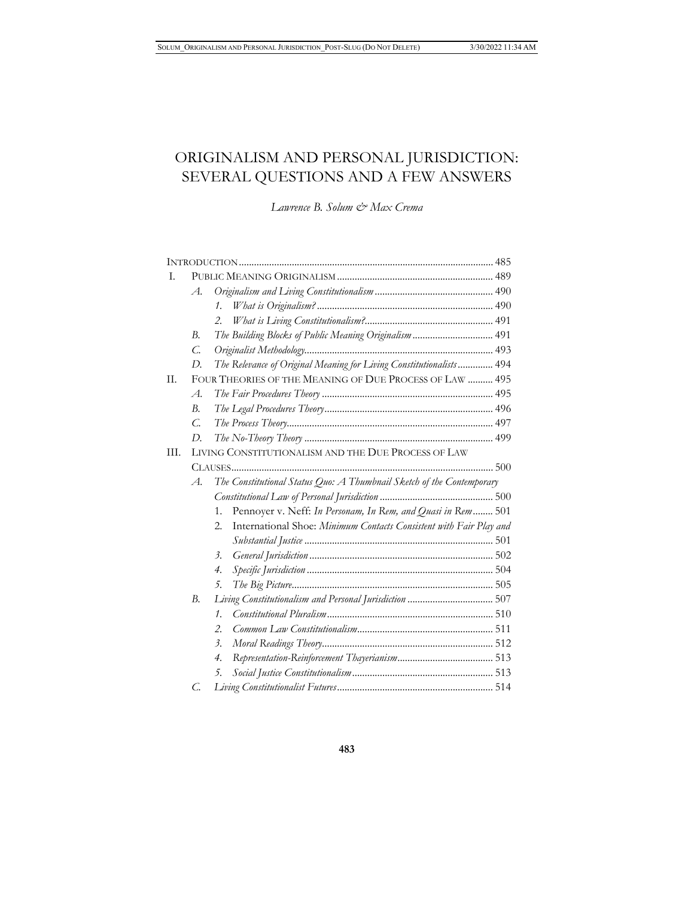# ORIGINALISM AND PERSONAL JURISDICTION: SEVERAL QUESTIONS AND A FEW ANSWERS

*Lawrence B. Solum & Max Crema*

| T.   |                                                         |                                                                          |  |  |
|------|---------------------------------------------------------|--------------------------------------------------------------------------|--|--|
|      | $\mathcal{A}.$                                          |                                                                          |  |  |
|      |                                                         | 1.                                                                       |  |  |
|      |                                                         | $\overline{2}$ .                                                         |  |  |
|      | B.                                                      | The Building Blocks of Public Meaning Originalism  491                   |  |  |
|      | $\mathcal{C}$                                           |                                                                          |  |  |
|      | D.                                                      | The Relevance of Original Meaning for Living Constitutionalists  494     |  |  |
| Π.   | FOUR THEORIES OF THE MEANING OF DUE PROCESS OF LAW  495 |                                                                          |  |  |
|      | $\mathcal{A}.$                                          |                                                                          |  |  |
|      | $B$ .                                                   |                                                                          |  |  |
|      | C.                                                      |                                                                          |  |  |
|      | D.                                                      |                                                                          |  |  |
| III. | LIVING CONSTITUTIONALISM AND THE DUE PROCESS OF LAW     |                                                                          |  |  |
|      |                                                         |                                                                          |  |  |
|      | $\mathcal{A}.$                                          | The Constitutional Status Quo: A Thumbnail Sketch of the Contemporary    |  |  |
|      |                                                         |                                                                          |  |  |
|      |                                                         | Pennoyer v. Neff: In Personam, In Rem, and Quasi in Rem 501<br>1.        |  |  |
|      |                                                         | International Shoe: Minimum Contacts Consistent with Fair Play and<br>2. |  |  |
|      |                                                         |                                                                          |  |  |
|      |                                                         | 3.                                                                       |  |  |
|      |                                                         | 4.                                                                       |  |  |
|      |                                                         | 5.                                                                       |  |  |
|      | $B$ .                                                   |                                                                          |  |  |
|      |                                                         |                                                                          |  |  |
|      |                                                         | 1.                                                                       |  |  |
|      |                                                         | 2.                                                                       |  |  |
|      |                                                         | 3.                                                                       |  |  |
|      |                                                         | $\overline{4}$ .                                                         |  |  |
|      |                                                         | 5.                                                                       |  |  |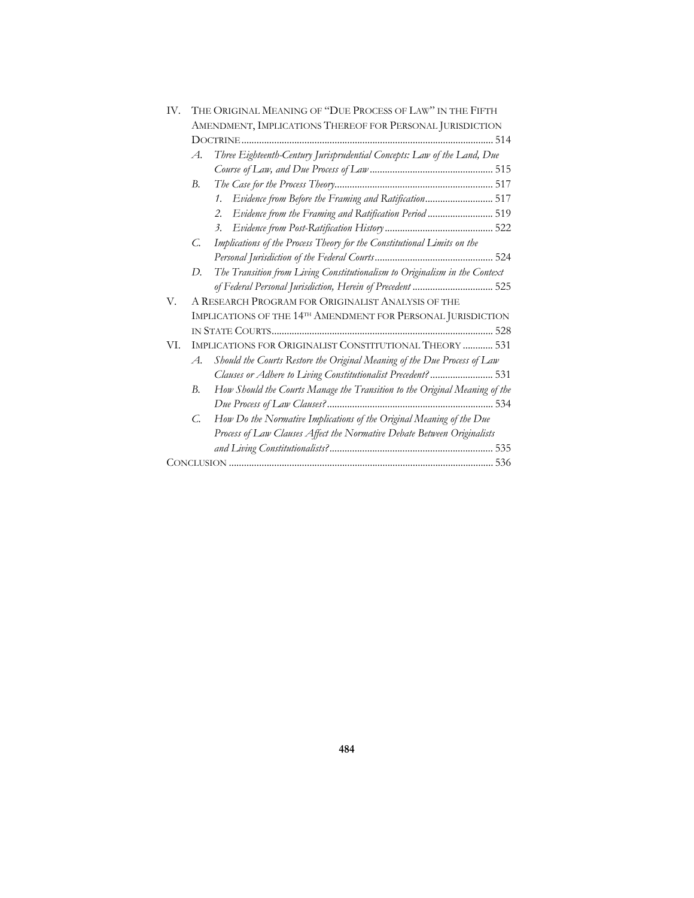| IV. | THE ORIGINAL MEANING OF "DUE PROCESS OF LAW" IN THE FIFTH |                                                                            |  |  |
|-----|-----------------------------------------------------------|----------------------------------------------------------------------------|--|--|
|     | AMENDMENT, IMPLICATIONS THEREOF FOR PERSONAL JURISDICTION |                                                                            |  |  |
|     |                                                           |                                                                            |  |  |
|     | $\mathcal{A}.$                                            | Three Eighteenth-Century Jurisprudential Concepts: Law of the Land, Due    |  |  |
|     |                                                           |                                                                            |  |  |
|     | В.                                                        |                                                                            |  |  |
|     |                                                           | Evidence from Before the Framing and Ratification 517<br>1.                |  |  |
|     |                                                           | Evidence from the Framing and Ratification Period  519<br>2.               |  |  |
|     |                                                           | 3.                                                                         |  |  |
|     | C.                                                        | Implications of the Process Theory for the Constitutional Limits on the    |  |  |
|     |                                                           |                                                                            |  |  |
|     | D.                                                        | The Transition from Living Constitutionalism to Originalism in the Context |  |  |
|     |                                                           | of Federal Personal Jurisdiction, Herein of Precedent  525                 |  |  |
| V.  | A RESEARCH PROGRAM FOR ORIGINALIST ANALYSIS OF THE        |                                                                            |  |  |
|     |                                                           | IMPLICATIONS OF THE 14TH AMENDMENT FOR PERSONAL JURISDICTION               |  |  |
|     |                                                           |                                                                            |  |  |
| VI. |                                                           | IMPLICATIONS FOR ORIGINALIST CONSTITUTIONAL THEORY  531                    |  |  |
|     | $\mathcal{A}.$                                            | Should the Courts Restore the Original Meaning of the Due Process of Law   |  |  |
|     |                                                           | Clauses or Adhere to Living Constitutionalist Precedent?  531              |  |  |
|     | B.                                                        | How Should the Courts Manage the Transition to the Original Meaning of the |  |  |
|     |                                                           |                                                                            |  |  |
|     | C.                                                        | How Do the Normative Implications of the Original Meaning of the Due       |  |  |
|     |                                                           | Process of Law Clauses Affect the Normative Debate Between Originalists    |  |  |
|     |                                                           |                                                                            |  |  |
|     |                                                           |                                                                            |  |  |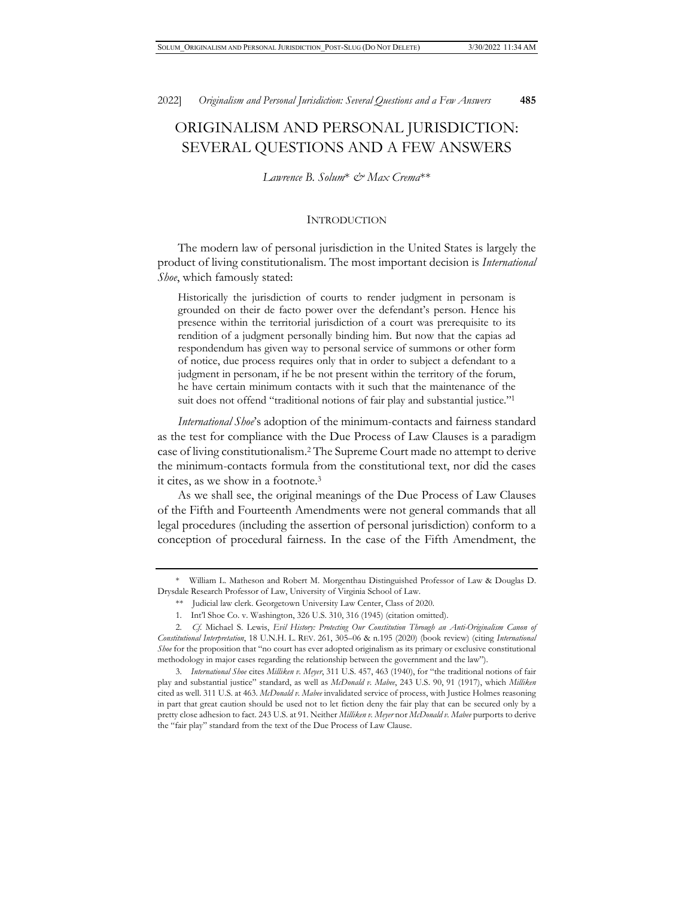# ORIGINALISM AND PERSONAL JURISDICTION: SEVERAL QUESTIONS AND A FEW ANSWERS

*Lawrence B. Solum*\* *& Max Crema*\*\*

## INTRODUCTION

The modern law of personal jurisdiction in the United States is largely the product of living constitutionalism. The most important decision is *International Shoe*, which famously stated:

Historically the jurisdiction of courts to render judgment in personam is grounded on their de facto power over the defendant's person. Hence his presence within the territorial jurisdiction of a court was prerequisite to its rendition of a judgment personally binding him. But now that the capias ad respondendum has given way to personal service of summons or other form of notice, due process requires only that in order to subject a defendant to a judgment in personam, if he be not present within the territory of the forum, he have certain minimum contacts with it such that the maintenance of the suit does not offend "traditional notions of fair play and substantial justice."<sup>1</sup>

*International Shoe*'s adoption of the minimum-contacts and fairness standard as the test for compliance with the Due Process of Law Clauses is a paradigm case of living constitutionalism.2 The Supreme Court made no attempt to derive the minimum-contacts formula from the constitutional text, nor did the cases it cites, as we show in a footnote.3

As we shall see, the original meanings of the Due Process of Law Clauses of the Fifth and Fourteenth Amendments were not general commands that all legal procedures (including the assertion of personal jurisdiction) conform to a conception of procedural fairness. In the case of the Fifth Amendment, the

<sup>\*</sup> William L. Matheson and Robert M. Morgenthau Distinguished Professor of Law & Douglas D. Drysdale Research Professor of Law, University of Virginia School of Law.

<sup>\*\*</sup> Judicial law clerk. Georgetown University Law Center, Class of 2020.

<sup>1.</sup> Int'l Shoe Co. v. Washington, 326 U.S. 310, 316 (1945) (citation omitted).

<sup>2.</sup> *Cf*. Michael S. Lewis, *Evil History: Protecting Our Constitution Through an Anti-Originalism Canon of Constitutional Interpretation*, 18 U.N.H. L. REV. 261, 305–06 & n.195 (2020) (book review) (citing *International Shoe* for the proposition that "no court has ever adopted originalism as its primary or exclusive constitutional methodology in major cases regarding the relationship between the government and the law").

<sup>3.</sup> *International Shoe* cites *Milliken v. Meyer*, 311 U.S. 457, 463 (1940), for "the traditional notions of fair play and substantial justice" standard, as well as *McDonald v. Mabee*, 243 U.S. 90, 91 (1917), which *Milliken* cited as well. 311 U.S. at 463. *McDonald v. Mabee* invalidated service of process, with Justice Holmes reasoning in part that great caution should be used not to let fiction deny the fair play that can be secured only by a pretty close adhesion to fact. 243 U.S. at 91. Neither *Milliken v. Meyer* nor *McDonald v. Mabee* purports to derive the "fair play" standard from the text of the Due Process of Law Clause.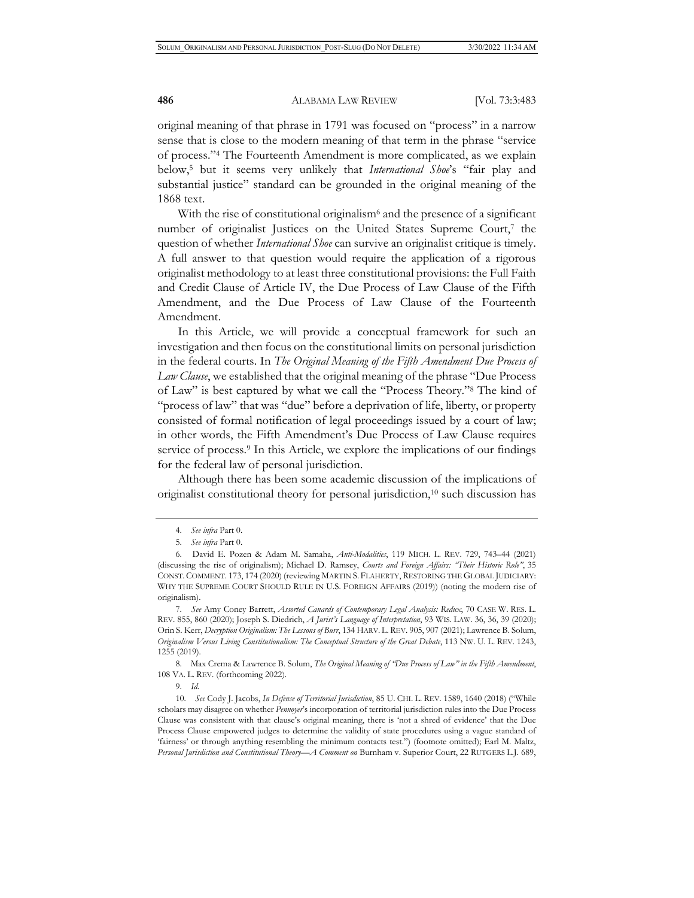original meaning of that phrase in 1791 was focused on "process" in a narrow sense that is close to the modern meaning of that term in the phrase "service of process."4 The Fourteenth Amendment is more complicated, as we explain below,5 but it seems very unlikely that *International Shoe*'s "fair play and substantial justice" standard can be grounded in the original meaning of the 1868 text.

With the rise of constitutional originalism $6$  and the presence of a significant number of originalist Justices on the United States Supreme Court,<sup>7</sup> the question of whether *International Shoe* can survive an originalist critique is timely. A full answer to that question would require the application of a rigorous originalist methodology to at least three constitutional provisions: the Full Faith and Credit Clause of Article IV, the Due Process of Law Clause of the Fifth Amendment, and the Due Process of Law Clause of the Fourteenth Amendment.

In this Article, we will provide a conceptual framework for such an investigation and then focus on the constitutional limits on personal jurisdiction in the federal courts. In *The Original Meaning of the Fifth Amendment Due Process of Law Clause*, we established that the original meaning of the phrase "Due Process of Law" is best captured by what we call the "Process Theory."8 The kind of "process of law" that was "due" before a deprivation of life, liberty, or property consisted of formal notification of legal proceedings issued by a court of law; in other words, the Fifth Amendment's Due Process of Law Clause requires service of process.<sup>9</sup> In this Article, we explore the implications of our findings for the federal law of personal jurisdiction.

Although there has been some academic discussion of the implications of originalist constitutional theory for personal jurisdiction,10 such discussion has

9. *Id.*

<sup>4.</sup> *See infra* Part 0.

<sup>5.</sup> *See infra* Part 0.

<sup>6.</sup> David E. Pozen & Adam M. Samaha, *Anti-Modalities*, 119 MICH. L. REV. 729, 743–44 (2021) (discussing the rise of originalism); Michael D. Ramsey, *Courts and Foreign Affairs: "Their Historic Role"*, 35 CONST.COMMENT. 173, 174 (2020) (reviewing MARTIN S. FLAHERTY, RESTORING THE GLOBAL JUDICIARY: WHY THE SUPREME COURT SHOULD RULE IN U.S. FOREIGN AFFAIRS (2019)) (noting the modern rise of originalism).

<sup>7.</sup> *See* Amy Coney Barrett, *Assorted Canards of Contemporary Legal Analysis: Redux*, 70 CASE W. RES. L. REV. 855, 860 (2020); Joseph S. Diedrich, *A Jurist's Language of Interpretation*, 93 WIS. LAW. 36, 36, 39 (2020); Orin S. Kerr, *Decryption Originalism: The Lessons of Burr*, 134 HARV. L. REV. 905, 907 (2021); Lawrence B. Solum, *Originalism Versus Living Constitutionalism: The Conceptual Structure of the Great Debate*, 113 NW. U. L. REV. 1243, 1255 (2019).

<sup>8.</sup> Max Crema & Lawrence B. Solum, *The Original Meaning of "Due Process of Law" in the Fifth Amendment*, 108 VA. L. REV. (forthcoming 2022).

<sup>10.</sup> *See* Cody J. Jacobs, *In Defense of Territorial Jurisdiction*, 85 U. CHI. L. REV. 1589, 1640 (2018) ("While scholars may disagree on whether *Pennoyer*'s incorporation of territorial jurisdiction rules into the Due Process Clause was consistent with that clause's original meaning, there is 'not a shred of evidence' that the Due Process Clause empowered judges to determine the validity of state procedures using a vague standard of 'fairness' or through anything resembling the minimum contacts test.") (footnote omitted); Earl M. Maltz, *Personal Jurisdiction and Constitutional Theory—A Comment on* Burnham v. Superior Court, 22 RUTGERS L.J. 689,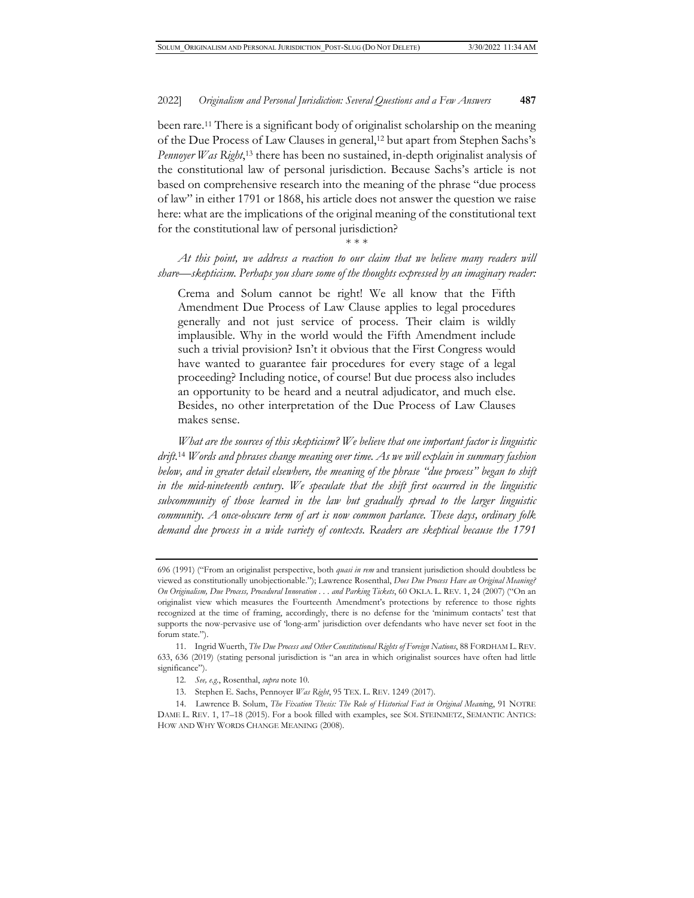been rare.11 There is a significant body of originalist scholarship on the meaning of the Due Process of Law Clauses in general,12 but apart from Stephen Sachs's Pennoyer Was Right,<sup>13</sup> there has been no sustained, in-depth originalist analysis of the constitutional law of personal jurisdiction. Because Sachs's article is not based on comprehensive research into the meaning of the phrase "due process of law" in either 1791 or 1868, his article does not answer the question we raise here: what are the implications of the original meaning of the constitutional text for the constitutional law of personal jurisdiction?

\* \* \*

*At this point, we address a reaction to our claim that we believe many readers will share—skepticism. Perhaps you share some of the thoughts expressed by an imaginary reader:*

Crema and Solum cannot be right! We all know that the Fifth Amendment Due Process of Law Clause applies to legal procedures generally and not just service of process. Their claim is wildly implausible. Why in the world would the Fifth Amendment include such a trivial provision? Isn't it obvious that the First Congress would have wanted to guarantee fair procedures for every stage of a legal proceeding? Including notice, of course! But due process also includes an opportunity to be heard and a neutral adjudicator, and much else. Besides, no other interpretation of the Due Process of Law Clauses makes sense.

*What are the sources of this skepticism? We believe that one important factor is linguistic drift.*14 *Words and phrases change meaning over time. As we will explain in summary fashion below, and in greater detail elsewhere, the meaning of the phrase "due process" began to shift in the mid-nineteenth century. We speculate that the shift first occurred in the linguistic subcommunity of those learned in the law but gradually spread to the larger linguistic community. A once-obscure term of art is now common parlance. These days, ordinary folk demand due process in a wide variety of contexts. Readers are skeptical because the 1791* 

<sup>696 (1991) (&</sup>quot;From an originalist perspective, both *quasi in rem* and transient jurisdiction should doubtless be viewed as constitutionally unobjectionable."); Lawrence Rosenthal, *Does Due Process Have an Original Meaning? On Originalism, Due Process, Procedural Innovation . . . and Parking Tickets*, 60 OKLA. L. REV. 1, 24 (2007) ("On an originalist view which measures the Fourteenth Amendment's protections by reference to those rights recognized at the time of framing, accordingly, there is no defense for the 'minimum contacts' test that supports the now-pervasive use of 'long-arm' jurisdiction over defendants who have never set foot in the forum state.").

<sup>11.</sup> Ingrid Wuerth, *The Due Process and Other Constitutional Rights of Foreign Nations*, 88 FORDHAM L. REV. 633, 636 (2019) (stating personal jurisdiction is "an area in which originalist sources have often had little significance").

<sup>12.</sup> *See, e.g.*, Rosenthal, *supra* note 10.

<sup>13.</sup> Stephen E. Sachs, Pennoyer *Was Right*, 95 TEX. L. REV. 1249 (2017).

<sup>14.</sup> Lawrence B. Solum, *The Fixation Thesis: The Role of Historical Fact in Original Meani*ng, 91 NOTRE DAME L. REV. 1, 17–18 (2015). For a book filled with examples, see SOL STEINMETZ, SEMANTIC ANTICS: HOW AND WHY WORDS CHANGE MEANING (2008).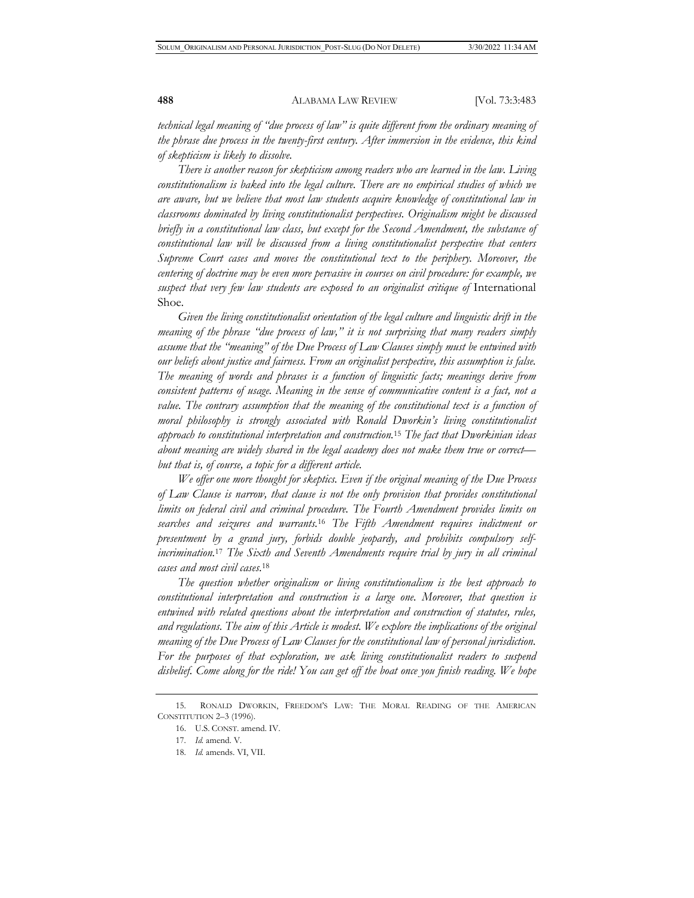*technical legal meaning of "due process of law" is quite different from the ordinary meaning of the phrase due process in the twenty-first century. After immersion in the evidence, this kind of skepticism is likely to dissolve.*

*There is another reason for skepticism among readers who are learned in the law. Living constitutionalism is baked into the legal culture. There are no empirical studies of which we are aware, but we believe that most law students acquire knowledge of constitutional law in classrooms dominated by living constitutionalist perspectives. Originalism might be discussed briefly in a constitutional law class, but except for the Second Amendment, the substance of constitutional law will be discussed from a living constitutionalist perspective that centers Supreme Court cases and moves the constitutional text to the periphery. Moreover, the centering of doctrine may be even more pervasive in courses on civil procedure: for example, we*  suspect that very few law students are exposed to an originalist critique of International Shoe*.*

*Given the living constitutionalist orientation of the legal culture and linguistic drift in the meaning of the phrase "due process of law," it is not surprising that many readers simply assume that the "meaning" of the Due Process of Law Clauses simply must be entwined with our beliefs about justice and fairness. From an originalist perspective, this assumption is false. The meaning of words and phrases is a function of linguistic facts; meanings derive from consistent patterns of usage. Meaning in the sense of communicative content is a fact, not a*  value. The contrary assumption that the meaning of the constitutional text is a function of *moral philosophy is strongly associated with Ronald Dworkin's living constitutionalist approach to constitutional interpretation and construction.*15 *The fact that Dworkinian ideas about meaning are widely shared in the legal academy does not make them true or correct but that is, of course, a topic for a different article.*

*We offer one more thought for skeptics. Even if the original meaning of the Due Process of Law Clause is narrow, that clause is not the only provision that provides constitutional limits on federal civil and criminal procedure. The Fourth Amendment provides limits on searches and seizures and warrants.*16 *The Fifth Amendment requires indictment or presentment by a grand jury, forbids double jeopardy, and prohibits compulsory selfincrimination.*17 *The Sixth and Seventh Amendments require trial by jury in all criminal cases and most civil cases.*<sup>18</sup>

*The question whether originalism or living constitutionalism is the best approach to constitutional interpretation and construction is a large one. Moreover, that question is entwined with related questions about the interpretation and construction of statutes, rules, and regulations. The aim of this Article is modest. We explore the implications of the original meaning of the Due Process of Law Clauses for the constitutional law of personal jurisdiction.*  For the purposes of that exploration, we ask living constitutionalist readers to suspend *disbelief. Come along for the ride! You can get off the boat once you finish reading. We hope* 

<sup>15.</sup> RONALD DWORKIN, FREEDOM'S LAW: THE MORAL READING OF THE AMERICAN CONSTITUTION 2–3 (1996).

<sup>16.</sup> U.S. CONST. amend. IV.

<sup>17.</sup> *Id.* amend. V.

<sup>18.</sup> *Id.* amends. VI, VII.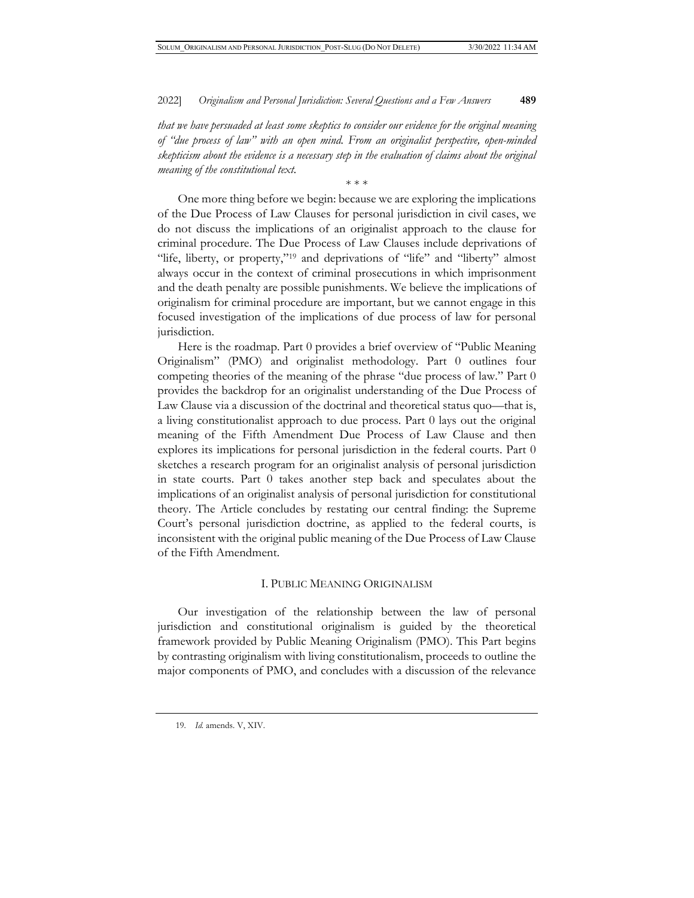*that we have persuaded at least some skeptics to consider our evidence for the original meaning of "due process of law" with an open mind. From an originalist perspective, open-minded skepticism about the evidence is a necessary step in the evaluation of claims about the original meaning of the constitutional text.*

\* \* \*

One more thing before we begin: because we are exploring the implications of the Due Process of Law Clauses for personal jurisdiction in civil cases, we do not discuss the implications of an originalist approach to the clause for criminal procedure. The Due Process of Law Clauses include deprivations of "life, liberty, or property,"<sup>19</sup> and deprivations of "life" and "liberty" almost always occur in the context of criminal prosecutions in which imprisonment and the death penalty are possible punishments. We believe the implications of originalism for criminal procedure are important, but we cannot engage in this focused investigation of the implications of due process of law for personal jurisdiction.

Here is the roadmap. Part 0 provides a brief overview of "Public Meaning Originalism" (PMO) and originalist methodology. Part 0 outlines four competing theories of the meaning of the phrase "due process of law." Part 0 provides the backdrop for an originalist understanding of the Due Process of Law Clause via a discussion of the doctrinal and theoretical status quo—that is, a living constitutionalist approach to due process. Part 0 lays out the original meaning of the Fifth Amendment Due Process of Law Clause and then explores its implications for personal jurisdiction in the federal courts. Part 0 sketches a research program for an originalist analysis of personal jurisdiction in state courts. Part 0 takes another step back and speculates about the implications of an originalist analysis of personal jurisdiction for constitutional theory. The Article concludes by restating our central finding: the Supreme Court's personal jurisdiction doctrine, as applied to the federal courts, is inconsistent with the original public meaning of the Due Process of Law Clause of the Fifth Amendment.

### I. PUBLIC MEANING ORIGINALISM

Our investigation of the relationship between the law of personal jurisdiction and constitutional originalism is guided by the theoretical framework provided by Public Meaning Originalism (PMO). This Part begins by contrasting originalism with living constitutionalism, proceeds to outline the major components of PMO, and concludes with a discussion of the relevance

<sup>19.</sup> *Id.* amends. V, XIV.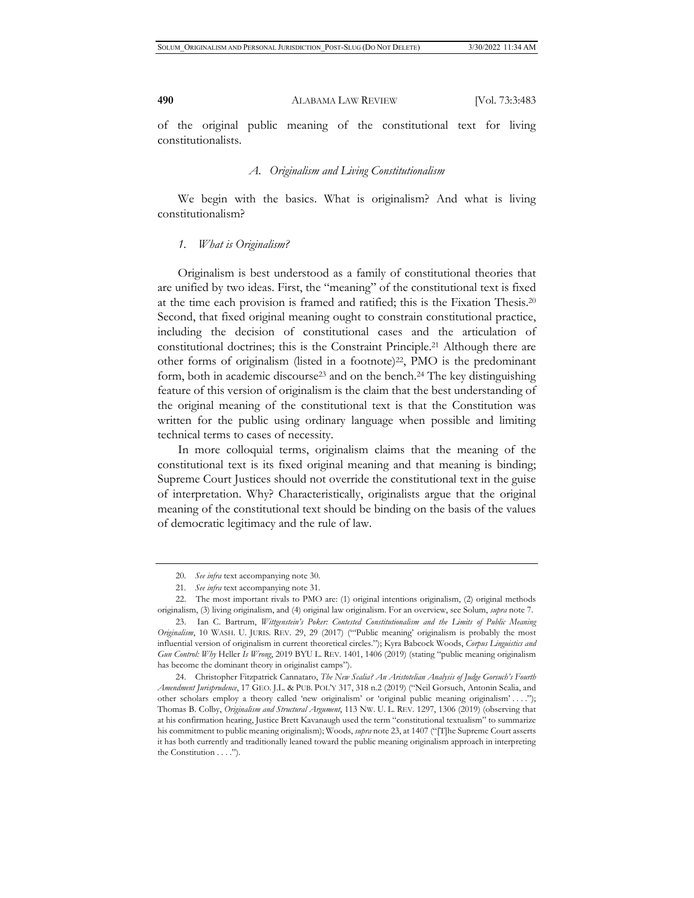of the original public meaning of the constitutional text for living constitutionalists.

#### *A. Originalism and Living Constitutionalism*

We begin with the basics. What is originalism? And what is living constitutionalism?

#### *1. What is Originalism?*

Originalism is best understood as a family of constitutional theories that are unified by two ideas. First, the "meaning" of the constitutional text is fixed at the time each provision is framed and ratified; this is the Fixation Thesis.20 Second, that fixed original meaning ought to constrain constitutional practice, including the decision of constitutional cases and the articulation of constitutional doctrines; this is the Constraint Principle.21 Although there are other forms of originalism (listed in a footnote)<sup>22</sup>, PMO is the predominant form, both in academic discourse23 and on the bench.24 The key distinguishing feature of this version of originalism is the claim that the best understanding of the original meaning of the constitutional text is that the Constitution was written for the public using ordinary language when possible and limiting technical terms to cases of necessity.

In more colloquial terms, originalism claims that the meaning of the constitutional text is its fixed original meaning and that meaning is binding; Supreme Court Justices should not override the constitutional text in the guise of interpretation. Why? Characteristically, originalists argue that the original meaning of the constitutional text should be binding on the basis of the values of democratic legitimacy and the rule of law.

<sup>20.</sup> *See infra* text accompanying note 30.

<sup>21.</sup> *See infra* text accompanying note 31.

<sup>22.</sup> The most important rivals to PMO are: (1) original intentions originalism, (2) original methods originalism, (3) living originalism, and (4) original law originalism. For an overview, see Solum, *supra* note 7.

<sup>23.</sup> Ian C. Bartrum, *Wittgenstein's Poker: Contested Constitutionalism and the Limits of Public Meaning Originalism*, 10 WASH. U. JURIS. REV. 29, 29 (2017) ("'Public meaning' originalism is probably the most influential version of originalism in current theoretical circles."); Kyra Babcock Woods, *Corpus Linguistics and Gun Control: Why* Heller *Is Wrong*, 2019 BYU L. REV. 1401, 1406 (2019) (stating "public meaning originalism has become the dominant theory in originalist camps").

<sup>24.</sup> Christopher Fitzpatrick Cannataro, *The New Scalia? An Aristotelian Analysis of Judge Gorsuch's Fourth Amendment Jurisprudence*, 17 GEO. J.L. & PUB. POL'Y 317, 318 n.2 (2019) ("Neil Gorsuch, Antonin Scalia, and other scholars employ a theory called 'new originalism' or 'original public meaning originalism' . . . ."); Thomas B. Colby, *Originalism and Structural Argument*, 113 NW. U. L. REV. 1297, 1306 (2019) (observing that at his confirmation hearing, Justice Brett Kavanaugh used the term "constitutional textualism" to summarize his commitment to public meaning originalism); Woods, *supra* note 23, at 1407 ("[T]he Supreme Court asserts it has both currently and traditionally leaned toward the public meaning originalism approach in interpreting the Constitution . . . .").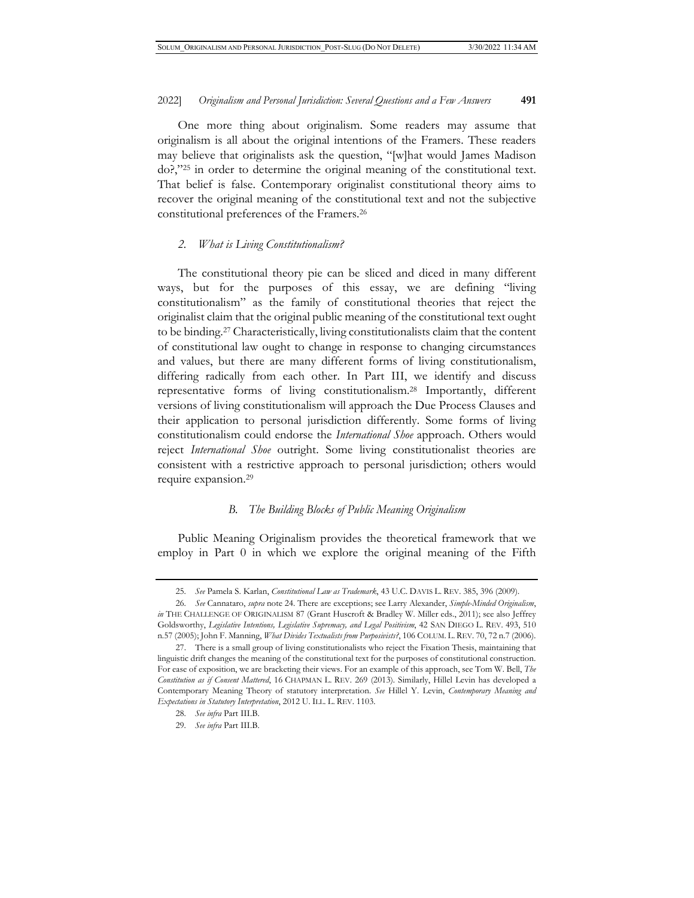One more thing about originalism. Some readers may assume that originalism is all about the original intentions of the Framers. These readers may believe that originalists ask the question, "[w]hat would James Madison do?,"25 in order to determine the original meaning of the constitutional text. That belief is false. Contemporary originalist constitutional theory aims to recover the original meaning of the constitutional text and not the subjective constitutional preferences of the Framers.26

## *2. What is Living Constitutionalism?*

The constitutional theory pie can be sliced and diced in many different ways, but for the purposes of this essay, we are defining "living constitutionalism" as the family of constitutional theories that reject the originalist claim that the original public meaning of the constitutional text ought to be binding.27 Characteristically, living constitutionalists claim that the content of constitutional law ought to change in response to changing circumstances and values, but there are many different forms of living constitutionalism, differing radically from each other. In Part III, we identify and discuss representative forms of living constitutionalism.28 Importantly, different versions of living constitutionalism will approach the Due Process Clauses and their application to personal jurisdiction differently. Some forms of living constitutionalism could endorse the *International Shoe* approach. Others would reject *International Shoe* outright. Some living constitutionalist theories are consistent with a restrictive approach to personal jurisdiction; others would require expansion.29

## *B. The Building Blocks of Public Meaning Originalism*

Public Meaning Originalism provides the theoretical framework that we employ in Part 0 in which we explore the original meaning of the Fifth

<sup>25.</sup> *See* Pamela S. Karlan, *Constitutional Law as Trademark*, 43 U.C. DAVIS L. REV. 385, 396 (2009).

<sup>26.</sup> *See* Cannataro, *supra* note 24. There are exceptions; see Larry Alexander, *Simple-Minded Originalism*, *in* THE CHALLENGE OF ORIGINALISM 87 (Grant Huscroft & Bradley W. Miller eds., 2011); see also Jeffrey Goldsworthy, *Legislative Intentions, Legislative Supremacy, and Legal Positivism*, 42 SAN DIEGO L. REV. 493, 510 n.57 (2005); John F. Manning, *What Divides Textualists from Purposivists?*, 106 COLUM. L. REV. 70, 72 n.7 (2006).

<sup>27.</sup> There is a small group of living constitutionalists who reject the Fixation Thesis, maintaining that linguistic drift changes the meaning of the constitutional text for the purposes of constitutional construction. For ease of exposition, we are bracketing their views. For an example of this approach, see Tom W. Bell, *The Constitution as if Consent Mattered*, 16 CHAPMAN L. REV. 269 (2013). Similarly, Hillel Levin has developed a Contemporary Meaning Theory of statutory interpretation. *See* Hillel Y. Levin, *Contemporary Meaning and Expectations in Statutory Interpretation*, 2012 U. ILL. L. REV. 1103.

<sup>28.</sup> *See infra* Part III.B.

<sup>29.</sup> *See infra* Part III.B.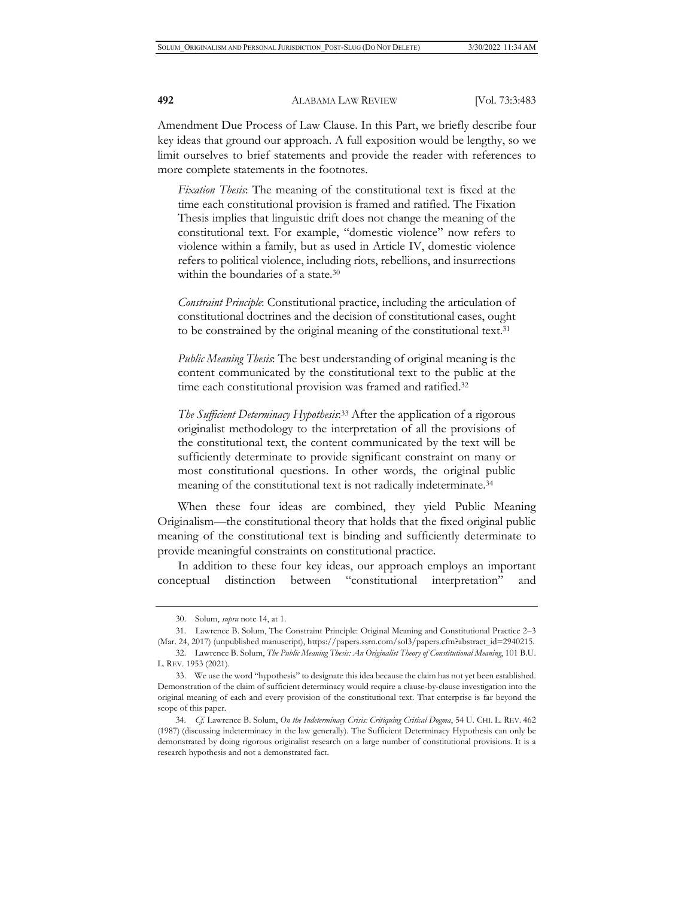Amendment Due Process of Law Clause. In this Part, we briefly describe four key ideas that ground our approach. A full exposition would be lengthy, so we limit ourselves to brief statements and provide the reader with references to more complete statements in the footnotes.

*Fixation Thesis*: The meaning of the constitutional text is fixed at the time each constitutional provision is framed and ratified. The Fixation Thesis implies that linguistic drift does not change the meaning of the constitutional text. For example, "domestic violence" now refers to violence within a family, but as used in Article IV, domestic violence refers to political violence, including riots, rebellions, and insurrections within the boundaries of a state.<sup>30</sup>

*Constraint Principle*: Constitutional practice, including the articulation of constitutional doctrines and the decision of constitutional cases, ought to be constrained by the original meaning of the constitutional text.<sup>31</sup>

*Public Meaning Thesis*: The best understanding of original meaning is the content communicated by the constitutional text to the public at the time each constitutional provision was framed and ratified.32

*The Sufficient Determinacy Hypothesis*: 33 After the application of a rigorous originalist methodology to the interpretation of all the provisions of the constitutional text, the content communicated by the text will be sufficiently determinate to provide significant constraint on many or most constitutional questions. In other words, the original public meaning of the constitutional text is not radically indeterminate.34

When these four ideas are combined, they yield Public Meaning Originalism—the constitutional theory that holds that the fixed original public meaning of the constitutional text is binding and sufficiently determinate to provide meaningful constraints on constitutional practice.

In addition to these four key ideas, our approach employs an important conceptual distinction between "constitutional interpretation" and

<sup>30.</sup> Solum, *supra* note 14, at 1.

<sup>31.</sup> Lawrence B. Solum, The Constraint Principle: Original Meaning and Constitutional Practice 2–3 (Mar. 24, 2017) (unpublished manuscript), https://papers.ssrn.com/sol3/papers.cfm?abstract\_id=2940215.

<sup>32.</sup> Lawrence B. Solum, *The Public Meaning Thesis: An Originalist Theory of Constitutional Meaning*, 101 B.U. L. REV. 1953 (2021).

<sup>33.</sup> We use the word "hypothesis" to designate this idea because the claim has not yet been established. Demonstration of the claim of sufficient determinacy would require a clause-by-clause investigation into the original meaning of each and every provision of the constitutional text. That enterprise is far beyond the scope of this paper.

<sup>34.</sup> *Cf.* Lawrence B. Solum, *On the Indeterminacy Crisis: Critiquing Critical Dogma*, 54 U. CHI. L. REV. 462 (1987) (discussing indeterminacy in the law generally). The Sufficient Determinacy Hypothesis can only be demonstrated by doing rigorous originalist research on a large number of constitutional provisions. It is a research hypothesis and not a demonstrated fact.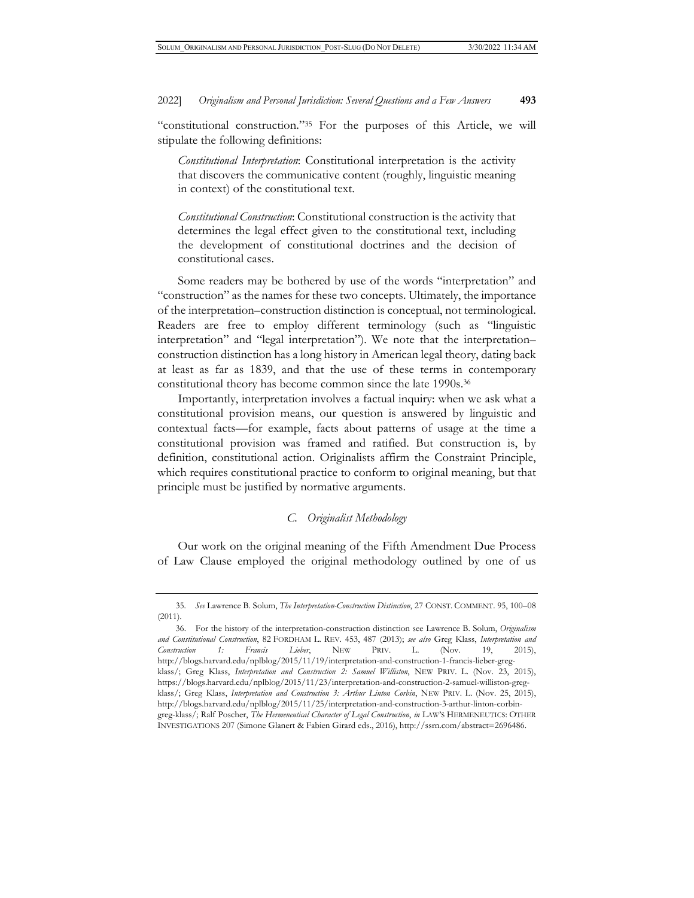"constitutional construction."35 For the purposes of this Article, we will stipulate the following definitions:

*Constitutional Interpretation*: Constitutional interpretation is the activity that discovers the communicative content (roughly, linguistic meaning in context) of the constitutional text.

*Constitutional Construction*: Constitutional construction is the activity that determines the legal effect given to the constitutional text, including the development of constitutional doctrines and the decision of constitutional cases.

Some readers may be bothered by use of the words "interpretation" and "construction" as the names for these two concepts. Ultimately, the importance of the interpretation–construction distinction is conceptual, not terminological. Readers are free to employ different terminology (such as "linguistic interpretation" and "legal interpretation"). We note that the interpretation– construction distinction has a long history in American legal theory, dating back at least as far as 1839, and that the use of these terms in contemporary constitutional theory has become common since the late 1990s.36

Importantly, interpretation involves a factual inquiry: when we ask what a constitutional provision means, our question is answered by linguistic and contextual facts—for example, facts about patterns of usage at the time a constitutional provision was framed and ratified. But construction is, by definition, constitutional action. Originalists affirm the Constraint Principle, which requires constitutional practice to conform to original meaning, but that principle must be justified by normative arguments.

# *C. Originalist Methodology*

Our work on the original meaning of the Fifth Amendment Due Process of Law Clause employed the original methodology outlined by one of us

<sup>35.</sup> *See* Lawrence B. Solum, *The Interpretation-Construction Distinction*, 27 CONST. COMMENT. 95, 100–08 (2011).

<sup>36.</sup> For the history of the interpretation-construction distinction see Lawrence B. Solum, *Originalism and Constitutional Construction*, 82 FORDHAM L. REV. 453, 487 (2013); *see also* Greg Klass, *Interpretation and Construction 1: Francis Lieber*, NEW PRIV. L. (Nov. 19, 2015), http://blogs.harvard.edu/nplblog/2015/11/19/interpretation-and-construction-1-francis-lieber-gregklass/; Greg Klass, *Interpretation and Construction 2: Samuel Williston*, NEW PRIV. L. (Nov. 23, 2015), https://blogs.harvard.edu/nplblog/2015/11/23/interpretation-and-construction-2-samuel-williston-gregklass/; Greg Klass, *Interpretation and Construction 3: Arthur Linton Corbin*, NEW PRIV. L. (Nov. 25, 2015), http://blogs.harvard.edu/nplblog/2015/11/25/interpretation-and-construction-3-arthur-linton-corbingreg-klass/; Ralf Poscher, *The Hermeneutical Character of Legal Construction*, *in* LAW'S HERMENEUTICS: OTHER INVESTIGATIONS 207 (Simone Glanert & Fabien Girard eds., 2016), http://ssrn.com/abstract=2696486.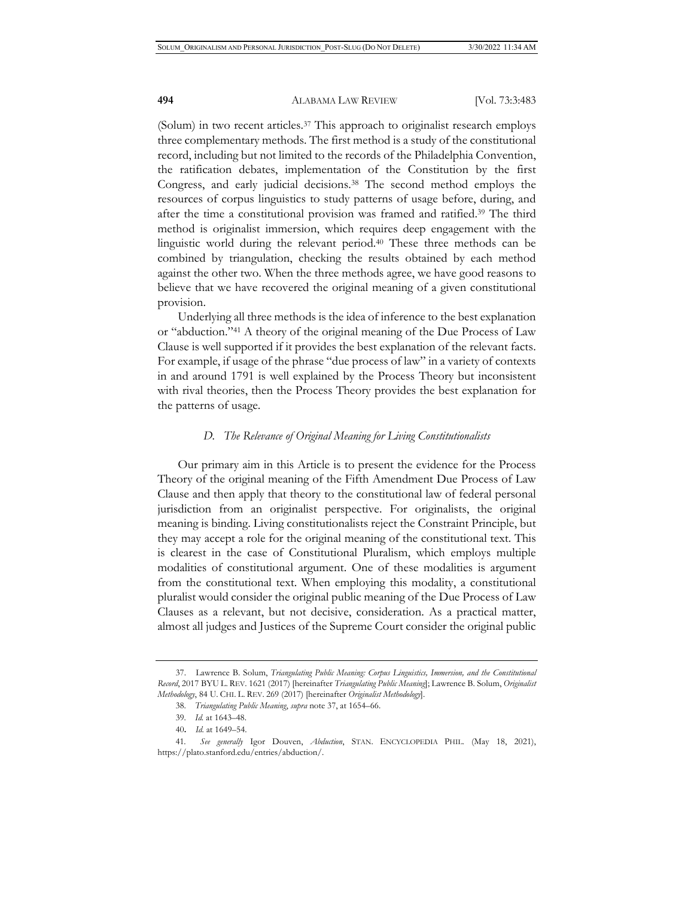(Solum) in two recent articles.37 This approach to originalist research employs three complementary methods. The first method is a study of the constitutional record, including but not limited to the records of the Philadelphia Convention, the ratification debates, implementation of the Constitution by the first Congress, and early judicial decisions.38 The second method employs the resources of corpus linguistics to study patterns of usage before, during, and after the time a constitutional provision was framed and ratified.39 The third method is originalist immersion, which requires deep engagement with the linguistic world during the relevant period.40 These three methods can be combined by triangulation, checking the results obtained by each method against the other two. When the three methods agree, we have good reasons to believe that we have recovered the original meaning of a given constitutional provision.

Underlying all three methods is the idea of inference to the best explanation or "abduction."41 A theory of the original meaning of the Due Process of Law Clause is well supported if it provides the best explanation of the relevant facts. For example, if usage of the phrase "due process of law" in a variety of contexts in and around 1791 is well explained by the Process Theory but inconsistent with rival theories, then the Process Theory provides the best explanation for the patterns of usage.

## *D. The Relevance of Original Meaning for Living Constitutionalists*

Our primary aim in this Article is to present the evidence for the Process Theory of the original meaning of the Fifth Amendment Due Process of Law Clause and then apply that theory to the constitutional law of federal personal jurisdiction from an originalist perspective. For originalists, the original meaning is binding. Living constitutionalists reject the Constraint Principle, but they may accept a role for the original meaning of the constitutional text. This is clearest in the case of Constitutional Pluralism, which employs multiple modalities of constitutional argument. One of these modalities is argument from the constitutional text. When employing this modality, a constitutional pluralist would consider the original public meaning of the Due Process of Law Clauses as a relevant, but not decisive, consideration. As a practical matter, almost all judges and Justices of the Supreme Court consider the original public

<sup>37.</sup> Lawrence B. Solum, *Triangulating Public Meaning: Corpus Linguistics, Immersion, and the Constitutional Record*, 2017 BYU L. REV. 1621 (2017) [hereinafter *Triangulating Public Meaning*]; Lawrence B. Solum, *Originalist Methodology*, 84 U. CHI. L. REV. 269 (2017) [hereinafter *Originalist Methodology*].

<sup>38.</sup> *Triangulating Public Meaning*, *supra* note 37, at 1654–66.

<sup>39.</sup> *Id.* at 1643–48.

<sup>40</sup>**.** *Id.* at 1649–54.

<sup>41</sup>*. See generally* Igor Douven, *Abduction*, STAN. ENCYCLOPEDIA PHIL. (May 18, 2021), https://plato.stanford.edu/entries/abduction/.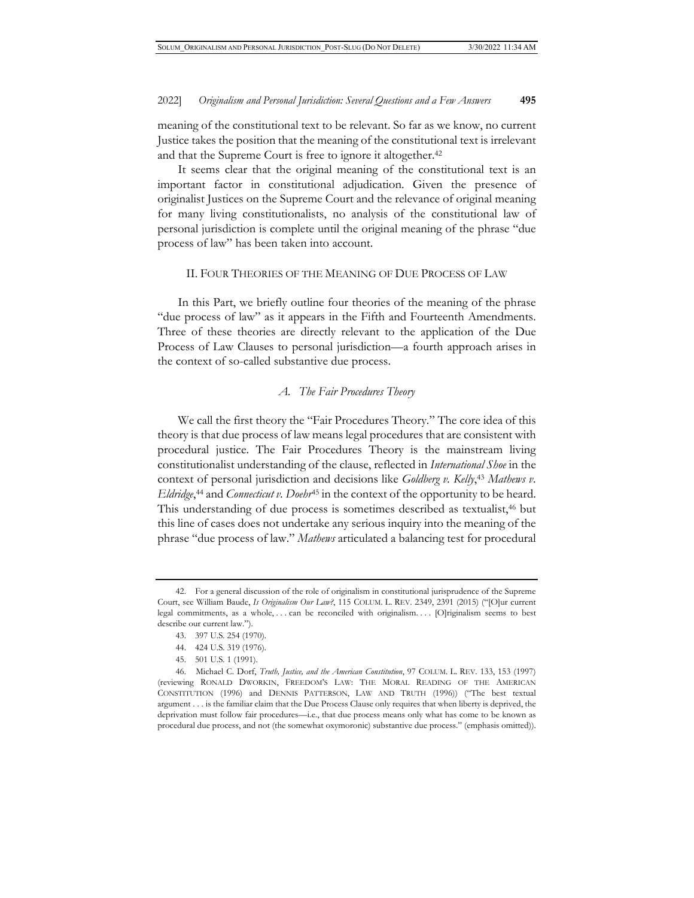meaning of the constitutional text to be relevant. So far as we know, no current Justice takes the position that the meaning of the constitutional text is irrelevant and that the Supreme Court is free to ignore it altogether.42

It seems clear that the original meaning of the constitutional text is an important factor in constitutional adjudication. Given the presence of originalist Justices on the Supreme Court and the relevance of original meaning for many living constitutionalists, no analysis of the constitutional law of personal jurisdiction is complete until the original meaning of the phrase "due process of law" has been taken into account.

## II. FOUR THEORIES OF THE MEANING OF DUE PROCESS OF LAW

In this Part, we briefly outline four theories of the meaning of the phrase "due process of law" as it appears in the Fifth and Fourteenth Amendments. Three of these theories are directly relevant to the application of the Due Process of Law Clauses to personal jurisdiction—a fourth approach arises in the context of so-called substantive due process.

## *A. The Fair Procedures Theory*

We call the first theory the "Fair Procedures Theory." The core idea of this theory is that due process of law means legal procedures that are consistent with procedural justice. The Fair Procedures Theory is the mainstream living constitutionalist understanding of the clause, reflected in *International Shoe* in the context of personal jurisdiction and decisions like *Goldberg v. Kelly*, <sup>43</sup> *Mathews v.*  Eldridge,<sup>44</sup> and *Connecticut v*. Doehr<sup>45</sup> in the context of the opportunity to be heard. This understanding of due process is sometimes described as textualist,<sup>46</sup> but this line of cases does not undertake any serious inquiry into the meaning of the phrase "due process of law." *Mathews* articulated a balancing test for procedural

<sup>42.</sup> For a general discussion of the role of originalism in constitutional jurisprudence of the Supreme Court, see William Baude, *Is Originalism Our Law?*, 115 COLUM. L. REV. 2349, 2391 (2015) ("[O]ur current legal commitments, as a whole, ... can be reconciled with originalism.... [O]riginalism seems to best describe our current law.").

<sup>43. 397</sup> U.S. 254 (1970).

<sup>44. 424</sup> U.S. 319 (1976).

<sup>45. 501</sup> U.S. 1 (1991).

<sup>46.</sup> Michael C. Dorf, *Truth, Justice, and the American Constitution*, 97 COLUM. L. REV. 133, 153 (1997) (reviewing RONALD DWORKIN, FREEDOM'S LAW: THE MORAL READING OF THE AMERICAN CONSTITUTION (1996) and DENNIS PATTERSON, LAW AND TRUTH (1996)) ("The best textual argument . . . is the familiar claim that the Due Process Clause only requires that when liberty is deprived, the deprivation must follow fair procedures—i.e., that due process means only what has come to be known as procedural due process, and not (the somewhat oxymoronic) substantive due process." (emphasis omitted)).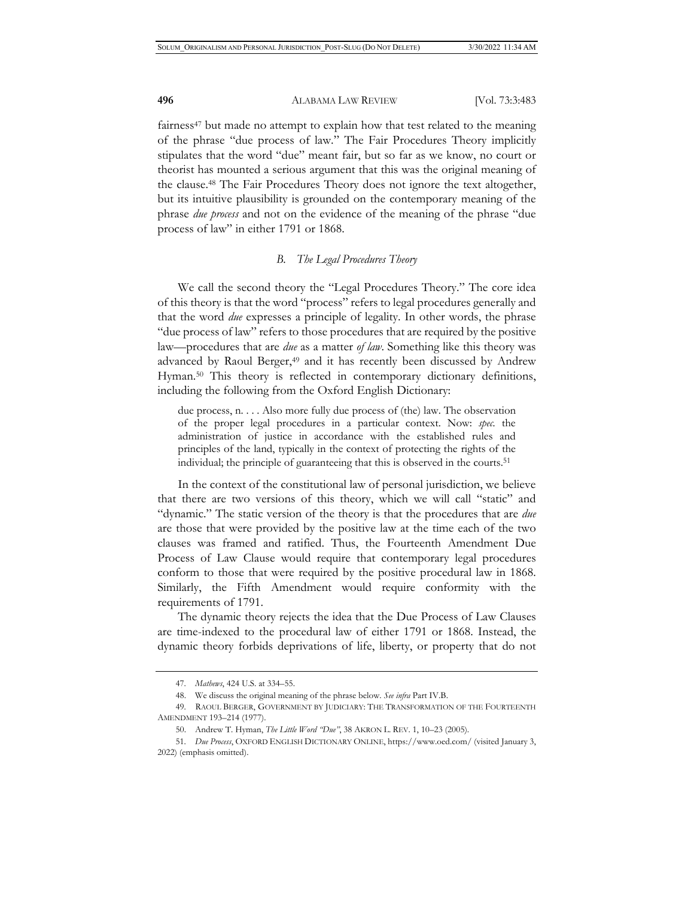fairness<sup>47</sup> but made no attempt to explain how that test related to the meaning of the phrase "due process of law." The Fair Procedures Theory implicitly stipulates that the word "due" meant fair, but so far as we know, no court or theorist has mounted a serious argument that this was the original meaning of the clause.48 The Fair Procedures Theory does not ignore the text altogether, but its intuitive plausibility is grounded on the contemporary meaning of the phrase *due process* and not on the evidence of the meaning of the phrase "due process of law" in either 1791 or 1868.

#### *B. The Legal Procedures Theory*

We call the second theory the "Legal Procedures Theory." The core idea of this theory is that the word "process" refers to legal procedures generally and that the word *due* expresses a principle of legality. In other words, the phrase "due process of law" refers to those procedures that are required by the positive law—procedures that are *due* as a matter *of law*. Something like this theory was advanced by Raoul Berger,<sup>49</sup> and it has recently been discussed by Andrew Hyman.<sup>50</sup> This theory is reflected in contemporary dictionary definitions, including the following from the Oxford English Dictionary:

due process, n. . . . Also more fully due process of (the) law. The observation of the proper legal procedures in a particular context. Now: *spec.* the administration of justice in accordance with the established rules and principles of the land, typically in the context of protecting the rights of the individual; the principle of guaranteeing that this is observed in the courts.<sup>51</sup>

In the context of the constitutional law of personal jurisdiction, we believe that there are two versions of this theory, which we will call "static" and "dynamic." The static version of the theory is that the procedures that are *due* are those that were provided by the positive law at the time each of the two clauses was framed and ratified. Thus, the Fourteenth Amendment Due Process of Law Clause would require that contemporary legal procedures conform to those that were required by the positive procedural law in 1868. Similarly, the Fifth Amendment would require conformity with the requirements of 1791.

The dynamic theory rejects the idea that the Due Process of Law Clauses are time-indexed to the procedural law of either 1791 or 1868. Instead, the dynamic theory forbids deprivations of life, liberty, or property that do not

<sup>47.</sup> *Mathews*, 424 U.S. at 334–55.

<sup>48.</sup> We discuss the original meaning of the phrase below. *See infra* Part IV.B.

<sup>49.</sup> RAOUL BERGER, GOVERNMENT BY JUDICIARY: THE TRANSFORMATION OF THE FOURTEENTH AMENDMENT 193–214 (1977).

<sup>50.</sup> Andrew T. Hyman, *The Little Word "Due"*, 38 AKRON L. REV. 1, 10–23 (2005).

<sup>51.</sup> *Due Process*, OXFORD ENGLISH DICTIONARY ONLINE, https://www.oed.com/ (visited January 3, 2022) (emphasis omitted).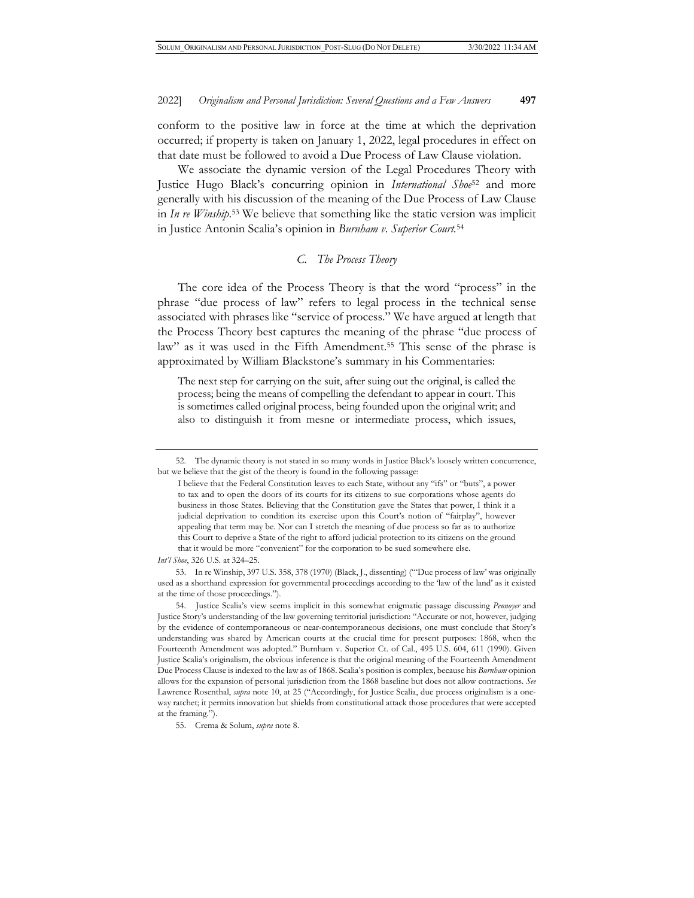conform to the positive law in force at the time at which the deprivation occurred; if property is taken on January 1, 2022, legal procedures in effect on that date must be followed to avoid a Due Process of Law Clause violation.

We associate the dynamic version of the Legal Procedures Theory with Justice Hugo Black's concurring opinion in *International Shoe*<sup>52</sup> and more generally with his discussion of the meaning of the Due Process of Law Clause in *In re Winship*. 53 We believe that something like the static version was implicit in Justice Antonin Scalia's opinion in *Burnham v. Superior Court.*<sup>54</sup>

# *C. The Process Theory*

The core idea of the Process Theory is that the word "process" in the phrase "due process of law" refers to legal process in the technical sense associated with phrases like "service of process." We have argued at length that the Process Theory best captures the meaning of the phrase "due process of law" as it was used in the Fifth Amendment.<sup>55</sup> This sense of the phrase is approximated by William Blackstone's summary in his Commentaries:

The next step for carrying on the suit, after suing out the original, is called the process; being the means of compelling the defendant to appear in court. This is sometimes called original process, being founded upon the original writ; and also to distinguish it from mesne or intermediate process, which issues,

<sup>52.</sup> The dynamic theory is not stated in so many words in Justice Black's loosely written concurrence, but we believe that the gist of the theory is found in the following passage:

I believe that the Federal Constitution leaves to each State, without any "ifs" or "buts", a power to tax and to open the doors of its courts for its citizens to sue corporations whose agents do business in those States. Believing that the Constitution gave the States that power, I think it a judicial deprivation to condition its exercise upon this Court's notion of "fairplay", however appealing that term may be. Nor can I stretch the meaning of due process so far as to authorize this Court to deprive a State of the right to afford judicial protection to its citizens on the ground that it would be more "convenient" for the corporation to be sued somewhere else.

*Int'l Shoe*, 326 U.S. at 324–25.

<sup>53.</sup> In re Winship, 397 U.S. 358, 378 (1970) (Black, J., dissenting) ("'Due process of law' was originally used as a shorthand expression for governmental proceedings according to the 'law of the land' as it existed at the time of those proceedings.").

<sup>54.</sup> Justice Scalia's view seems implicit in this somewhat enigmatic passage discussing *Pennoyer* and Justice Story's understanding of the law governing territorial jurisdiction: "Accurate or not, however, judging by the evidence of contemporaneous or near-contemporaneous decisions, one must conclude that Story's understanding was shared by American courts at the crucial time for present purposes: 1868, when the Fourteenth Amendment was adopted." Burnham v. Superior Ct. of Cal., 495 U.S. 604, 611 (1990). Given Justice Scalia's originalism, the obvious inference is that the original meaning of the Fourteenth Amendment Due Process Clause is indexed to the law as of 1868. Scalia's position is complex, because his *Burnham* opinion allows for the expansion of personal jurisdiction from the 1868 baseline but does not allow contractions. *See*  Lawrence Rosenthal, *supra* note 10, at 25 ("Accordingly, for Justice Scalia, due process originalism is a oneway ratchet; it permits innovation but shields from constitutional attack those procedures that were accepted at the framing.").

<sup>55.</sup> Crema & Solum, *supra* note 8.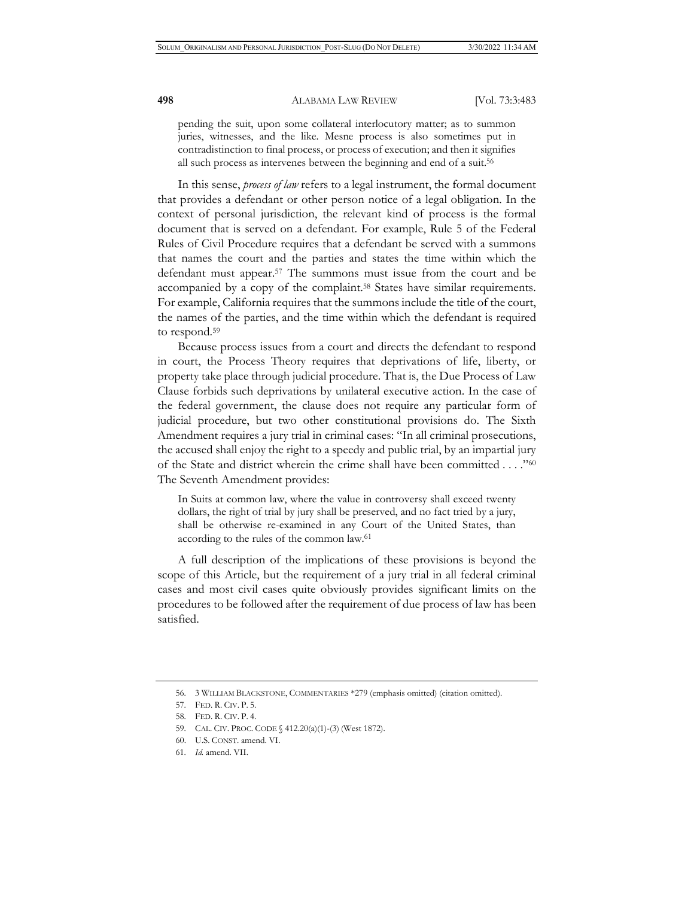pending the suit, upon some collateral interlocutory matter; as to summon juries, witnesses, and the like. Mesne process is also sometimes put in contradistinction to final process, or process of execution; and then it signifies all such process as intervenes between the beginning and end of a suit.56

In this sense, *process of law* refers to a legal instrument, the formal document that provides a defendant or other person notice of a legal obligation. In the context of personal jurisdiction, the relevant kind of process is the formal document that is served on a defendant. For example, Rule 5 of the Federal Rules of Civil Procedure requires that a defendant be served with a summons that names the court and the parties and states the time within which the defendant must appear.57 The summons must issue from the court and be accompanied by a copy of the complaint.58 States have similar requirements. For example, California requires that the summons include the title of the court, the names of the parties, and the time within which the defendant is required to respond.<sup>59</sup>

Because process issues from a court and directs the defendant to respond in court, the Process Theory requires that deprivations of life, liberty, or property take place through judicial procedure. That is, the Due Process of Law Clause forbids such deprivations by unilateral executive action. In the case of the federal government, the clause does not require any particular form of judicial procedure, but two other constitutional provisions do. The Sixth Amendment requires a jury trial in criminal cases: "In all criminal prosecutions, the accused shall enjoy the right to a speedy and public trial, by an impartial jury of the State and district wherein the crime shall have been committed . . . ."60 The Seventh Amendment provides:

In Suits at common law, where the value in controversy shall exceed twenty dollars, the right of trial by jury shall be preserved, and no fact tried by a jury, shall be otherwise re-examined in any Court of the United States, than according to the rules of the common law.61

A full description of the implications of these provisions is beyond the scope of this Article, but the requirement of a jury trial in all federal criminal cases and most civil cases quite obviously provides significant limits on the procedures to be followed after the requirement of due process of law has been satisfied.

<sup>56. 3</sup> WILLIAM BLACKSTONE, COMMENTARIES \*279 (emphasis omitted) (citation omitted).

<sup>57.</sup> FED. R. CIV. P. 5.

<sup>58.</sup> FED. R. CIV. P. 4.

<sup>59.</sup> CAL. CIV. PROC. CODE § 412.20(a)(1)-(3) (West 1872).

<sup>60.</sup> U.S. CONST. amend. VI.

<sup>61.</sup> *Id.* amend. VII.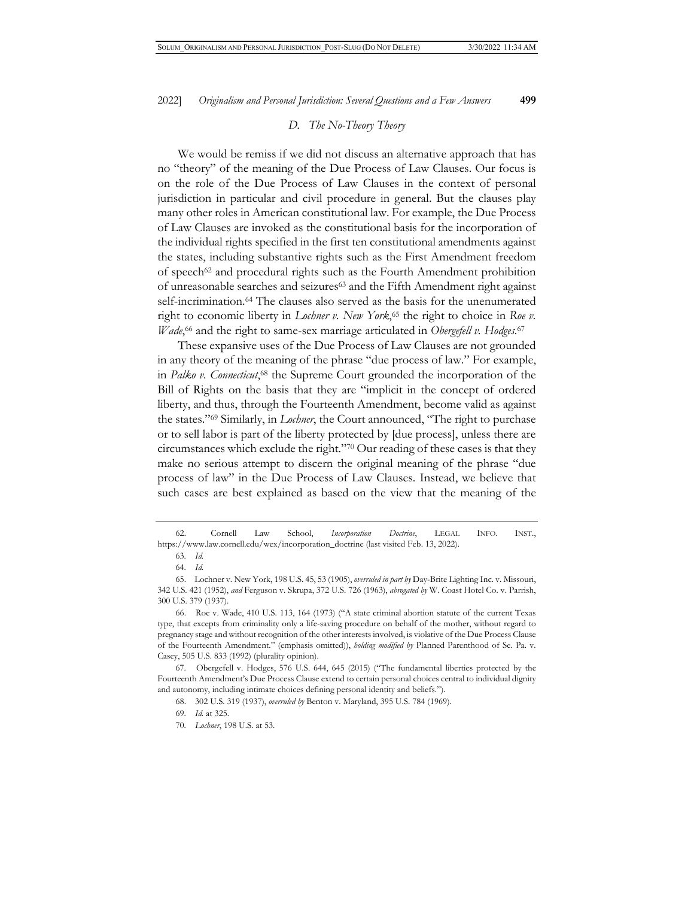## *D. The No-Theory Theory*

We would be remiss if we did not discuss an alternative approach that has no "theory" of the meaning of the Due Process of Law Clauses. Our focus is on the role of the Due Process of Law Clauses in the context of personal jurisdiction in particular and civil procedure in general. But the clauses play many other roles in American constitutional law. For example, the Due Process of Law Clauses are invoked as the constitutional basis for the incorporation of the individual rights specified in the first ten constitutional amendments against the states, including substantive rights such as the First Amendment freedom of speech<sup>62</sup> and procedural rights such as the Fourth Amendment prohibition of unreasonable searches and seizures<sup>63</sup> and the Fifth Amendment right against self-incrimination.<sup>64</sup> The clauses also served as the basis for the unenumerated right to economic liberty in *Lochner v. New York*, 65 the right to choice in *Roe v. Wade*,<sup>66</sup> and the right to same-sex marriage articulated in *Obergefell v. Hodges*.<sup>67</sup>

These expansive uses of the Due Process of Law Clauses are not grounded in any theory of the meaning of the phrase "due process of law." For example, in *Palko v. Connecticut*, 68 the Supreme Court grounded the incorporation of the Bill of Rights on the basis that they are "implicit in the concept of ordered liberty, and thus, through the Fourteenth Amendment, become valid as against the states."69 Similarly, in *Lochner*, the Court announced, "The right to purchase or to sell labor is part of the liberty protected by [due process], unless there are circumstances which exclude the right."70 Our reading of these cases is that they make no serious attempt to discern the original meaning of the phrase "due process of law" in the Due Process of Law Clauses. Instead, we believe that such cases are best explained as based on the view that the meaning of the

64. *Id.*

<sup>62.</sup> Cornell Law School, *Incorporation Doctrine*, LEGAL INFO. INST., https://www.law.cornell.edu/wex/incorporation\_doctrine (last visited Feb. 13, 2022).

<sup>63.</sup> *Id.* 

<sup>65.</sup> Lochner v. New York, 198 U.S. 45, 53 (1905), *overruled in part by* Day-Brite Lighting Inc. v. Missouri, 342 U.S. 421 (1952), *and* Ferguson v. Skrupa, 372 U.S. 726 (1963), *abrogated by* W. Coast Hotel Co. v. Parrish, 300 U.S. 379 (1937).

<sup>66.</sup> Roe v. Wade, 410 U.S. 113, 164 (1973) ("A state criminal abortion statute of the current Texas type, that excepts from criminality only a life-saving procedure on behalf of the mother, without regard to pregnancy stage and without recognition of the other interests involved, is violative of the Due Process Clause of the Fourteenth Amendment." (emphasis omitted)), *holding modified by* Planned Parenthood of Se. Pa. v. Casey, 505 U.S. 833 (1992) (plurality opinion).

<sup>67.</sup> Obergefell v. Hodges, 576 U.S. 644, 645 (2015) ("The fundamental liberties protected by the Fourteenth Amendment's Due Process Clause extend to certain personal choices central to individual dignity and autonomy, including intimate choices defining personal identity and beliefs.").

<sup>68. 302</sup> U.S. 319 (1937), *overruled by* Benton v. Maryland, 395 U.S. 784 (1969).

<sup>69.</sup> *Id.* at 325.

<sup>70.</sup> *Lochner*, 198 U.S. at 53.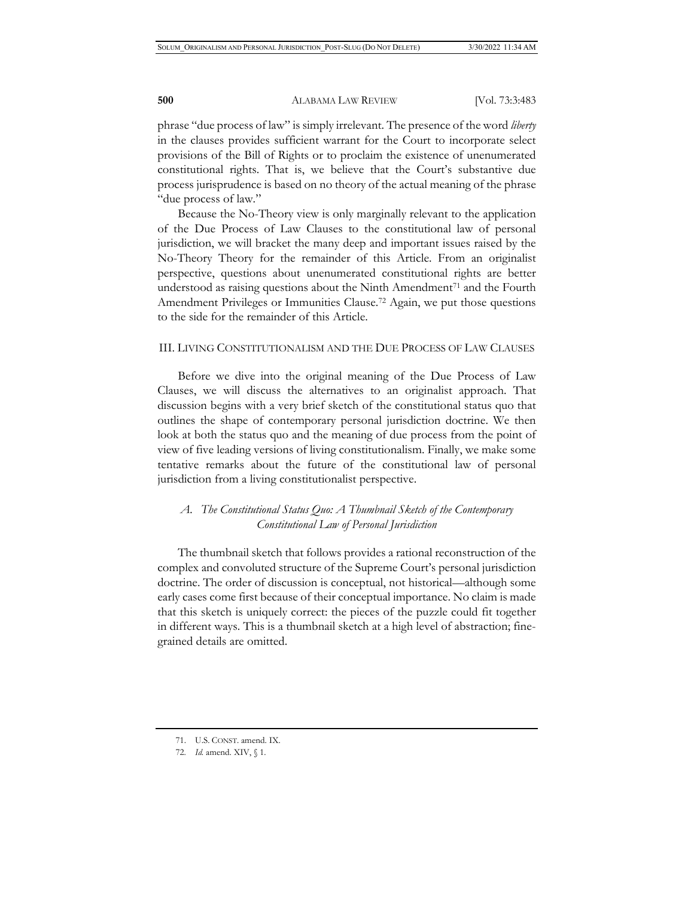phrase "due process of law" is simply irrelevant. The presence of the word *liberty* in the clauses provides sufficient warrant for the Court to incorporate select provisions of the Bill of Rights or to proclaim the existence of unenumerated constitutional rights. That is, we believe that the Court's substantive due process jurisprudence is based on no theory of the actual meaning of the phrase "due process of law."

Because the No-Theory view is only marginally relevant to the application of the Due Process of Law Clauses to the constitutional law of personal jurisdiction, we will bracket the many deep and important issues raised by the No-Theory Theory for the remainder of this Article. From an originalist perspective, questions about unenumerated constitutional rights are better understood as raising questions about the Ninth Amendment<sup>71</sup> and the Fourth Amendment Privileges or Immunities Clause.72 Again, we put those questions to the side for the remainder of this Article.

## III. LIVING CONSTITUTIONALISM AND THE DUE PROCESS OF LAW CLAUSES

Before we dive into the original meaning of the Due Process of Law Clauses, we will discuss the alternatives to an originalist approach. That discussion begins with a very brief sketch of the constitutional status quo that outlines the shape of contemporary personal jurisdiction doctrine. We then look at both the status quo and the meaning of due process from the point of view of five leading versions of living constitutionalism. Finally, we make some tentative remarks about the future of the constitutional law of personal jurisdiction from a living constitutionalist perspective.

# *A. The Constitutional Status Quo: A Thumbnail Sketch of the Contemporary Constitutional Law of Personal Jurisdiction*

The thumbnail sketch that follows provides a rational reconstruction of the complex and convoluted structure of the Supreme Court's personal jurisdiction doctrine. The order of discussion is conceptual, not historical—although some early cases come first because of their conceptual importance. No claim is made that this sketch is uniquely correct: the pieces of the puzzle could fit together in different ways. This is a thumbnail sketch at a high level of abstraction; finegrained details are omitted.

<sup>71.</sup> U.S. CONST. amend. IX.

<sup>72.</sup> *Id.* amend. XIV, § 1.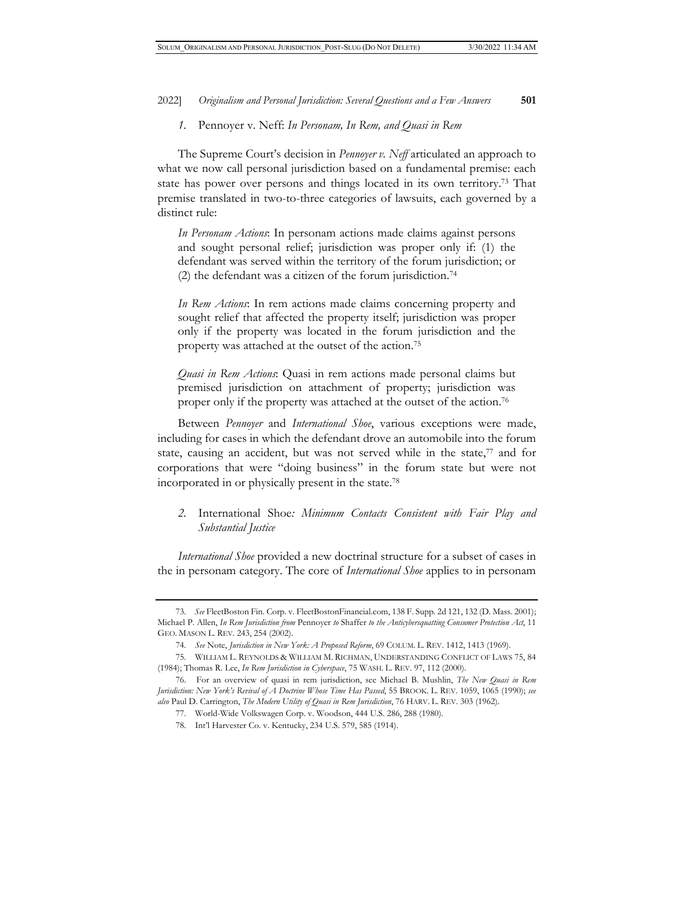*1.* Pennoyer v. Neff: *In Personam, In Rem, and Quasi in Rem* 

The Supreme Court's decision in *Pennoyer v. Neff* articulated an approach to what we now call personal jurisdiction based on a fundamental premise: each state has power over persons and things located in its own territory.73 That premise translated in two-to-three categories of lawsuits, each governed by a distinct rule:

*In Personam Actions*: In personam actions made claims against persons and sought personal relief; jurisdiction was proper only if: (1) the defendant was served within the territory of the forum jurisdiction; or (2) the defendant was a citizen of the forum jurisdiction.74

*In Rem Actions*: In rem actions made claims concerning property and sought relief that affected the property itself; jurisdiction was proper only if the property was located in the forum jurisdiction and the property was attached at the outset of the action.75

*Quasi in Rem Actions*: Quasi in rem actions made personal claims but premised jurisdiction on attachment of property; jurisdiction was proper only if the property was attached at the outset of the action.76

Between *Pennoyer* and *International Shoe*, various exceptions were made, including for cases in which the defendant drove an automobile into the forum state, causing an accident, but was not served while in the state,<sup>77</sup> and for corporations that were "doing business" in the forum state but were not incorporated in or physically present in the state.78

# *2.* International Shoe*: Minimum Contacts Consistent with Fair Play and Substantial Justice*

*International Shoe* provided a new doctrinal structure for a subset of cases in the in personam category. The core of *International Shoe* applies to in personam

<sup>73.</sup> *See* FleetBoston Fin. Corp. v. FleetBostonFinancial.com, 138 F. Supp. 2d 121, 132 (D. Mass. 2001); Michael P. Allen, *In Rem Jurisdiction from* Pennoyer *to* Shaffer *to the Anticybersquatting Consumer Protection Act*, 11 GEO. MASON L. REV. 243, 254 (2002).

<sup>74.</sup> *See* Note, *Jurisdiction in New York: A Proposed Reform*, 69 COLUM. L. REV. 1412, 1413 (1969).

<sup>75.</sup> WILLIAM L. REYNOLDS & WILLIAM M. RICHMAN, UNDERSTANDING CONFLICT OF LAWS 75, 84 (1984); Thomas R. Lee, *In Rem Jurisdiction in Cyberspace*, 75 WASH. L. REV. 97, 112 (2000).

<sup>76.</sup> For an overview of quasi in rem jurisdiction, see Michael B. Mushlin, *The New Quasi in Rem Jurisdiction: New York's Revival of A Doctrine Whose Time Has Passed*, 55 BROOK. L. REV. 1059, 1065 (1990); *see also* Paul D. Carrington, *The Modern Utility of Quasi in Rem Jurisdiction*, 76 HARV. L. REV. 303 (1962).

<sup>77.</sup> World-Wide Volkswagen Corp. v. Woodson, 444 U.S. 286, 288 (1980).

<sup>78.</sup> Int'l Harvester Co. v. Kentucky, 234 U.S. 579, 585 (1914).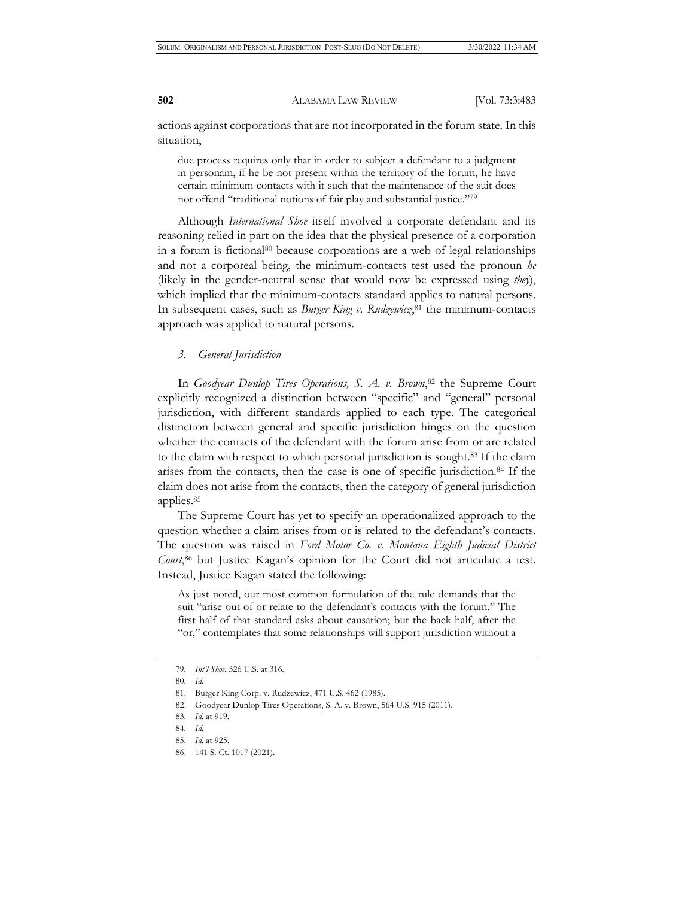actions against corporations that are not incorporated in the forum state. In this situation,

due process requires only that in order to subject a defendant to a judgment in personam, if he be not present within the territory of the forum, he have certain minimum contacts with it such that the maintenance of the suit does not offend "traditional notions of fair play and substantial justice."79

Although *International Shoe* itself involved a corporate defendant and its reasoning relied in part on the idea that the physical presence of a corporation in a forum is fictional80 because corporations are a web of legal relationships and not a corporeal being, the minimum-contacts test used the pronoun *he* (likely in the gender-neutral sense that would now be expressed using *they*), which implied that the minimum-contacts standard applies to natural persons. In subsequent cases, such as *Burger King v. Rudzewicz*, 81 the minimum-contacts approach was applied to natural persons.

*3. General Jurisdiction* 

In *Goodyear Dunlop Tires Operations, S. A. v. Brown*, 82 the Supreme Court explicitly recognized a distinction between "specific" and "general" personal jurisdiction, with different standards applied to each type. The categorical distinction between general and specific jurisdiction hinges on the question whether the contacts of the defendant with the forum arise from or are related to the claim with respect to which personal jurisdiction is sought.83 If the claim arises from the contacts, then the case is one of specific jurisdiction.84 If the claim does not arise from the contacts, then the category of general jurisdiction applies.85

The Supreme Court has yet to specify an operationalized approach to the question whether a claim arises from or is related to the defendant's contacts. The question was raised in *Ford Motor Co. v. Montana Eighth Judicial District Court*, 86 but Justice Kagan's opinion for the Court did not articulate a test. Instead, Justice Kagan stated the following:

As just noted, our most common formulation of the rule demands that the suit "arise out of or relate to the defendant's contacts with the forum." The first half of that standard asks about causation; but the back half, after the "or," contemplates that some relationships will support jurisdiction without a

<sup>79.</sup> *Int'l Shoe*, 326 U.S. at 316.

<sup>80.</sup> *Id.* 

<sup>81.</sup> Burger King Corp. v. Rudzewicz, 471 U.S. 462 (1985).

<sup>82.</sup> Goodyear Dunlop Tires Operations, S. A. v. Brown, 564 U.S. 915 (2011).

<sup>83.</sup> *Id.* at 919.

<sup>84.</sup> *Id.*

<sup>85.</sup> *Id.* at 925.

<sup>86. 141</sup> S. Ct. 1017 (2021).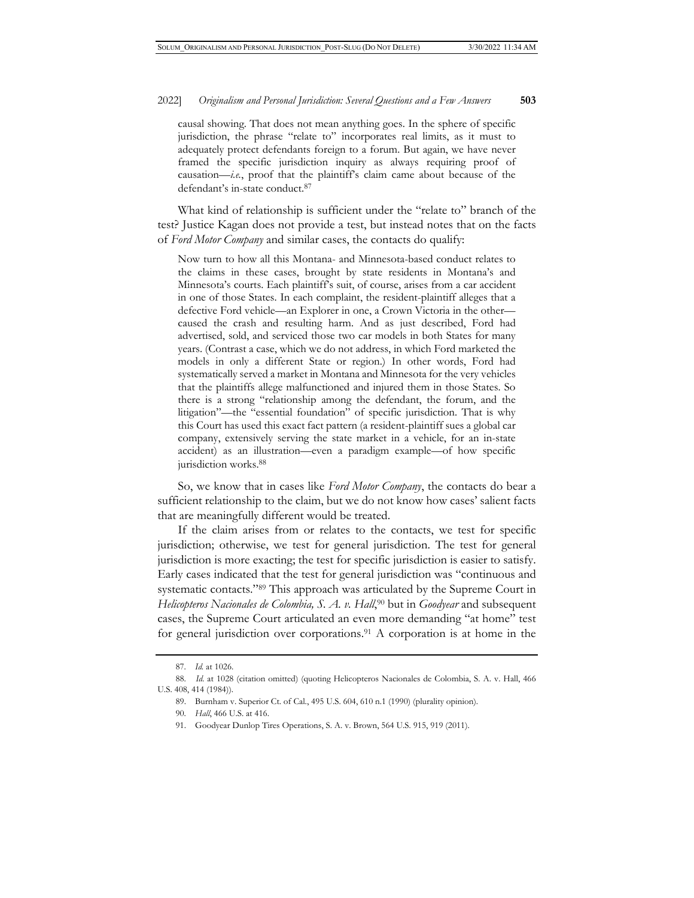causal showing. That does not mean anything goes. In the sphere of specific jurisdiction, the phrase "relate to" incorporates real limits, as it must to adequately protect defendants foreign to a forum. But again, we have never framed the specific jurisdiction inquiry as always requiring proof of causation—*i.e.*, proof that the plaintiff's claim came about because of the defendant's in-state conduct.87

What kind of relationship is sufficient under the "relate to" branch of the test? Justice Kagan does not provide a test, but instead notes that on the facts of *Ford Motor Company* and similar cases, the contacts do qualify:

Now turn to how all this Montana- and Minnesota-based conduct relates to the claims in these cases, brought by state residents in Montana's and Minnesota's courts. Each plaintiff's suit, of course, arises from a car accident in one of those States. In each complaint, the resident-plaintiff alleges that a defective Ford vehicle—an Explorer in one, a Crown Victoria in the other caused the crash and resulting harm. And as just described, Ford had advertised, sold, and serviced those two car models in both States for many years. (Contrast a case, which we do not address, in which Ford marketed the models in only a different State or region.) In other words, Ford had systematically served a market in Montana and Minnesota for the very vehicles that the plaintiffs allege malfunctioned and injured them in those States. So there is a strong "relationship among the defendant, the forum, and the litigation"—the "essential foundation" of specific jurisdiction. That is why this Court has used this exact fact pattern (a resident-plaintiff sues a global car company, extensively serving the state market in a vehicle, for an in-state accident) as an illustration—even a paradigm example—of how specific jurisdiction works.88

So, we know that in cases like *Ford Motor Company*, the contacts do bear a sufficient relationship to the claim, but we do not know how cases' salient facts that are meaningfully different would be treated.

If the claim arises from or relates to the contacts, we test for specific jurisdiction; otherwise, we test for general jurisdiction. The test for general jurisdiction is more exacting; the test for specific jurisdiction is easier to satisfy. Early cases indicated that the test for general jurisdiction was "continuous and systematic contacts."89 This approach was articulated by the Supreme Court in *Helicopteros Nacionales de Colombia, S. A. v. Hall*, 90 but in *Goodyear* and subsequent cases, the Supreme Court articulated an even more demanding "at home" test for general jurisdiction over corporations.91 A corporation is at home in the

<sup>87.</sup> *Id.* at 1026.

<sup>88.</sup> *Id.* at 1028 (citation omitted) (quoting Helicopteros Nacionales de Colombia, S. A. v. Hall, 466 U.S. 408, 414 (1984)).

<sup>89.</sup> Burnham v. Superior Ct. of Cal., 495 U.S. 604, 610 n.1 (1990) (plurality opinion).

<sup>90.</sup> *Hall*, 466 U.S. at 416.

<sup>91.</sup> Goodyear Dunlop Tires Operations, S. A. v. Brown, 564 U.S. 915, 919 (2011).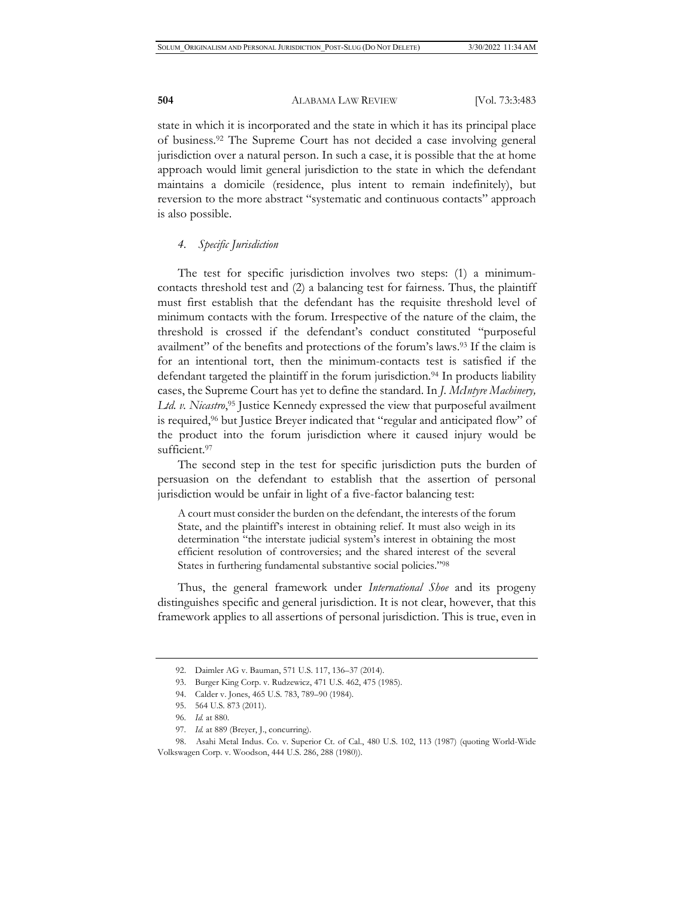state in which it is incorporated and the state in which it has its principal place of business.92 The Supreme Court has not decided a case involving general jurisdiction over a natural person. In such a case, it is possible that the at home approach would limit general jurisdiction to the state in which the defendant maintains a domicile (residence, plus intent to remain indefinitely), but reversion to the more abstract "systematic and continuous contacts" approach is also possible.

## *4. Specific Jurisdiction*

The test for specific jurisdiction involves two steps: (1) a minimumcontacts threshold test and (2) a balancing test for fairness. Thus, the plaintiff must first establish that the defendant has the requisite threshold level of minimum contacts with the forum. Irrespective of the nature of the claim, the threshold is crossed if the defendant's conduct constituted "purposeful availment" of the benefits and protections of the forum's laws.93 If the claim is for an intentional tort, then the minimum-contacts test is satisfied if the defendant targeted the plaintiff in the forum jurisdiction.<sup>94</sup> In products liability cases, the Supreme Court has yet to define the standard. In *J. McIntyre Machinery, Ltd. v. Nicastro*, 95 Justice Kennedy expressed the view that purposeful availment is required,96 but Justice Breyer indicated that "regular and anticipated flow" of the product into the forum jurisdiction where it caused injury would be sufficient.97

The second step in the test for specific jurisdiction puts the burden of persuasion on the defendant to establish that the assertion of personal jurisdiction would be unfair in light of a five-factor balancing test:

A court must consider the burden on the defendant, the interests of the forum State, and the plaintiff's interest in obtaining relief. It must also weigh in its determination "the interstate judicial system's interest in obtaining the most efficient resolution of controversies; and the shared interest of the several States in furthering fundamental substantive social policies."98

Thus, the general framework under *International Shoe* and its progeny distinguishes specific and general jurisdiction. It is not clear, however, that this framework applies to all assertions of personal jurisdiction. This is true, even in

<sup>92.</sup> Daimler AG v. Bauman, 571 U.S. 117, 136–37 (2014).

<sup>93.</sup> Burger King Corp. v. Rudzewicz, 471 U.S. 462, 475 (1985).

<sup>94.</sup> Calder v. Jones, 465 U.S. 783, 789–90 (1984).

<sup>95. 564</sup> U.S. 873 (2011).

<sup>96.</sup> *Id.* at 880.

<sup>97.</sup> *Id.* at 889 (Breyer, J., concurring).

<sup>98.</sup> Asahi Metal Indus. Co. v. Superior Ct. of Cal., 480 U.S. 102, 113 (1987) (quoting World-Wide Volkswagen Corp. v. Woodson, 444 U.S. 286, 288 (1980)).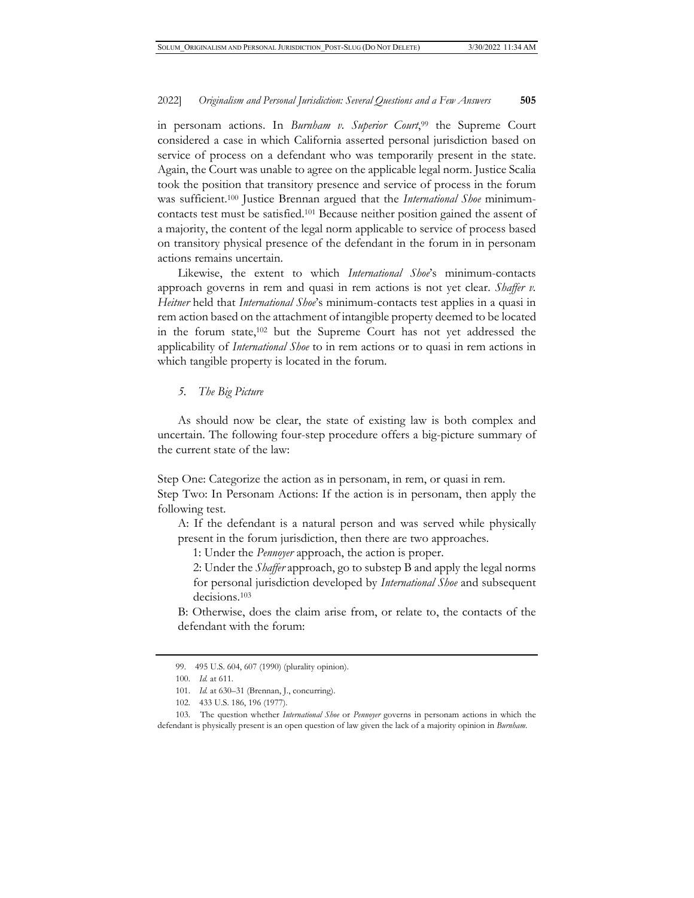in personam actions. In *Burnham v. Superior Court*, 99 the Supreme Court considered a case in which California asserted personal jurisdiction based on service of process on a defendant who was temporarily present in the state. Again, the Court was unable to agree on the applicable legal norm. Justice Scalia took the position that transitory presence and service of process in the forum was sufficient.100 Justice Brennan argued that the *International Shoe* minimumcontacts test must be satisfied.101 Because neither position gained the assent of a majority, the content of the legal norm applicable to service of process based on transitory physical presence of the defendant in the forum in in personam actions remains uncertain.

Likewise, the extent to which *International Shoe*'s minimum-contacts approach governs in rem and quasi in rem actions is not yet clear. *Shaffer v. Heitner* held that *International Shoe*'s minimum-contacts test applies in a quasi in rem action based on the attachment of intangible property deemed to be located in the forum state,102 but the Supreme Court has not yet addressed the applicability of *International Shoe* to in rem actions or to quasi in rem actions in which tangible property is located in the forum.

*5. The Big Picture* 

As should now be clear, the state of existing law is both complex and uncertain. The following four-step procedure offers a big-picture summary of the current state of the law:

Step One: Categorize the action as in personam, in rem, or quasi in rem. Step Two: In Personam Actions: If the action is in personam, then apply the following test.

A: If the defendant is a natural person and was served while physically present in the forum jurisdiction, then there are two approaches.

1: Under the *Pennoyer* approach, the action is proper.

2: Under the *Shaffer* approach, go to substep B and apply the legal norms for personal jurisdiction developed by *International Shoe* and subsequent decisions.103

B: Otherwise, does the claim arise from, or relate to, the contacts of the defendant with the forum:

<sup>99. 495</sup> U.S. 604, 607 (1990) (plurality opinion).

<sup>100.</sup> *Id.* at 611.

<sup>101.</sup> *Id.* at 630–31 (Brennan, J., concurring).

<sup>102. 433</sup> U.S. 186, 196 (1977).

<sup>103.</sup> The question whether *International Shoe* or *Pennoyer* governs in personam actions in which the defendant is physically present is an open question of law given the lack of a majority opinion in *Burnham*.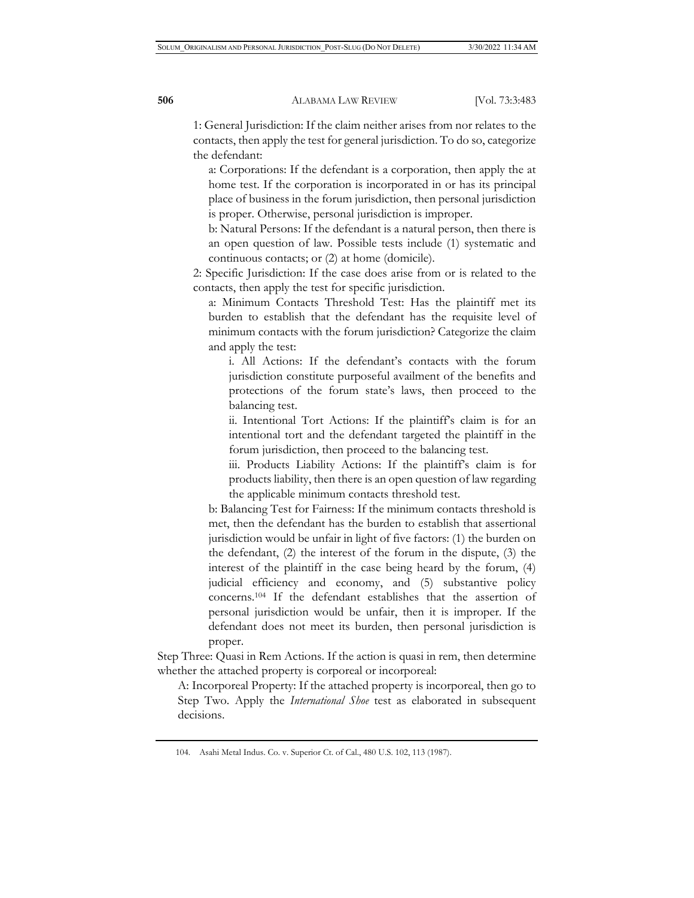1: General Jurisdiction: If the claim neither arises from nor relates to the contacts, then apply the test for general jurisdiction. To do so, categorize the defendant:

a: Corporations: If the defendant is a corporation, then apply the at home test. If the corporation is incorporated in or has its principal place of business in the forum jurisdiction, then personal jurisdiction is proper. Otherwise, personal jurisdiction is improper.

b: Natural Persons: If the defendant is a natural person, then there is an open question of law. Possible tests include (1) systematic and continuous contacts; or (2) at home (domicile).

2: Specific Jurisdiction: If the case does arise from or is related to the contacts, then apply the test for specific jurisdiction.

a: Minimum Contacts Threshold Test: Has the plaintiff met its burden to establish that the defendant has the requisite level of minimum contacts with the forum jurisdiction? Categorize the claim and apply the test:

i. All Actions: If the defendant's contacts with the forum jurisdiction constitute purposeful availment of the benefits and protections of the forum state's laws, then proceed to the balancing test.

ii. Intentional Tort Actions: If the plaintiff's claim is for an intentional tort and the defendant targeted the plaintiff in the forum jurisdiction, then proceed to the balancing test.

iii. Products Liability Actions: If the plaintiff's claim is for products liability, then there is an open question of law regarding the applicable minimum contacts threshold test.

b: Balancing Test for Fairness: If the minimum contacts threshold is met, then the defendant has the burden to establish that assertional jurisdiction would be unfair in light of five factors: (1) the burden on the defendant, (2) the interest of the forum in the dispute, (3) the interest of the plaintiff in the case being heard by the forum, (4) judicial efficiency and economy, and (5) substantive policy concerns.104 If the defendant establishes that the assertion of personal jurisdiction would be unfair, then it is improper. If the defendant does not meet its burden, then personal jurisdiction is proper.

Step Three: Quasi in Rem Actions. If the action is quasi in rem, then determine whether the attached property is corporeal or incorporeal:

A: Incorporeal Property: If the attached property is incorporeal, then go to Step Two. Apply the *International Shoe* test as elaborated in subsequent decisions.

<sup>104.</sup> Asahi Metal Indus. Co. v. Superior Ct. of Cal., 480 U.S. 102, 113 (1987).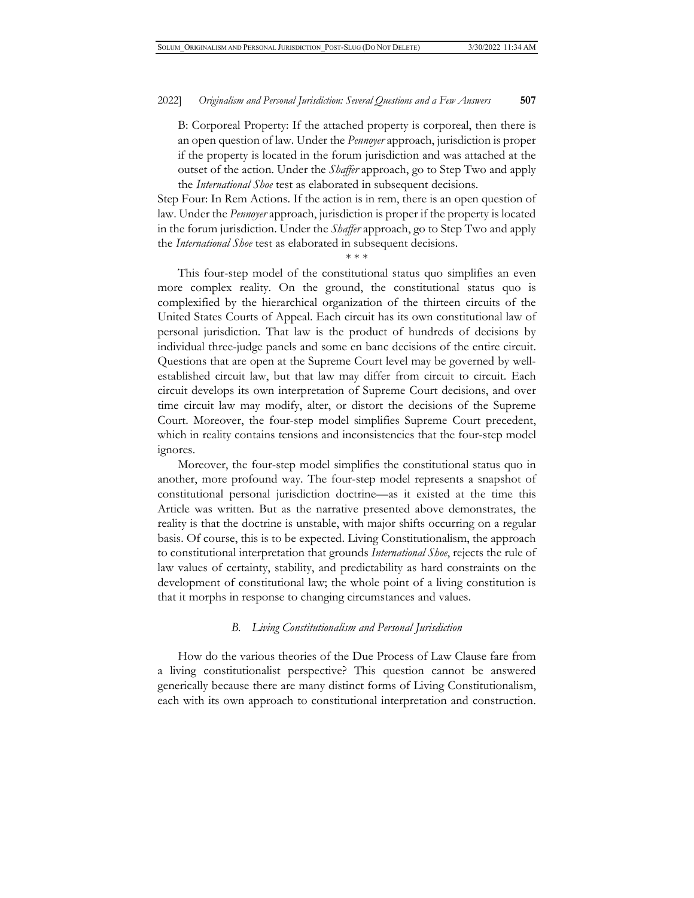B: Corporeal Property: If the attached property is corporeal, then there is an open question of law. Under the *Pennoyer* approach, jurisdiction is proper if the property is located in the forum jurisdiction and was attached at the outset of the action. Under the *Shaffer* approach, go to Step Two and apply the *International Shoe* test as elaborated in subsequent decisions.

Step Four: In Rem Actions. If the action is in rem, there is an open question of law. Under the *Pennoyer* approach, jurisdiction is proper if the property is located in the forum jurisdiction. Under the *Shaffer* approach, go to Step Two and apply the *International Shoe* test as elaborated in subsequent decisions.

\* \* \*

This four-step model of the constitutional status quo simplifies an even more complex reality. On the ground, the constitutional status quo is complexified by the hierarchical organization of the thirteen circuits of the United States Courts of Appeal. Each circuit has its own constitutional law of personal jurisdiction. That law is the product of hundreds of decisions by individual three-judge panels and some en banc decisions of the entire circuit. Questions that are open at the Supreme Court level may be governed by wellestablished circuit law, but that law may differ from circuit to circuit. Each circuit develops its own interpretation of Supreme Court decisions, and over time circuit law may modify, alter, or distort the decisions of the Supreme Court. Moreover, the four-step model simplifies Supreme Court precedent, which in reality contains tensions and inconsistencies that the four-step model ignores.

Moreover, the four-step model simplifies the constitutional status quo in another, more profound way. The four-step model represents a snapshot of constitutional personal jurisdiction doctrine—as it existed at the time this Article was written. But as the narrative presented above demonstrates, the reality is that the doctrine is unstable, with major shifts occurring on a regular basis. Of course, this is to be expected. Living Constitutionalism, the approach to constitutional interpretation that grounds *International Shoe*, rejects the rule of law values of certainty, stability, and predictability as hard constraints on the development of constitutional law; the whole point of a living constitution is that it morphs in response to changing circumstances and values.

#### *B. Living Constitutionalism and Personal Jurisdiction*

How do the various theories of the Due Process of Law Clause fare from a living constitutionalist perspective? This question cannot be answered generically because there are many distinct forms of Living Constitutionalism, each with its own approach to constitutional interpretation and construction.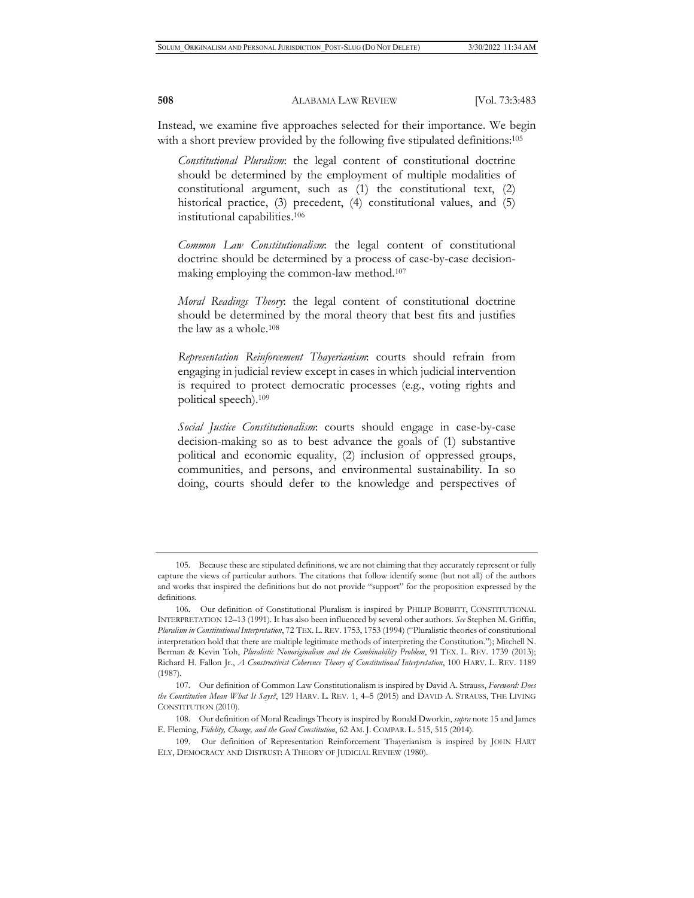Instead, we examine five approaches selected for their importance. We begin with a short preview provided by the following five stipulated definitions:<sup>105</sup>

*Constitutional Pluralism*: the legal content of constitutional doctrine should be determined by the employment of multiple modalities of constitutional argument, such as (1) the constitutional text, (2) historical practice, (3) precedent, (4) constitutional values, and (5) institutional capabilities.106

*Common Law Constitutionalism*: the legal content of constitutional doctrine should be determined by a process of case-by-case decisionmaking employing the common-law method.107

*Moral Readings Theory*: the legal content of constitutional doctrine should be determined by the moral theory that best fits and justifies the law as a whole.108

*Representation Reinforcement Thayerianism*: courts should refrain from engaging in judicial review except in cases in which judicial intervention is required to protect democratic processes (e.g., voting rights and political speech).109

*Social Justice Constitutionalism*: courts should engage in case-by-case decision-making so as to best advance the goals of (1) substantive political and economic equality, (2) inclusion of oppressed groups, communities, and persons, and environmental sustainability. In so doing, courts should defer to the knowledge and perspectives of

<sup>105.</sup> Because these are stipulated definitions, we are not claiming that they accurately represent or fully capture the views of particular authors. The citations that follow identify some (but not all) of the authors and works that inspired the definitions but do not provide "support" for the proposition expressed by the definitions.

<sup>106.</sup> Our definition of Constitutional Pluralism is inspired by PHILIP BOBBITT, CONSTITUTIONAL INTERPRETATION 12–13 (1991). It has also been influenced by several other authors. *See* Stephen M. Griffin, *Pluralism in Constitutional Interpretation*, 72 TEX. L. REV. 1753, 1753 (1994) ("Pluralistic theories of constitutional interpretation hold that there are multiple legitimate methods of interpreting the Constitution."); Mitchell N. Berman & Kevin Toh, *Pluralistic Nonoriginalism and the Combinability Problem*, 91 TEX. L. REV. 1739 (2013); Richard H. Fallon Jr., *A Constructivist Coherence Theory of Constitutional Interpretation*, 100 HARV. L. REV. 1189 (1987).

<sup>107.</sup> Our definition of Common Law Constitutionalism is inspired by David A. Strauss, *Foreword: Does the Constitution Mean What It Says?*, 129 HARV. L. REV. 1, 4–5 (2015) and DAVID A. STRAUSS, THE LIVING CONSTITUTION (2010).

<sup>108.</sup> Our definition of Moral Readings Theory is inspired by Ronald Dworkin, *supra* note 15 and James E. Fleming, *Fidelity, Change, and the Good Constitution*, 62 AM. J. COMPAR. L. 515, 515 (2014).

<sup>109.</sup> Our definition of Representation Reinforcement Thayerianism is inspired by JOHN HART ELY, DEMOCRACY AND DISTRUST: A THEORY OF JUDICIAL REVIEW (1980).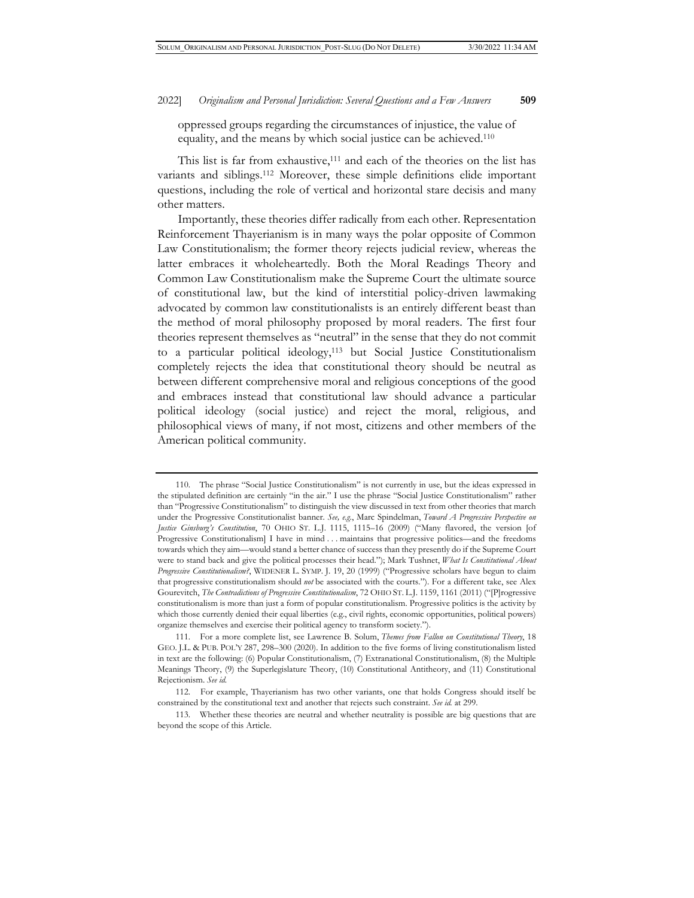oppressed groups regarding the circumstances of injustice, the value of equality, and the means by which social justice can be achieved.110

This list is far from exhaustive,<sup>111</sup> and each of the theories on the list has variants and siblings.112 Moreover, these simple definitions elide important questions, including the role of vertical and horizontal stare decisis and many other matters.

Importantly, these theories differ radically from each other. Representation Reinforcement Thayerianism is in many ways the polar opposite of Common Law Constitutionalism; the former theory rejects judicial review, whereas the latter embraces it wholeheartedly. Both the Moral Readings Theory and Common Law Constitutionalism make the Supreme Court the ultimate source of constitutional law, but the kind of interstitial policy-driven lawmaking advocated by common law constitutionalists is an entirely different beast than the method of moral philosophy proposed by moral readers. The first four theories represent themselves as "neutral" in the sense that they do not commit to a particular political ideology,113 but Social Justice Constitutionalism completely rejects the idea that constitutional theory should be neutral as between different comprehensive moral and religious conceptions of the good and embraces instead that constitutional law should advance a particular political ideology (social justice) and reject the moral, religious, and philosophical views of many, if not most, citizens and other members of the American political community.

<sup>110.</sup> The phrase "Social Justice Constitutionalism" is not currently in use, but the ideas expressed in the stipulated definition are certainly "in the air." I use the phrase "Social Justice Constitutionalism" rather than "Progressive Constitutionalism" to distinguish the view discussed in text from other theories that march under the Progressive Constitutionalist banner. *See, e.g.*, Marc Spindelman, *Toward A Progressive Perspective on Justice Ginsburg's Constitution*, 70 OHIO ST. L.J. 1115, 1115–16 (2009) ("Many flavored, the version [of Progressive Constitutionalism] I have in mind . . . maintains that progressive politics—and the freedoms towards which they aim—would stand a better chance of success than they presently do if the Supreme Court were to stand back and give the political processes their head."); Mark Tushnet, *What Is Constitutional About Progressive Constitutionalism?*, WIDENER L. SYMP. J. 19, 20 (1999) ("Progressive scholars have begun to claim that progressive constitutionalism should *not* be associated with the courts."). For a different take, see Alex Gourevitch, *The Contradictions of Progressive Constitutionalism*, 72 OHIO ST. L.J. 1159, 1161 (2011) ("[P]rogressive constitutionalism is more than just a form of popular constitutionalism. Progressive politics is the activity by which those currently denied their equal liberties (e.g., civil rights, economic opportunities, political powers) organize themselves and exercise their political agency to transform society.").

<sup>111.</sup> For a more complete list, see Lawrence B. Solum, *Themes from Fallon on Constitutional Theory*, 18 GEO. J.L. & PUB. POL'Y 287, 298–300 (2020). In addition to the five forms of living constitutionalism listed in text are the following: (6) Popular Constitutionalism, (7) Extranational Constitutionalism, (8) the Multiple Meanings Theory, (9) the Superlegislature Theory, (10) Constitutional Antitheory, and (11) Constitutional Rejectionism. *See id.*

<sup>112.</sup> For example, Thayerianism has two other variants, one that holds Congress should itself be constrained by the constitutional text and another that rejects such constraint. *See id.* at 299.

<sup>113.</sup> Whether these theories are neutral and whether neutrality is possible are big questions that are beyond the scope of this Article.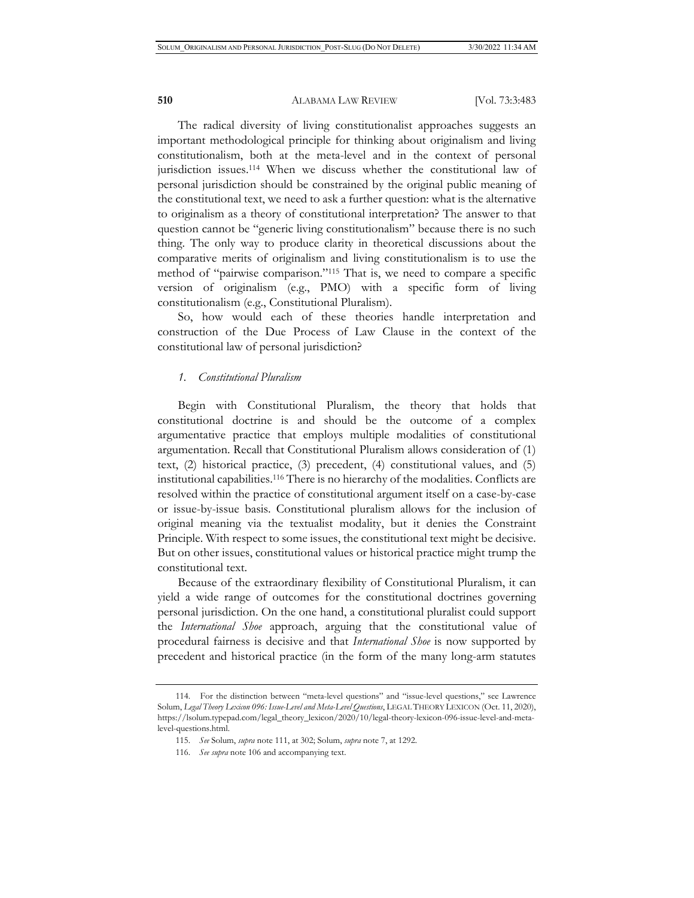The radical diversity of living constitutionalist approaches suggests an important methodological principle for thinking about originalism and living constitutionalism, both at the meta-level and in the context of personal jurisdiction issues.114 When we discuss whether the constitutional law of personal jurisdiction should be constrained by the original public meaning of the constitutional text, we need to ask a further question: what is the alternative to originalism as a theory of constitutional interpretation? The answer to that question cannot be "generic living constitutionalism" because there is no such thing. The only way to produce clarity in theoretical discussions about the comparative merits of originalism and living constitutionalism is to use the method of "pairwise comparison."115 That is, we need to compare a specific version of originalism (e.g., PMO) with a specific form of living constitutionalism (e.g., Constitutional Pluralism).

So, how would each of these theories handle interpretation and construction of the Due Process of Law Clause in the context of the constitutional law of personal jurisdiction?

#### *1. Constitutional Pluralism*

Begin with Constitutional Pluralism, the theory that holds that constitutional doctrine is and should be the outcome of a complex argumentative practice that employs multiple modalities of constitutional argumentation. Recall that Constitutional Pluralism allows consideration of (1) text, (2) historical practice, (3) precedent, (4) constitutional values, and (5) institutional capabilities.116 There is no hierarchy of the modalities. Conflicts are resolved within the practice of constitutional argument itself on a case-by-case or issue-by-issue basis. Constitutional pluralism allows for the inclusion of original meaning via the textualist modality, but it denies the Constraint Principle. With respect to some issues, the constitutional text might be decisive. But on other issues, constitutional values or historical practice might trump the constitutional text.

Because of the extraordinary flexibility of Constitutional Pluralism, it can yield a wide range of outcomes for the constitutional doctrines governing personal jurisdiction. On the one hand, a constitutional pluralist could support the *International Shoe* approach, arguing that the constitutional value of procedural fairness is decisive and that *International Shoe* is now supported by precedent and historical practice (in the form of the many long-arm statutes

<sup>114.</sup> For the distinction between "meta-level questions" and "issue-level questions," see Lawrence Solum, *Legal Theory Lexicon 096: Issue-Level and Meta-Level Questions*, LEGAL THEORY LEXICON (Oct. 11, 2020), https://lsolum.typepad.com/legal\_theory\_lexicon/2020/10/legal-theory-lexicon-096-issue-level-and-metalevel-questions.html.

<sup>115.</sup> *See* Solum, *supra* note 111, at 302; Solum, *supra* note 7, at 1292.

<sup>116.</sup> *See supra* note 106 and accompanying text.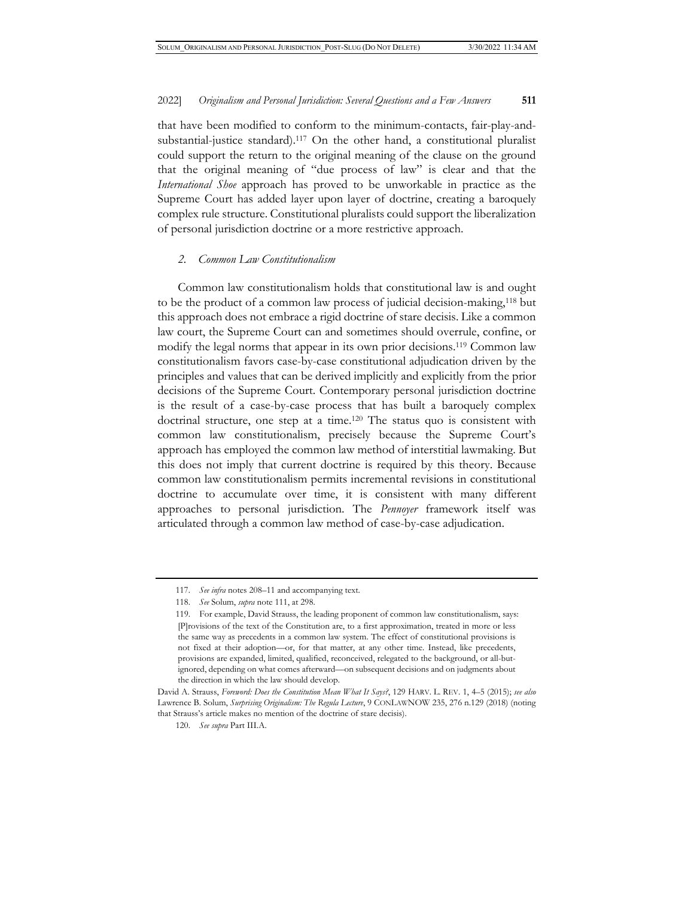that have been modified to conform to the minimum-contacts, fair-play-andsubstantial-justice standard).117 On the other hand, a constitutional pluralist could support the return to the original meaning of the clause on the ground that the original meaning of "due process of law" is clear and that the *International Shoe* approach has proved to be unworkable in practice as the Supreme Court has added layer upon layer of doctrine, creating a baroquely complex rule structure. Constitutional pluralists could support the liberalization of personal jurisdiction doctrine or a more restrictive approach.

## *2. Common Law Constitutionalism*

Common law constitutionalism holds that constitutional law is and ought to be the product of a common law process of judicial decision-making,118 but this approach does not embrace a rigid doctrine of stare decisis. Like a common law court, the Supreme Court can and sometimes should overrule, confine, or modify the legal norms that appear in its own prior decisions.119 Common law constitutionalism favors case-by-case constitutional adjudication driven by the principles and values that can be derived implicitly and explicitly from the prior decisions of the Supreme Court. Contemporary personal jurisdiction doctrine is the result of a case-by-case process that has built a baroquely complex doctrinal structure, one step at a time.120 The status quo is consistent with common law constitutionalism, precisely because the Supreme Court's approach has employed the common law method of interstitial lawmaking. But this does not imply that current doctrine is required by this theory. Because common law constitutionalism permits incremental revisions in constitutional doctrine to accumulate over time, it is consistent with many different approaches to personal jurisdiction. The *Pennoyer* framework itself was articulated through a common law method of case-by-case adjudication.

<sup>117.</sup> *See infra* notes 208–11 and accompanying text.

<sup>118.</sup> *See* Solum, *supra* note 111, at 298.

<sup>119.</sup> For example, David Strauss, the leading proponent of common law constitutionalism, says: [P]rovisions of the text of the Constitution are, to a first approximation, treated in more or less the same way as precedents in a common law system. The effect of constitutional provisions is not fixed at their adoption—or, for that matter, at any other time. Instead, like precedents, provisions are expanded, limited, qualified, reconceived, relegated to the background, or all-butignored, depending on what comes afterward—on subsequent decisions and on judgments about the direction in which the law should develop.

David A. Strauss, *Foreword: Does the Constitution Mean What It Says?*, 129 HARV. L. REV. 1, 4–5 (2015); *see also* Lawrence B. Solum, *Surprising Originalism: The Regula Lecture*, 9 CONLAWNOW 235, 276 n.129 (2018) (noting that Strauss's article makes no mention of the doctrine of stare decisis).

<sup>120.</sup> *See supra* Part III.A.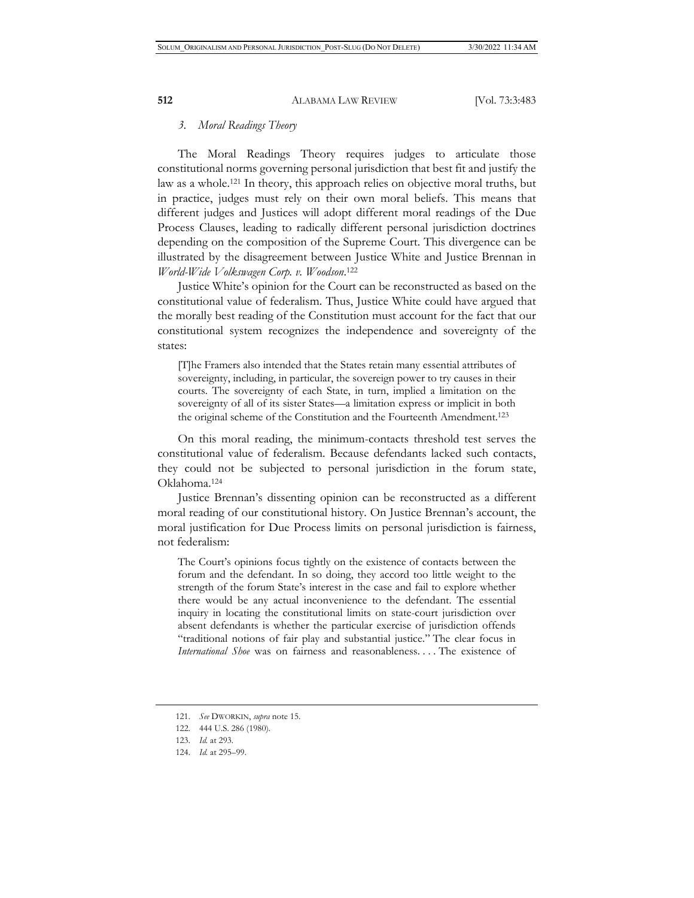## *3. Moral Readings Theory*

The Moral Readings Theory requires judges to articulate those constitutional norms governing personal jurisdiction that best fit and justify the law as a whole.121 In theory, this approach relies on objective moral truths, but in practice, judges must rely on their own moral beliefs. This means that different judges and Justices will adopt different moral readings of the Due Process Clauses, leading to radically different personal jurisdiction doctrines depending on the composition of the Supreme Court. This divergence can be illustrated by the disagreement between Justice White and Justice Brennan in *World-Wide Volkswagen Corp. v. Woodson*. 122

Justice White's opinion for the Court can be reconstructed as based on the constitutional value of federalism. Thus, Justice White could have argued that the morally best reading of the Constitution must account for the fact that our constitutional system recognizes the independence and sovereignty of the states:

[T]he Framers also intended that the States retain many essential attributes of sovereignty, including, in particular, the sovereign power to try causes in their courts. The sovereignty of each State, in turn, implied a limitation on the sovereignty of all of its sister States—a limitation express or implicit in both the original scheme of the Constitution and the Fourteenth Amendment.123

On this moral reading, the minimum-contacts threshold test serves the constitutional value of federalism. Because defendants lacked such contacts, they could not be subjected to personal jurisdiction in the forum state, Oklahoma.124

Justice Brennan's dissenting opinion can be reconstructed as a different moral reading of our constitutional history. On Justice Brennan's account, the moral justification for Due Process limits on personal jurisdiction is fairness, not federalism:

The Court's opinions focus tightly on the existence of contacts between the forum and the defendant. In so doing, they accord too little weight to the strength of the forum State's interest in the case and fail to explore whether there would be any actual inconvenience to the defendant. The essential inquiry in locating the constitutional limits on state-court jurisdiction over absent defendants is whether the particular exercise of jurisdiction offends "traditional notions of fair play and substantial justice." The clear focus in *International Shoe* was on fairness and reasonableness.... The existence of

<sup>121.</sup> *See* DWORKIN, *supra* note 15.

<sup>122. 444</sup> U.S. 286 (1980).

<sup>123.</sup> *Id.* at 293.

<sup>124.</sup> *Id.* at 295–99.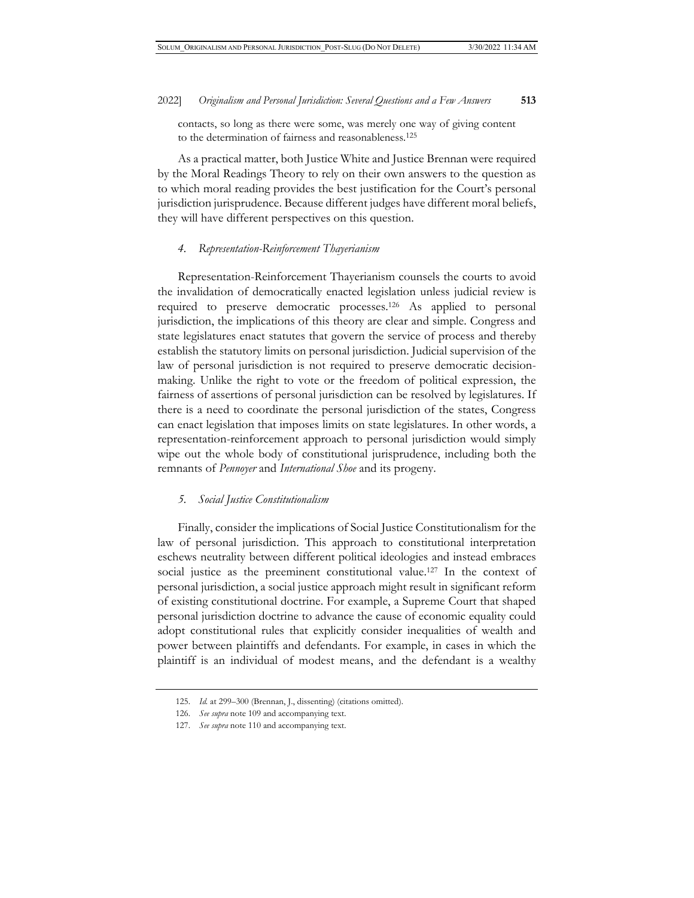contacts, so long as there were some, was merely one way of giving content to the determination of fairness and reasonableness.125

As a practical matter, both Justice White and Justice Brennan were required by the Moral Readings Theory to rely on their own answers to the question as to which moral reading provides the best justification for the Court's personal jurisdiction jurisprudence. Because different judges have different moral beliefs, they will have different perspectives on this question.

#### *4. Representation-Reinforcement Thayerianism*

Representation-Reinforcement Thayerianism counsels the courts to avoid the invalidation of democratically enacted legislation unless judicial review is required to preserve democratic processes.126 As applied to personal jurisdiction, the implications of this theory are clear and simple. Congress and state legislatures enact statutes that govern the service of process and thereby establish the statutory limits on personal jurisdiction. Judicial supervision of the law of personal jurisdiction is not required to preserve democratic decisionmaking. Unlike the right to vote or the freedom of political expression, the fairness of assertions of personal jurisdiction can be resolved by legislatures. If there is a need to coordinate the personal jurisdiction of the states, Congress can enact legislation that imposes limits on state legislatures. In other words, a representation-reinforcement approach to personal jurisdiction would simply wipe out the whole body of constitutional jurisprudence, including both the remnants of *Pennoyer* and *International Shoe* and its progeny.

#### *5. Social Justice Constitutionalism*

Finally, consider the implications of Social Justice Constitutionalism for the law of personal jurisdiction. This approach to constitutional interpretation eschews neutrality between different political ideologies and instead embraces social justice as the preeminent constitutional value.127 In the context of personal jurisdiction, a social justice approach might result in significant reform of existing constitutional doctrine. For example, a Supreme Court that shaped personal jurisdiction doctrine to advance the cause of economic equality could adopt constitutional rules that explicitly consider inequalities of wealth and power between plaintiffs and defendants. For example, in cases in which the plaintiff is an individual of modest means, and the defendant is a wealthy

<sup>125.</sup> *Id.* at 299–300 (Brennan, J., dissenting) (citations omitted).

<sup>126.</sup> *See supra* note 109 and accompanying text.

<sup>127.</sup> *See supra* note 110 and accompanying text.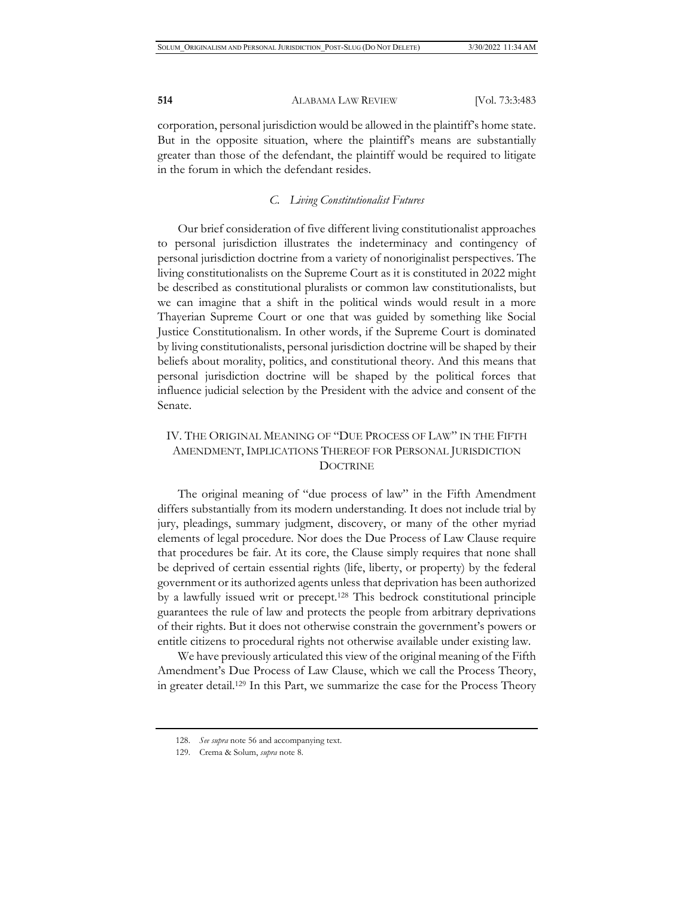corporation, personal jurisdiction would be allowed in the plaintiff's home state. But in the opposite situation, where the plaintiff's means are substantially greater than those of the defendant, the plaintiff would be required to litigate in the forum in which the defendant resides.

## *C. Living Constitutionalist Futures*

Our brief consideration of five different living constitutionalist approaches to personal jurisdiction illustrates the indeterminacy and contingency of personal jurisdiction doctrine from a variety of nonoriginalist perspectives. The living constitutionalists on the Supreme Court as it is constituted in 2022 might be described as constitutional pluralists or common law constitutionalists, but we can imagine that a shift in the political winds would result in a more Thayerian Supreme Court or one that was guided by something like Social Justice Constitutionalism. In other words, if the Supreme Court is dominated by living constitutionalists, personal jurisdiction doctrine will be shaped by their beliefs about morality, politics, and constitutional theory. And this means that personal jurisdiction doctrine will be shaped by the political forces that influence judicial selection by the President with the advice and consent of the Senate.

# IV. THE ORIGINAL MEANING OF "DUE PROCESS OF LAW" IN THE FIFTH AMENDMENT, IMPLICATIONS THEREOF FOR PERSONAL JURISDICTION **DOCTRINE**

The original meaning of "due process of law" in the Fifth Amendment differs substantially from its modern understanding. It does not include trial by jury, pleadings, summary judgment, discovery, or many of the other myriad elements of legal procedure. Nor does the Due Process of Law Clause require that procedures be fair. At its core, the Clause simply requires that none shall be deprived of certain essential rights (life, liberty, or property) by the federal government or its authorized agents unless that deprivation has been authorized by a lawfully issued writ or precept.128 This bedrock constitutional principle guarantees the rule of law and protects the people from arbitrary deprivations of their rights. But it does not otherwise constrain the government's powers or entitle citizens to procedural rights not otherwise available under existing law.

We have previously articulated this view of the original meaning of the Fifth Amendment's Due Process of Law Clause, which we call the Process Theory, in greater detail.129 In this Part, we summarize the case for the Process Theory

<sup>128.</sup> *See supra* note 56 and accompanying text.

<sup>129.</sup> Crema & Solum, *supra* note 8.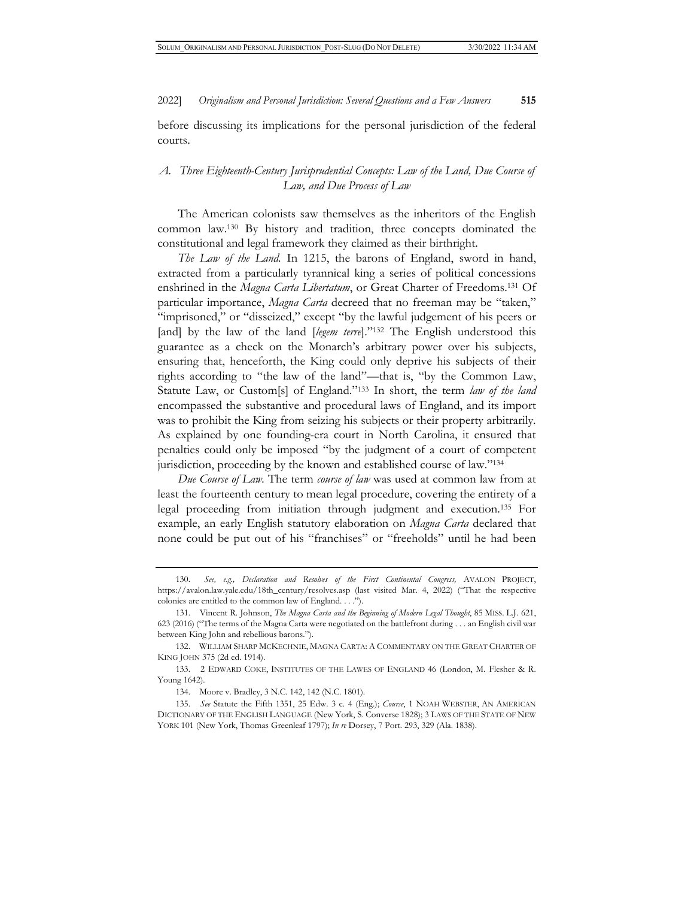before discussing its implications for the personal jurisdiction of the federal courts.

# *A. Three Eighteenth-Century Jurisprudential Concepts: Law of the Land, Due Course of Law, and Due Process of Law*

The American colonists saw themselves as the inheritors of the English common law.130 By history and tradition, three concepts dominated the constitutional and legal framework they claimed as their birthright.

*The Law of the Land.* In 1215, the barons of England, sword in hand, extracted from a particularly tyrannical king a series of political concessions enshrined in the *Magna Carta Libertatum*, or Great Charter of Freedoms.131 Of particular importance, *Magna Carta* decreed that no freeman may be "taken," "imprisoned," or "disseized," except "by the lawful judgement of his peers or [and] by the law of the land [*legem terre*]."<sup>132</sup> The English understood this guarantee as a check on the Monarch's arbitrary power over his subjects, ensuring that, henceforth, the King could only deprive his subjects of their rights according to "the law of the land"—that is, "by the Common Law, Statute Law, or Custom[s] of England."133 In short, the term *law of the land* encompassed the substantive and procedural laws of England, and its import was to prohibit the King from seizing his subjects or their property arbitrarily. As explained by one founding-era court in North Carolina, it ensured that penalties could only be imposed "by the judgment of a court of competent jurisdiction, proceeding by the known and established course of law."134

*Due Course of Law.* The term *course of law* was used at common law from at least the fourteenth century to mean legal procedure, covering the entirety of a legal proceeding from initiation through judgment and execution.135 For example, an early English statutory elaboration on *Magna Carta* declared that none could be put out of his "franchises" or "freeholds" until he had been

<sup>130.</sup> *See, e.g., Declaration and Resolves of the First Continental Congress,* AVALON PROJECT, https://avalon.law.yale.edu/18th\_century/resolves.asp (last visited Mar. 4, 2022) ("That the respective colonies are entitled to the common law of England. . . .").

<sup>131.</sup> Vincent R. Johnson, *The Magna Carta and the Beginning of Modern Legal Thought*, 85 MISS. L.J. 621, 623 (2016) ("The terms of the Magna Carta were negotiated on the battlefront during . . . an English civil war between King John and rebellious barons.").

<sup>132.</sup> WILLIAM SHARP MCKECHNIE, MAGNA CARTA: A COMMENTARY ON THE GREAT CHARTER OF KING JOHN 375 (2d ed. 1914).

<sup>133. 2</sup> EDWARD COKE, INSTITUTES OF THE LAWES OF ENGLAND 46 (London, M. Flesher & R. Young 1642).

<sup>134.</sup> Moore v. Bradley, 3 N.C. 142, 142 (N.C. 1801).

<sup>135.</sup> *See* Statute the Fifth 1351, 25 Edw. 3 c. 4 (Eng.); *Course*, 1 NOAH WEBSTER, AN AMERICAN DICTIONARY OF THE ENGLISH LANGUAGE (New York, S. Converse 1828); 3 LAWS OF THE STATE OF NEW YORK 101 (New York, Thomas Greenleaf 1797); *In re* Dorsey, 7 Port. 293, 329 (Ala. 1838).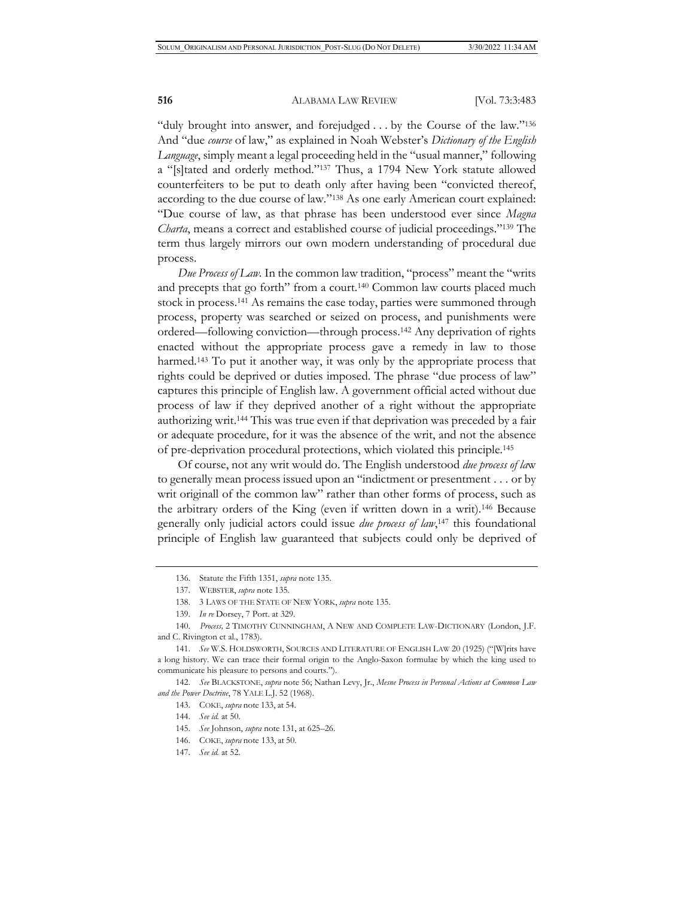"duly brought into answer, and forejudged . . . by the Course of the law."136 And "due *course* of law," as explained in Noah Webster's *Dictionary of the English Language*, simply meant a legal proceeding held in the "usual manner," following a "[s]tated and orderly method."137 Thus, a 1794 New York statute allowed counterfeiters to be put to death only after having been "convicted thereof, according to the due course of law."138 As one early American court explained: "Due course of law, as that phrase has been understood ever since *Magna Charta*, means a correct and established course of judicial proceedings."139 The term thus largely mirrors our own modern understanding of procedural due process.

*Due Process of Law.* In the common law tradition, "process" meant the "writs and precepts that go forth" from a court.<sup>140</sup> Common law courts placed much stock in process.141 As remains the case today, parties were summoned through process, property was searched or seized on process, and punishments were ordered—following conviction—through process.142 Any deprivation of rights enacted without the appropriate process gave a remedy in law to those harmed.143 To put it another way, it was only by the appropriate process that rights could be deprived or duties imposed. The phrase "due process of law" captures this principle of English law. A government official acted without due process of law if they deprived another of a right without the appropriate authorizing writ.144 This was true even if that deprivation was preceded by a fair or adequate procedure, for it was the absence of the writ, and not the absence of pre-deprivation procedural protections, which violated this principle.145

Of course, not any writ would do. The English understood *due process of la*w to generally mean process issued upon an "indictment or presentment . . . or by writ originall of the common law" rather than other forms of process, such as the arbitrary orders of the King (even if written down in a writ).146 Because generally only judicial actors could issue *due process of law*, 147 this foundational principle of English law guaranteed that subjects could only be deprived of

<sup>136.</sup> Statute the Fifth 1351, *supra* note 135.

<sup>137.</sup> WEBSTER, *supra* note 135.

<sup>138. 3</sup> LAWS OF THE STATE OF NEW YORK, *supra* note 135.

<sup>139.</sup> *In re* Dorsey, 7 Port. at 329.

<sup>140.</sup> *Process,* 2 TIMOTHY CUNNINGHAM, A NEW AND COMPLETE LAW-DICTIONARY (London, J.F. and C. Rivington et al., 1783).

<sup>141.</sup> *See* W.S. HOLDSWORTH, SOURCES AND LITERATURE OF ENGLISH LAW 20 (1925) ("[W]rits have a long history. We can trace their formal origin to the Anglo-Saxon formulae by which the king used to communicate his pleasure to persons and courts.").

<sup>142.</sup> *See* BLACKSTONE, *supra* note 56; Nathan Levy, Jr., *Mesne Process in Personal Actions at Common Law and the Power Doctrine*, 78 YALE L.J. 52 (1968).

<sup>143.</sup> COKE, *supra* note 133, at 54.

<sup>144.</sup> *See id.* at 50.

<sup>145.</sup> *See* Johnson, *supra* note 131, at 625–26.

<sup>146.</sup> COKE, *supra* note 133, at 50.

<sup>147.</sup> *See id.* at 52.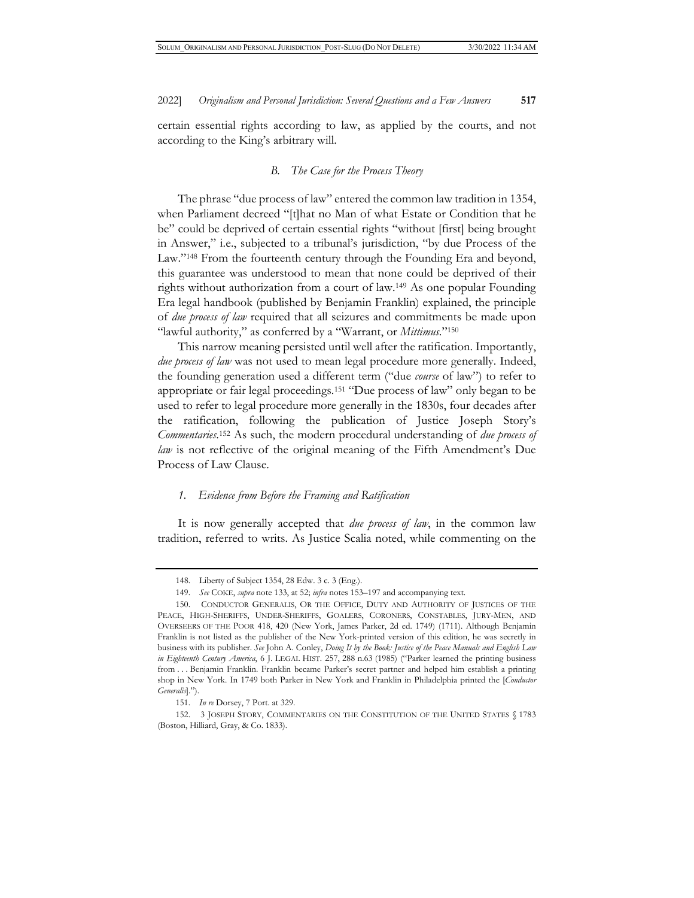certain essential rights according to law, as applied by the courts, and not according to the King's arbitrary will.

## *B. The Case for the Process Theory*

The phrase "due process of law" entered the common law tradition in 1354, when Parliament decreed "[t]hat no Man of what Estate or Condition that he be" could be deprived of certain essential rights "without [first] being brought in Answer," i.e., subjected to a tribunal's jurisdiction, "by due Process of the Law."148 From the fourteenth century through the Founding Era and beyond, this guarantee was understood to mean that none could be deprived of their rights without authorization from a court of law.149 As one popular Founding Era legal handbook (published by Benjamin Franklin) explained, the principle of *due process of law* required that all seizures and commitments be made upon "lawful authority," as conferred by a "Warrant, or *Mittimus*."150

This narrow meaning persisted until well after the ratification. Importantly, *due process of law* was not used to mean legal procedure more generally. Indeed, the founding generation used a different term ("due *course* of law") to refer to appropriate or fair legal proceedings.151 "Due process of law" only began to be used to refer to legal procedure more generally in the 1830s, four decades after the ratification, following the publication of Justice Joseph Story's *Commentaries*. 152 As such, the modern procedural understanding of *due process of law* is not reflective of the original meaning of the Fifth Amendment's Due Process of Law Clause.

#### *1. Evidence from Before the Framing and Ratification*

It is now generally accepted that *due process of law*, in the common law tradition, referred to writs. As Justice Scalia noted, while commenting on the

<sup>148.</sup> Liberty of Subject 1354, 28 Edw. 3 c. 3 (Eng.).

<sup>149.</sup> *See* COKE, *supra* note 133, at 52; *infra* notes 153–197 and accompanying text.

<sup>150.</sup> CONDUCTOR GENERALIS, OR THE OFFICE, DUTY AND AUTHORITY OF JUSTICES OF THE PEACE, HIGH-SHERIFFS, UNDER-SHERIFFS, GOALERS, CORONERS, CONSTABLES, JURY-MEN, AND OVERSEERS OF THE POOR 418, 420 (New York, James Parker, 2d ed. 1749) (1711). Although Benjamin Franklin is not listed as the publisher of the New York-printed version of this edition, he was secretly in business with its publisher. *See* John A. Conley, *Doing It by the Book: Justice of the Peace Manuals and English Law in Eighteenth Century America*, 6 J. LEGAL HIST. 257, 288 n.63 (1985) ("Parker learned the printing business from . . . Benjamin Franklin. Franklin became Parker's secret partner and helped him establish a printing shop in New York. In 1749 both Parker in New York and Franklin in Philadelphia printed the [*Conductor Generalis*].").

<sup>151.</sup> *In re* Dorsey, 7 Port. at 329.

<sup>152. 3</sup> JOSEPH STORY, COMMENTARIES ON THE CONSTITUTION OF THE UNITED STATES § 1783 (Boston, Hilliard, Gray, & Co. 1833).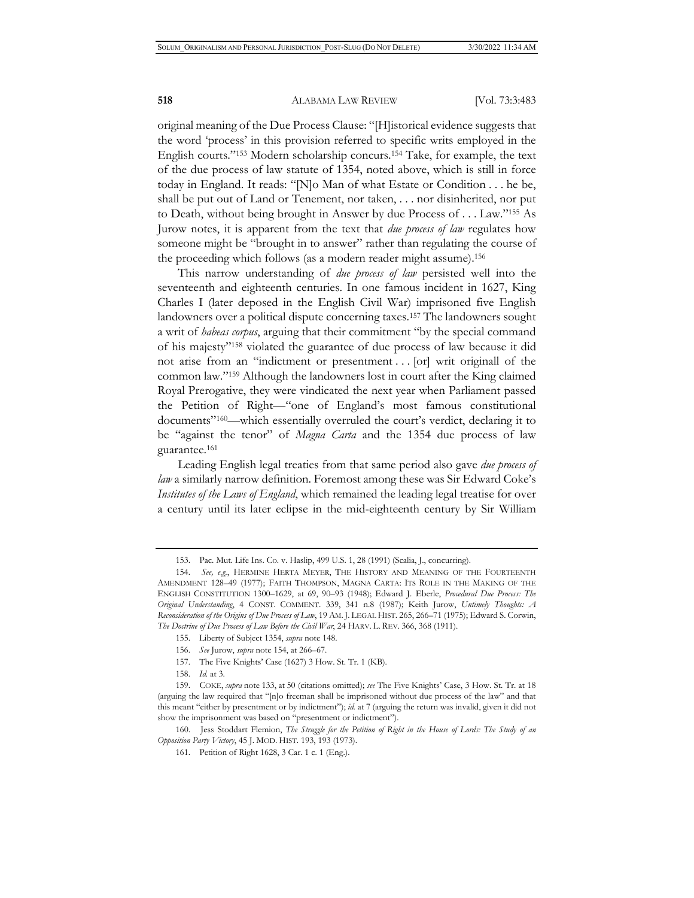original meaning of the Due Process Clause: "[H]istorical evidence suggests that the word 'process' in this provision referred to specific writs employed in the English courts."153 Modern scholarship concurs.154 Take, for example, the text of the due process of law statute of 1354, noted above, which is still in force today in England. It reads: "[N]o Man of what Estate or Condition . . . he be, shall be put out of Land or Tenement, nor taken, . . . nor disinherited, nor put to Death, without being brought in Answer by due Process of . . . Law."155 As Jurow notes, it is apparent from the text that *due process of law* regulates how someone might be "brought in to answer" rather than regulating the course of the proceeding which follows (as a modern reader might assume).<sup>156</sup>

This narrow understanding of *due process of law* persisted well into the seventeenth and eighteenth centuries. In one famous incident in 1627, King Charles I (later deposed in the English Civil War) imprisoned five English landowners over a political dispute concerning taxes.157 The landowners sought a writ of *habeas corpus*, arguing that their commitment "by the special command of his majesty"158 violated the guarantee of due process of law because it did not arise from an "indictment or presentment . . . [or] writ originall of the common law."159 Although the landowners lost in court after the King claimed Royal Prerogative, they were vindicated the next year when Parliament passed the Petition of Right—"one of England's most famous constitutional documents"160—which essentially overruled the court's verdict, declaring it to be "against the tenor" of *Magna Carta* and the 1354 due process of law guarantee.161

Leading English legal treaties from that same period also gave *due process of law* a similarly narrow definition. Foremost among these was Sir Edward Coke's *Institutes of the Laws of England*, which remained the leading legal treatise for over a century until its later eclipse in the mid-eighteenth century by Sir William

- 157. The Five Knights' Case (1627) 3 How. St. Tr. 1 (KB).
- 158. *Id.* at 3.

<sup>153.</sup> Pac. Mut. Life Ins. Co. v. Haslip, 499 U.S. 1, 28 (1991) (Scalia, J., concurring).

<sup>154.</sup> *See, e.g.*, HERMINE HERTA MEYER, THE HISTORY AND MEANING OF THE FOURTEENTH AMENDMENT 128–49 (1977); FAITH THOMPSON, MAGNA CARTA: ITS ROLE IN THE MAKING OF THE ENGLISH CONSTITUTION 1300–1629, at 69, 90–93 (1948); Edward J. Eberle, *Procedural Due Process: The Original Understanding*, 4 CONST. COMMENT. 339, 341 n.8 (1987); Keith Jurow, *Untimely Thoughts: A Reconsideration of the Origins of Due Process of Law*, 19 AM. J. LEGAL HIST. 265, 266–71 (1975); Edward S. Corwin, *The Doctrine of Due Process of Law Before the Civil War*, 24 HARV. L. REV. 366, 368 (1911).

<sup>155.</sup> Liberty of Subject 1354, *supra* note 148.

<sup>156.</sup> *See* Jurow, *supra* note 154, at 266–67.

<sup>159.</sup> COKE, *supra* note 133, at 50 (citations omitted); *see* The Five Knights' Case, 3 How. St. Tr. at 18 (arguing the law required that "[n]o freeman shall be imprisoned without due process of the law" and that this meant "either by presentment or by indictment"); *id.* at 7 (arguing the return was invalid, given it did not show the imprisonment was based on "presentment or indictment").

<sup>160.</sup> Jess Stoddart Flemion, *The Struggle for the Petition of Right in the House of Lords: The Study of an Opposition Party Victory*, 45 J. MOD. HIST. 193, 193 (1973).

<sup>161.</sup> Petition of Right 1628, 3 Car. 1 c. 1 (Eng.).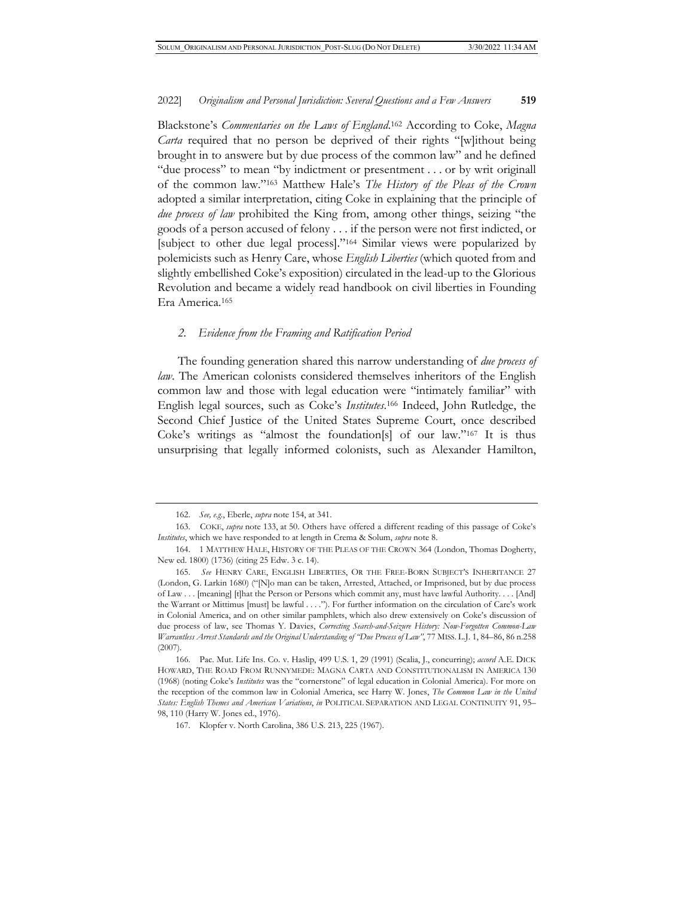Blackstone's *Commentaries on the Laws of England*. 162 According to Coke, *Magna Carta* required that no person be deprived of their rights "[w]ithout being brought in to answere but by due process of the common law" and he defined "due process" to mean "by indictment or presentment . . . or by writ originall of the common law."163 Matthew Hale's *The History of the Pleas of the Crown* adopted a similar interpretation, citing Coke in explaining that the principle of *due process of law* prohibited the King from, among other things, seizing "the goods of a person accused of felony . . . if the person were not first indicted, or [subject to other due legal process]."164 Similar views were popularized by polemicists such as Henry Care, whose *English Liberties* (which quoted from and slightly embellished Coke's exposition) circulated in the lead-up to the Glorious Revolution and became a widely read handbook on civil liberties in Founding Era America.165

#### *2. Evidence from the Framing and Ratification Period*

The founding generation shared this narrow understanding of *due process of law*. The American colonists considered themselves inheritors of the English common law and those with legal education were "intimately familiar" with English legal sources, such as Coke's *Institutes*. 166 Indeed, John Rutledge, the Second Chief Justice of the United States Supreme Court, once described Coke's writings as "almost the foundation[s] of our law."167 It is thus unsurprising that legally informed colonists, such as Alexander Hamilton,

<sup>162.</sup> *See, e.g.*, Eberle, *supra* note 154, at 341.

<sup>163.</sup> COKE, *supra* note 133, at 50. Others have offered a different reading of this passage of Coke's *Institutes*, which we have responded to at length in Crema & Solum, *supra* note 8.

<sup>164. 1</sup> MATTHEW HALE, HISTORY OF THE PLEAS OF THE CROWN 364 (London, Thomas Dogherty, New ed. 1800) (1736) (citing 25 Edw. 3 c. 14).

<sup>165.</sup> *See* HENRY CARE, ENGLISH LIBERTIES, OR THE FREE-BORN SUBJECT'S INHERITANCE 27 (London, G. Larkin 1680) ("[N]o man can be taken, Arrested, Attached, or Imprisoned, but by due process of Law . . . [meaning] [t]hat the Person or Persons which commit any, must have lawful Authority. . . . [And] the Warrant or Mittimus [must] be lawful . . . ."). For further information on the circulation of Care's work in Colonial America, and on other similar pamphlets, which also drew extensively on Coke's discussion of due process of law, see Thomas Y. Davies, *Correcting Search-and-Seizure History: Now-Forgotten Common-Law Warrantless Arrest Standards and the Original Understanding of "Due Process of Law"*, 77 MISS. L.J. 1, 84–86, 86 n.258 (2007).

<sup>166.</sup> Pac. Mut. Life Ins. Co. v. Haslip, 499 U.S. 1, 29 (1991) (Scalia, J., concurring); *accord* A.E. DICK HOWARD, THE ROAD FROM RUNNYMEDE: MAGNA CARTA AND CONSTITUTIONALISM IN AMERICA 130 (1968) (noting Coke's *Institutes* was the "cornerstone" of legal education in Colonial America). For more on the reception of the common law in Colonial America, see Harry W. Jones, *The Common Law in the United States: English Themes and American Variations*, *in* POLITICAL SEPARATION AND LEGAL CONTINUITY 91, 95– 98, 110 (Harry W. Jones ed., 1976).

<sup>167.</sup> Klopfer v. North Carolina, 386 U.S. 213, 225 (1967).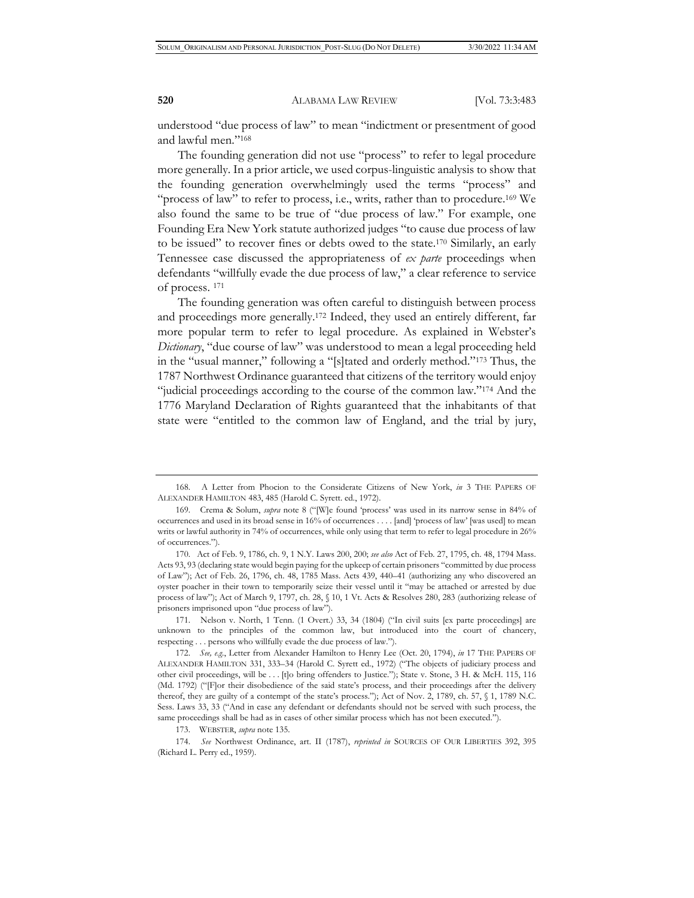understood "due process of law" to mean "indictment or presentment of good and lawful men."168

The founding generation did not use "process" to refer to legal procedure more generally. In a prior article, we used corpus-linguistic analysis to show that the founding generation overwhelmingly used the terms "process" and "process of law" to refer to process, i.e., writs, rather than to procedure.169 We also found the same to be true of "due process of law." For example, one Founding Era New York statute authorized judges "to cause due process of law to be issued" to recover fines or debts owed to the state.170 Similarly, an early Tennessee case discussed the appropriateness of *ex parte* proceedings when defendants "willfully evade the due process of law," a clear reference to service of process. 171

The founding generation was often careful to distinguish between process and proceedings more generally.172 Indeed, they used an entirely different, far more popular term to refer to legal procedure. As explained in Webster's *Dictionary*, "due course of law" was understood to mean a legal proceeding held in the "usual manner," following a "[s]tated and orderly method."173 Thus, the 1787 Northwest Ordinance guaranteed that citizens of the territory would enjoy "judicial proceedings according to the course of the common law."174 And the 1776 Maryland Declaration of Rights guaranteed that the inhabitants of that state were "entitled to the common law of England, and the trial by jury,

171. Nelson v. North, 1 Tenn. (1 Overt.) 33, 34 (1804) ("In civil suits [ex parte proceedings] are unknown to the principles of the common law, but introduced into the court of chancery, respecting . . . persons who willfully evade the due process of law.").

<sup>168.</sup> A Letter from Phocion to the Considerate Citizens of New York, *in* 3 THE PAPERS OF ALEXANDER HAMILTON 483, 485 (Harold C. Syrett. ed., 1972).

<sup>169.</sup> Crema & Solum, *supra* note 8 ("[W]e found 'process' was used in its narrow sense in 84% of occurrences and used in its broad sense in 16% of occurrences . . . . [and] 'process of law' [was used] to mean writs or lawful authority in 74% of occurrences, while only using that term to refer to legal procedure in 26% of occurrences.").

<sup>170.</sup> Act of Feb. 9, 1786, ch. 9, 1 N.Y. Laws 200, 200; *see also* Act of Feb. 27, 1795, ch. 48, 1794 Mass. Acts 93, 93 (declaring state would begin paying for the upkeep of certain prisoners "committed by due process of Law"); Act of Feb. 26, 1796, ch. 48, 1785 Mass. Acts 439, 440–41 (authorizing any who discovered an oyster poacher in their town to temporarily seize their vessel until it "may be attached or arrested by due process of law"); Act of March 9, 1797, ch. 28, § 10, 1 Vt. Acts & Resolves 280, 283 (authorizing release of prisoners imprisoned upon "due process of law").

<sup>172.</sup> *See, e.g.*, Letter from Alexander Hamilton to Henry Lee (Oct. 20, 1794), *in* 17 THE PAPERS OF ALEXANDER HAMILTON 331, 333–34 (Harold C. Syrett ed., 1972) ("The objects of judiciary process and other civil proceedings, will be . . . [t]o bring offenders to Justice."); State v. Stone, 3 H. & McH. 115, 116 (Md. 1792) ("[F]or their disobedience of the said state's process, and their proceedings after the delivery thereof, they are guilty of a contempt of the state's process."); Act of Nov. 2, 1789, ch. 57, § 1, 1789 N.C. Sess. Laws 33, 33 ("And in case any defendant or defendants should not be served with such process, the same proceedings shall be had as in cases of other similar process which has not been executed.").

<sup>173.</sup> WEBSTER, *supra* note 135.

<sup>174.</sup> *See* Northwest Ordinance, art. II (1787), *reprinted in* SOURCES OF OUR LIBERTIES 392, 395 (Richard L. Perry ed., 1959).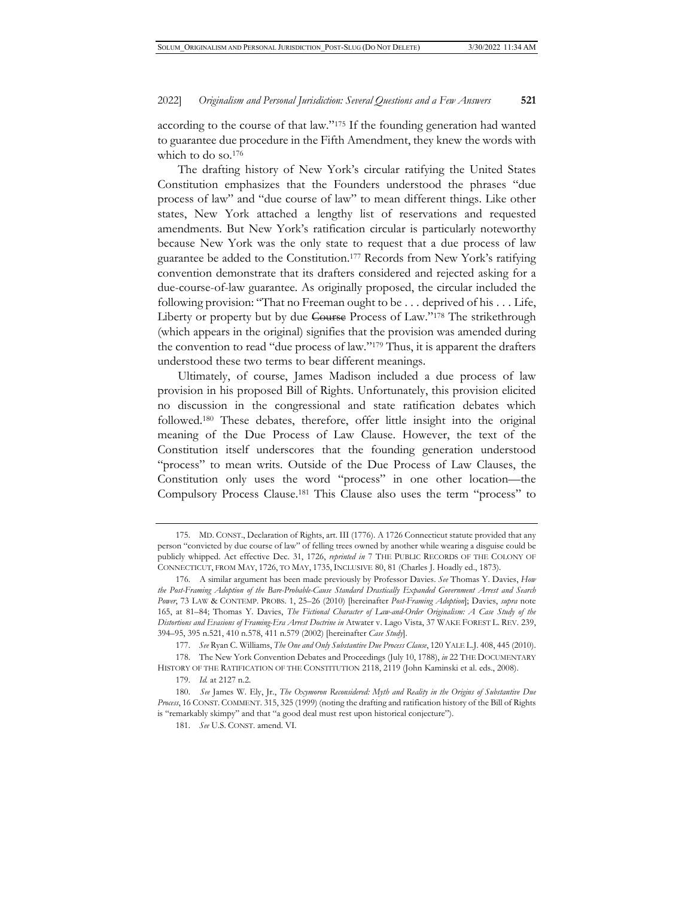according to the course of that law."175 If the founding generation had wanted to guarantee due procedure in the Fifth Amendment, they knew the words with which to do so.176

The drafting history of New York's circular ratifying the United States Constitution emphasizes that the Founders understood the phrases "due process of law" and "due course of law" to mean different things. Like other states, New York attached a lengthy list of reservations and requested amendments. But New York's ratification circular is particularly noteworthy because New York was the only state to request that a due process of law guarantee be added to the Constitution.177 Records from New York's ratifying convention demonstrate that its drafters considered and rejected asking for a due-course-of-law guarantee. As originally proposed, the circular included the following provision: "That no Freeman ought to be . . . deprived of his . . . Life, Liberty or property but by due Course Process of Law."<sup>178</sup> The strikethrough (which appears in the original) signifies that the provision was amended during the convention to read "due process of law."179 Thus, it is apparent the drafters understood these two terms to bear different meanings.

Ultimately, of course, James Madison included a due process of law provision in his proposed Bill of Rights. Unfortunately, this provision elicited no discussion in the congressional and state ratification debates which followed.180 These debates, therefore, offer little insight into the original meaning of the Due Process of Law Clause. However, the text of the Constitution itself underscores that the founding generation understood "process" to mean writs. Outside of the Due Process of Law Clauses, the Constitution only uses the word "process" in one other location—the Compulsory Process Clause.181 This Clause also uses the term "process" to

<sup>175.</sup> MD. CONST., Declaration of Rights, art. III (1776). A 1726 Connecticut statute provided that any person "convicted by due course of law" of felling trees owned by another while wearing a disguise could be publicly whipped. Act effective Dec. 31, 1726, *reprinted in* 7 THE PUBLIC RECORDS OF THE COLONY OF CONNECTICUT, FROM MAY, 1726, TO MAY, 1735, INCLUSIVE 80, 81 (Charles J. Hoadly ed., 1873).

<sup>176.</sup> A similar argument has been made previously by Professor Davies. *See* Thomas Y. Davies, *How the Post-Framing Adoption of the Bare-Probable-Cause Standard Drastically Expanded Government Arrest and Search Power*, 73 LAW & CONTEMP. PROBS. 1, 25–26 (2010) [hereinafter *Post-Framing Adoption*]; Davies, *supra* note 165, at 81–84; Thomas Y. Davies, *The Fictional Character of Law-and-Order Originalism: A Case Study of the Distortions and Evasions of Framing-Era Arrest Doctrine in* Atwater v. Lago Vista, 37 WAKE FOREST L. REV. 239, 394–95, 395 n.521, 410 n.578, 411 n.579 (2002) [hereinafter *Case Study*].

<sup>177.</sup> *See* Ryan C. Williams, *The One and Only Substantive Due Process Clause*, 120 YALE L.J. 408, 445 (2010).

<sup>178.</sup> The New York Convention Debates and Proceedings (July 10, 1788), *in* 22 THE DOCUMENTARY HISTORY OF THE RATIFICATION OF THE CONSTITUTION 2118, 2119 (John Kaminski et al. eds., 2008).

<sup>179.</sup> *Id.* at 2127 n.2.

<sup>180.</sup> *See* James W. Ely, Jr., *The Oxymoron Reconsidered: Myth and Reality in the Origins of Substantive Due Process*, 16 CONST. COMMENT. 315, 325 (1999) (noting the drafting and ratification history of the Bill of Rights is "remarkably skimpy" and that "a good deal must rest upon historical conjecture").

<sup>181.</sup> *See* U.S. CONST. amend. VI.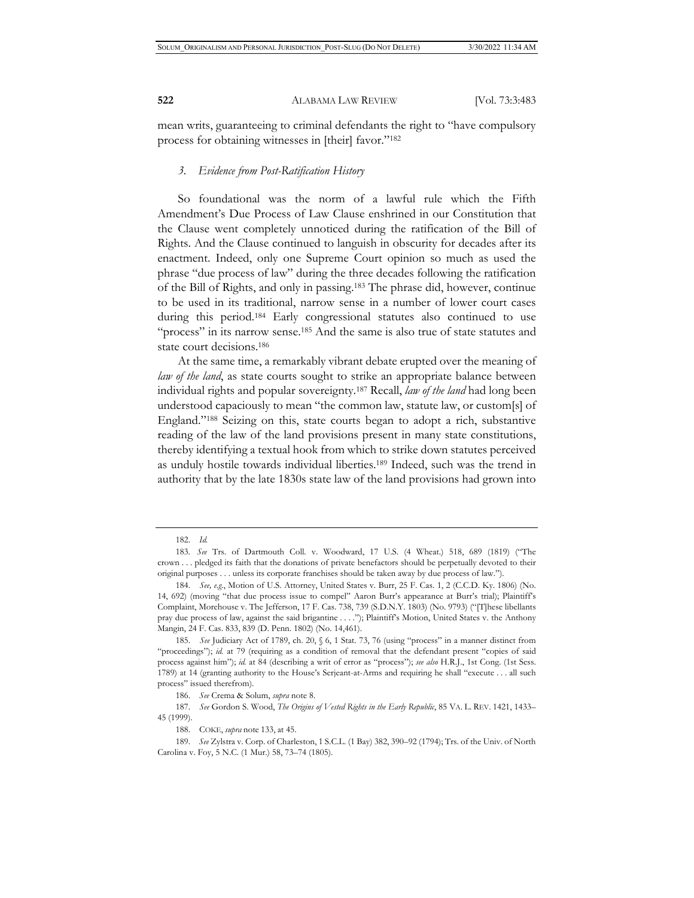mean writs, guaranteeing to criminal defendants the right to "have compulsory process for obtaining witnesses in [their] favor."182

#### *3. Evidence from Post-Ratification History*

So foundational was the norm of a lawful rule which the Fifth Amendment's Due Process of Law Clause enshrined in our Constitution that the Clause went completely unnoticed during the ratification of the Bill of Rights. And the Clause continued to languish in obscurity for decades after its enactment. Indeed, only one Supreme Court opinion so much as used the phrase "due process of law" during the three decades following the ratification of the Bill of Rights, and only in passing.183 The phrase did, however, continue to be used in its traditional, narrow sense in a number of lower court cases during this period.184 Early congressional statutes also continued to use "process" in its narrow sense.<sup>185</sup> And the same is also true of state statutes and state court decisions.186

At the same time, a remarkably vibrant debate erupted over the meaning of *law of the land*, as state courts sought to strike an appropriate balance between individual rights and popular sovereignty.187 Recall, *law of the land* had long been understood capaciously to mean "the common law, statute law, or custom[s] of England."188 Seizing on this, state courts began to adopt a rich, substantive reading of the law of the land provisions present in many state constitutions, thereby identifying a textual hook from which to strike down statutes perceived as unduly hostile towards individual liberties.189 Indeed, such was the trend in authority that by the late 1830s state law of the land provisions had grown into

<sup>182.</sup> *Id.* 

<sup>183</sup>*. See* Trs. of Dartmouth Coll. v. Woodward, 17 U.S. (4 Wheat.) 518, 689 (1819) ("The crown . . . pledged its faith that the donations of private benefactors should be perpetually devoted to their original purposes . . . unless its corporate franchises should be taken away by due process of law.").

<sup>184.</sup> *See, e.g.*, Motion of U.S. Attorney, United States v. Burr, 25 F. Cas. 1, 2 (C.C.D. Ky. 1806) (No. 14, 692) (moving "that due process issue to compel" Aaron Burr's appearance at Burr's trial); Plaintiff's Complaint, Morehouse v. The Jefferson, 17 F. Cas. 738, 739 (S.D.N.Y. 1803) (No. 9793) ("[T]hese libellants pray due process of law, against the said brigantine . . . ."); Plaintiff's Motion, United States v. the Anthony Mangin, 24 F. Cas. 833, 839 (D. Penn. 1802) (No. 14,461).

<sup>185.</sup> *See* Judiciary Act of 1789, ch. 20, § 6, 1 Stat. 73, 76 (using "process" in a manner distinct from "proceedings"); *id.* at 79 (requiring as a condition of removal that the defendant present "copies of said process against him"); *id.* at 84 (describing a writ of error as "process"); *see also* H.R.J., 1st Cong. (1st Sess. 1789) at 14 (granting authority to the House's Serjeant-at-Arms and requiring he shall "execute . . . all such process" issued therefrom).

<sup>186.</sup> *See* Crema & Solum, *supra* note 8.

<sup>187.</sup> *See* Gordon S. Wood, *The Origins of Vested Rights in the Early Republic*, 85 VA. L. REV. 1421, 1433– 45 (1999).

<sup>188.</sup> COKE, *supra* note 133, at 45.

<sup>189.</sup> *See* Zylstra v. Corp. of Charleston, 1 S.C.L. (1 Bay) 382, 390–92 (1794); Trs. of the Univ. of North Carolina v. Foy, 5 N.C. (1 Mur.) 58, 73–74 (1805).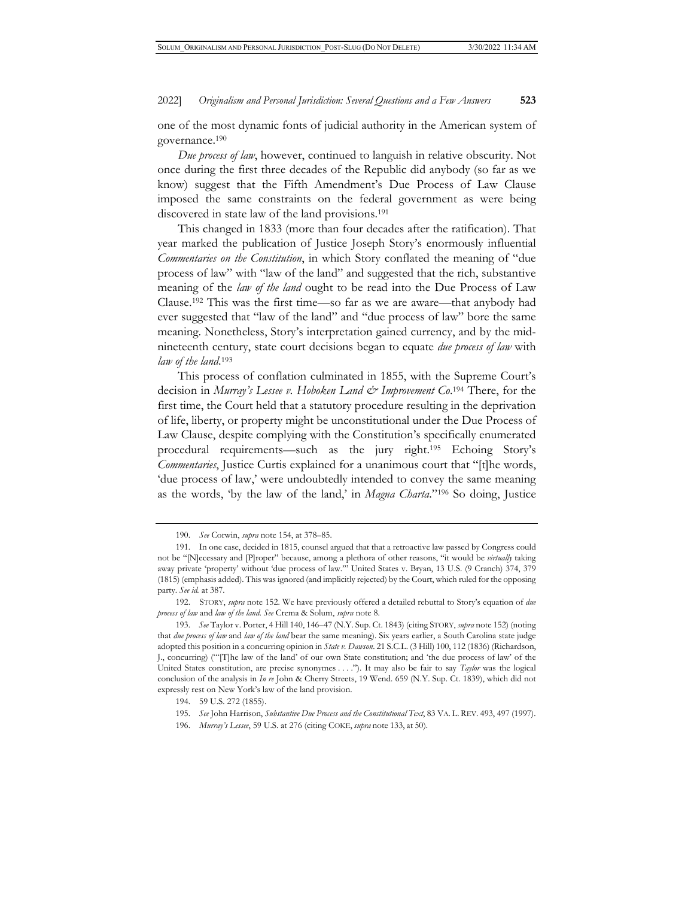one of the most dynamic fonts of judicial authority in the American system of governance.190

*Due process of law*, however, continued to languish in relative obscurity. Not once during the first three decades of the Republic did anybody (so far as we know) suggest that the Fifth Amendment's Due Process of Law Clause imposed the same constraints on the federal government as were being discovered in state law of the land provisions.191

This changed in 1833 (more than four decades after the ratification). That year marked the publication of Justice Joseph Story's enormously influential *Commentaries on the Constitution*, in which Story conflated the meaning of "due process of law" with "law of the land" and suggested that the rich, substantive meaning of the *law of the land* ought to be read into the Due Process of Law Clause.192 This was the first time—so far as we are aware—that anybody had ever suggested that "law of the land" and "due process of law" bore the same meaning. Nonetheless, Story's interpretation gained currency, and by the midnineteenth century, state court decisions began to equate *due process of law* with *law of the land*. 193

This process of conflation culminated in 1855, with the Supreme Court's decision in *Murray's Lessee v. Hoboken Land & Improvement Co*. 194 There, for the first time, the Court held that a statutory procedure resulting in the deprivation of life, liberty, or property might be unconstitutional under the Due Process of Law Clause, despite complying with the Constitution's specifically enumerated procedural requirements—such as the jury right.195 Echoing Story's *Commentaries*, Justice Curtis explained for a unanimous court that "[t]he words, 'due process of law,' were undoubtedly intended to convey the same meaning as the words, 'by the law of the land,' in *Magna Charta*."196 So doing, Justice

<sup>190.</sup> *See* Corwin, *supra* note 154, at 378–85.

<sup>191.</sup> In one case, decided in 1815, counsel argued that that a retroactive law passed by Congress could not be "[N]ecessary and [P]roper" because, among a plethora of other reasons, "it would be *virtually* taking away private 'property' without 'due process of law.'" United States v. Bryan, 13 U.S. (9 Cranch) 374, 379 (1815) (emphasis added). This was ignored (and implicitly rejected) by the Court, which ruled for the opposing party. *See id.* at 387.

<sup>192.</sup> STORY, *supra* note 152. We have previously offered a detailed rebuttal to Story's equation of *due process of law* and *law of the land*. *See* Crema & Solum, *supra* note 8.

<sup>193.</sup> *See* Taylor v. Porter, 4 Hill 140, 146–47 (N.Y. Sup. Ct. 1843) (citing STORY, *supra* note 152) (noting that *due process of law* and *law of the land* bear the same meaning). Six years earlier, a South Carolina state judge adopted this position in a concurring opinion in *State v. Dawson*. 21 S.C.L. (3 Hill) 100, 112 (1836) (Richardson, J., concurring) ("'[T]he law of the land' of our own State constitution; and 'the due process of law' of the United States constitution, are precise synonymes . . . ."). It may also be fair to say *Taylor* was the logical conclusion of the analysis in *In re* John & Cherry Streets, 19 Wend. 659 (N.Y. Sup. Ct. 1839), which did not expressly rest on New York's law of the land provision.

<sup>194. 59</sup> U.S. 272 (1855).

<sup>195.</sup> *See* John Harrison, *Substantive Due Process and the Constitutional Text*, 83 VA. L. REV. 493, 497 (1997).

<sup>196.</sup> *Murray's Lessee*, 59 U.S. at 276 (citing COKE, *supra* note 133, at 50).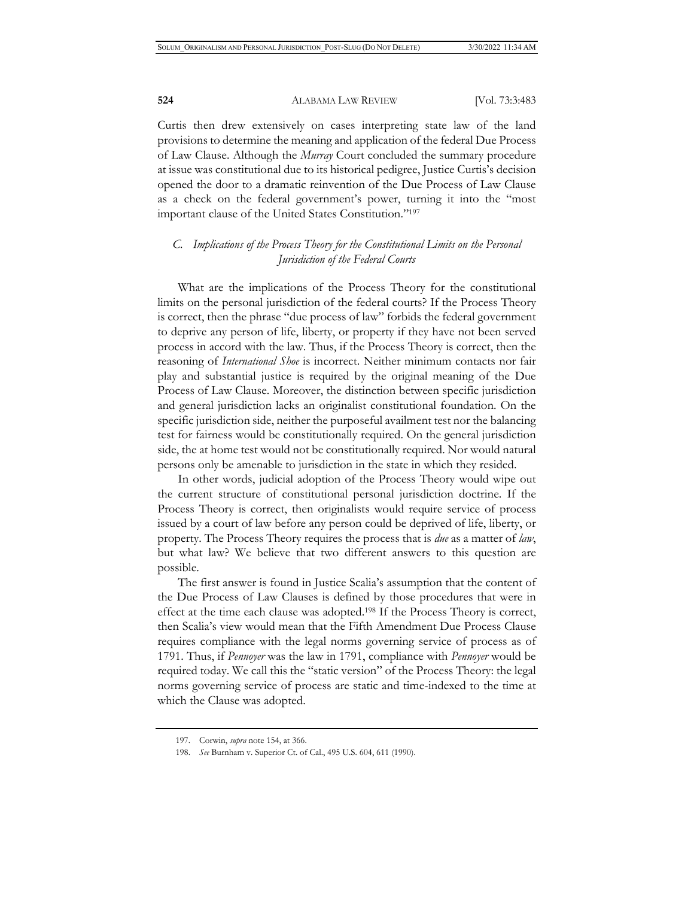Curtis then drew extensively on cases interpreting state law of the land provisions to determine the meaning and application of the federal Due Process of Law Clause. Although the *Murray* Court concluded the summary procedure at issue was constitutional due to its historical pedigree, Justice Curtis's decision opened the door to a dramatic reinvention of the Due Process of Law Clause as a check on the federal government's power, turning it into the "most important clause of the United States Constitution."197

# *C. Implications of the Process Theory for the Constitutional Limits on the Personal Jurisdiction of the Federal Courts*

What are the implications of the Process Theory for the constitutional limits on the personal jurisdiction of the federal courts? If the Process Theory is correct, then the phrase "due process of law" forbids the federal government to deprive any person of life, liberty, or property if they have not been served process in accord with the law. Thus, if the Process Theory is correct, then the reasoning of *International Shoe* is incorrect. Neither minimum contacts nor fair play and substantial justice is required by the original meaning of the Due Process of Law Clause. Moreover, the distinction between specific jurisdiction and general jurisdiction lacks an originalist constitutional foundation. On the specific jurisdiction side, neither the purposeful availment test nor the balancing test for fairness would be constitutionally required. On the general jurisdiction side, the at home test would not be constitutionally required. Nor would natural persons only be amenable to jurisdiction in the state in which they resided.

In other words, judicial adoption of the Process Theory would wipe out the current structure of constitutional personal jurisdiction doctrine. If the Process Theory is correct, then originalists would require service of process issued by a court of law before any person could be deprived of life, liberty, or property. The Process Theory requires the process that is *due* as a matter of *law*, but what law? We believe that two different answers to this question are possible.

The first answer is found in Justice Scalia's assumption that the content of the Due Process of Law Clauses is defined by those procedures that were in effect at the time each clause was adopted.<sup>198</sup> If the Process Theory is correct, then Scalia's view would mean that the Fifth Amendment Due Process Clause requires compliance with the legal norms governing service of process as of 1791. Thus, if *Pennoyer* was the law in 1791, compliance with *Pennoyer* would be required today. We call this the "static version" of the Process Theory: the legal norms governing service of process are static and time-indexed to the time at which the Clause was adopted.

<sup>197.</sup> Corwin, *supra* note 154, at 366.

<sup>198.</sup> *See* Burnham v. Superior Ct. of Cal., 495 U.S. 604, 611 (1990).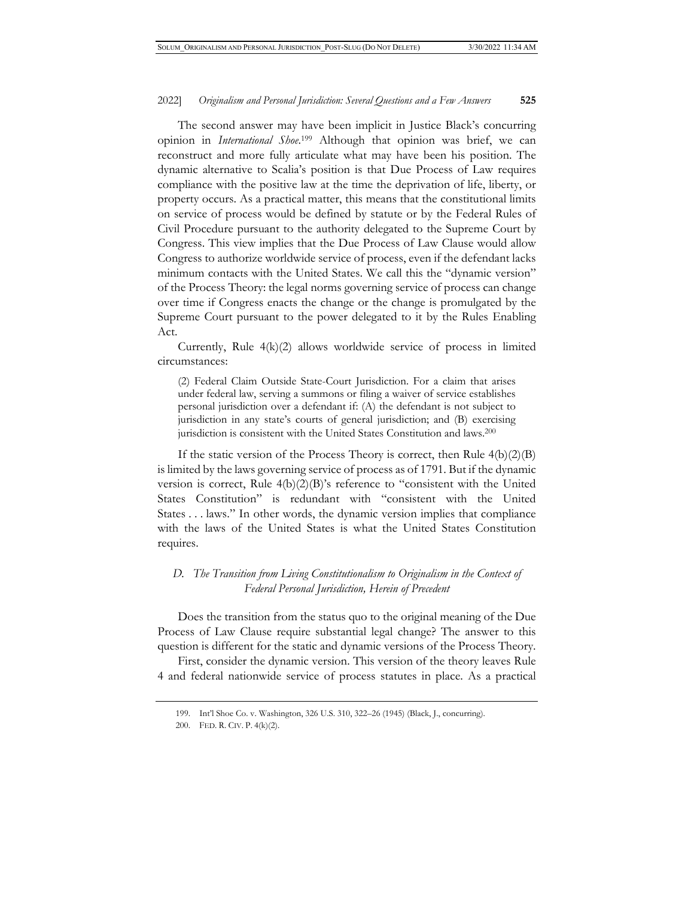The second answer may have been implicit in Justice Black's concurring opinion in *International Shoe*. 199 Although that opinion was brief, we can reconstruct and more fully articulate what may have been his position. The dynamic alternative to Scalia's position is that Due Process of Law requires compliance with the positive law at the time the deprivation of life, liberty, or property occurs. As a practical matter, this means that the constitutional limits on service of process would be defined by statute or by the Federal Rules of Civil Procedure pursuant to the authority delegated to the Supreme Court by Congress. This view implies that the Due Process of Law Clause would allow Congress to authorize worldwide service of process, even if the defendant lacks minimum contacts with the United States. We call this the "dynamic version" of the Process Theory: the legal norms governing service of process can change over time if Congress enacts the change or the change is promulgated by the Supreme Court pursuant to the power delegated to it by the Rules Enabling Act.

Currently, Rule 4(k)(2) allows worldwide service of process in limited circumstances:

(2) Federal Claim Outside State-Court Jurisdiction. For a claim that arises under federal law, serving a summons or filing a waiver of service establishes personal jurisdiction over a defendant if: (A) the defendant is not subject to jurisdiction in any state's courts of general jurisdiction; and (B) exercising jurisdiction is consistent with the United States Constitution and laws.200

If the static version of the Process Theory is correct, then Rule  $4(b)(2)(B)$ is limited by the laws governing service of process as of 1791. But if the dynamic version is correct, Rule 4(b)(2)(B)'s reference to "consistent with the United States Constitution" is redundant with "consistent with the United States . . . laws." In other words, the dynamic version implies that compliance with the laws of the United States is what the United States Constitution requires.

# *D. The Transition from Living Constitutionalism to Originalism in the Context of Federal Personal Jurisdiction, Herein of Precedent*

Does the transition from the status quo to the original meaning of the Due Process of Law Clause require substantial legal change? The answer to this question is different for the static and dynamic versions of the Process Theory.

First, consider the dynamic version. This version of the theory leaves Rule 4 and federal nationwide service of process statutes in place. As a practical

<sup>199.</sup> Int'l Shoe Co. v. Washington, 326 U.S. 310, 322–26 (1945) (Black, J., concurring).

<sup>200.</sup> FED. R. CIV. P. 4(k)(2).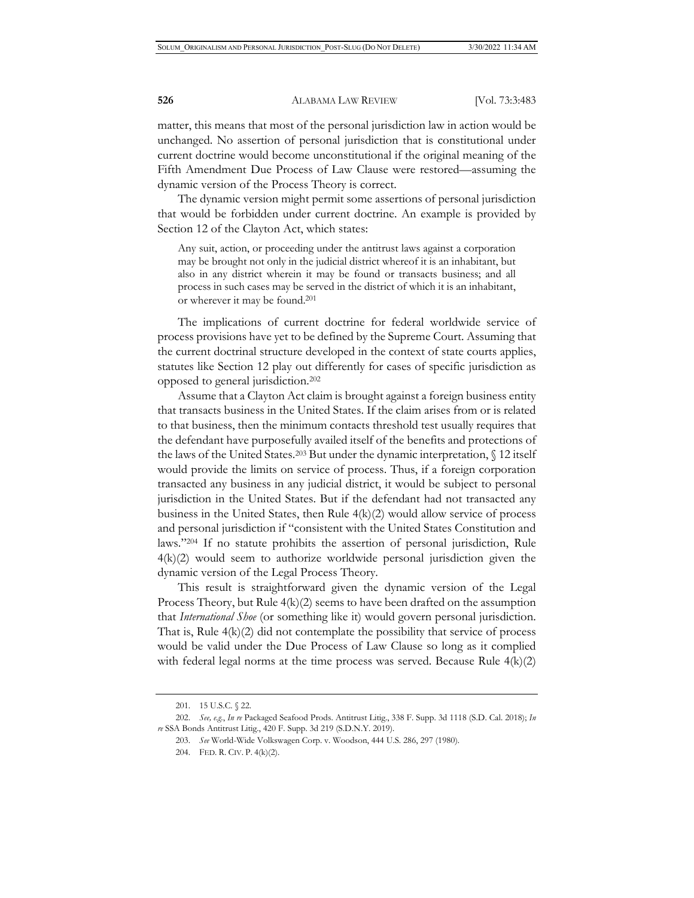matter, this means that most of the personal jurisdiction law in action would be unchanged. No assertion of personal jurisdiction that is constitutional under current doctrine would become unconstitutional if the original meaning of the Fifth Amendment Due Process of Law Clause were restored—assuming the dynamic version of the Process Theory is correct.

The dynamic version might permit some assertions of personal jurisdiction that would be forbidden under current doctrine. An example is provided by Section 12 of the Clayton Act, which states:

Any suit, action, or proceeding under the antitrust laws against a corporation may be brought not only in the judicial district whereof it is an inhabitant, but also in any district wherein it may be found or transacts business; and all process in such cases may be served in the district of which it is an inhabitant, or wherever it may be found.201

The implications of current doctrine for federal worldwide service of process provisions have yet to be defined by the Supreme Court. Assuming that the current doctrinal structure developed in the context of state courts applies, statutes like Section 12 play out differently for cases of specific jurisdiction as opposed to general jurisdiction.202

Assume that a Clayton Act claim is brought against a foreign business entity that transacts business in the United States. If the claim arises from or is related to that business, then the minimum contacts threshold test usually requires that the defendant have purposefully availed itself of the benefits and protections of the laws of the United States.203 But under the dynamic interpretation, § 12 itself would provide the limits on service of process. Thus, if a foreign corporation transacted any business in any judicial district, it would be subject to personal jurisdiction in the United States. But if the defendant had not transacted any business in the United States, then Rule 4(k)(2) would allow service of process and personal jurisdiction if "consistent with the United States Constitution and laws."204 If no statute prohibits the assertion of personal jurisdiction, Rule  $4(k)(2)$  would seem to authorize worldwide personal jurisdiction given the dynamic version of the Legal Process Theory.

This result is straightforward given the dynamic version of the Legal Process Theory, but Rule 4(k)(2) seems to have been drafted on the assumption that *International Shoe* (or something like it) would govern personal jurisdiction. That is, Rule 4(k)(2) did not contemplate the possibility that service of process would be valid under the Due Process of Law Clause so long as it complied with federal legal norms at the time process was served. Because Rule 4(k)(2)

<sup>201. 15</sup> U.S.C. § 22.

<sup>202.</sup> *See, e.g.*, *In re* Packaged Seafood Prods. Antitrust Litig., 338 F. Supp. 3d 1118 (S.D. Cal. 2018); *In re* SSA Bonds Antitrust Litig., 420 F. Supp. 3d 219 (S.D.N.Y. 2019).

<sup>203.</sup> *See* World-Wide Volkswagen Corp. v. Woodson, 444 U.S. 286, 297 (1980).

<sup>204.</sup> FED. R. CIV. P. 4(k)(2).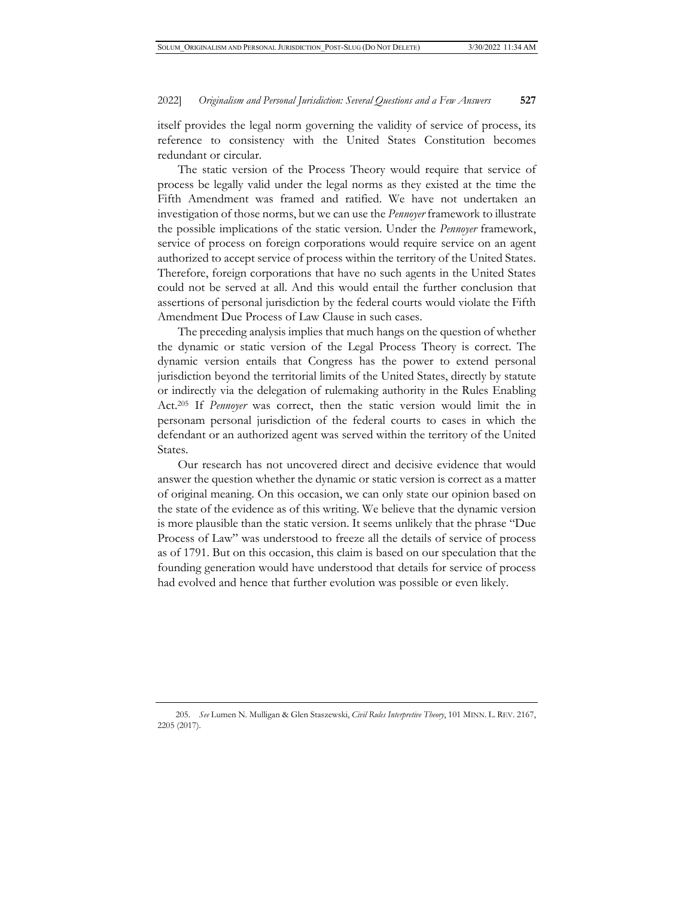itself provides the legal norm governing the validity of service of process, its reference to consistency with the United States Constitution becomes redundant or circular.

The static version of the Process Theory would require that service of process be legally valid under the legal norms as they existed at the time the Fifth Amendment was framed and ratified. We have not undertaken an investigation of those norms, but we can use the *Pennoyer* framework to illustrate the possible implications of the static version. Under the *Pennoyer* framework, service of process on foreign corporations would require service on an agent authorized to accept service of process within the territory of the United States. Therefore, foreign corporations that have no such agents in the United States could not be served at all. And this would entail the further conclusion that assertions of personal jurisdiction by the federal courts would violate the Fifth Amendment Due Process of Law Clause in such cases.

The preceding analysis implies that much hangs on the question of whether the dynamic or static version of the Legal Process Theory is correct. The dynamic version entails that Congress has the power to extend personal jurisdiction beyond the territorial limits of the United States, directly by statute or indirectly via the delegation of rulemaking authority in the Rules Enabling Act.205 If *Pennoyer* was correct, then the static version would limit the in personam personal jurisdiction of the federal courts to cases in which the defendant or an authorized agent was served within the territory of the United States.

Our research has not uncovered direct and decisive evidence that would answer the question whether the dynamic or static version is correct as a matter of original meaning. On this occasion, we can only state our opinion based on the state of the evidence as of this writing. We believe that the dynamic version is more plausible than the static version. It seems unlikely that the phrase "Due Process of Law" was understood to freeze all the details of service of process as of 1791. But on this occasion, this claim is based on our speculation that the founding generation would have understood that details for service of process had evolved and hence that further evolution was possible or even likely.

<sup>205.</sup> *See* Lumen N. Mulligan & Glen Staszewski, *Civil Rules Interpretive Theory*, 101 MINN. L. REV. 2167, 2205 (2017).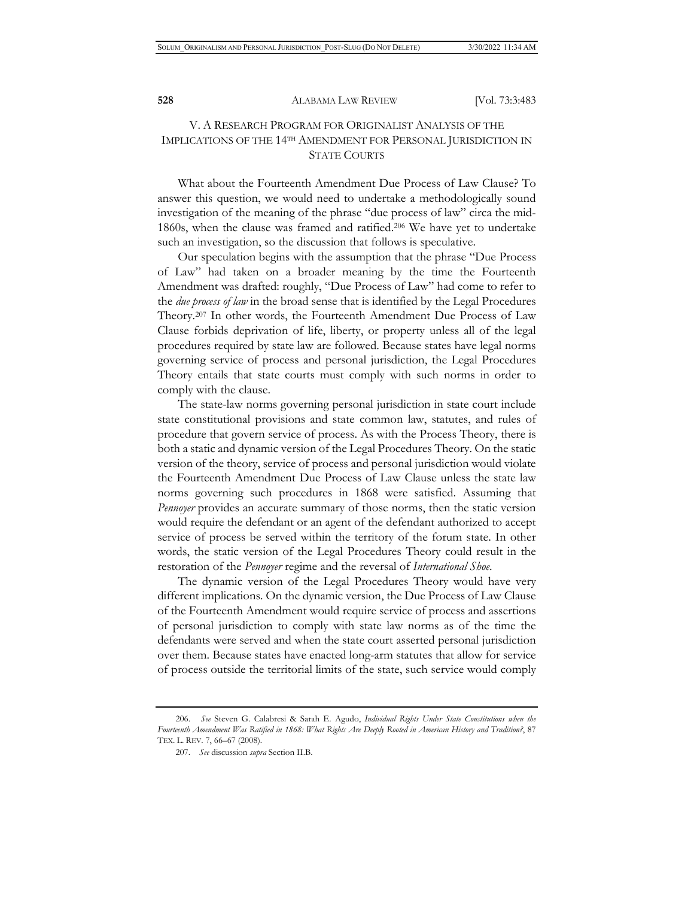# V. A RESEARCH PROGRAM FOR ORIGINALIST ANALYSIS OF THE IMPLICATIONS OF THE 14TH AMENDMENT FOR PERSONAL JURISDICTION IN STATE COURTS

What about the Fourteenth Amendment Due Process of Law Clause? To answer this question, we would need to undertake a methodologically sound investigation of the meaning of the phrase "due process of law" circa the mid-1860s, when the clause was framed and ratified.206 We have yet to undertake such an investigation, so the discussion that follows is speculative.

Our speculation begins with the assumption that the phrase "Due Process of Law" had taken on a broader meaning by the time the Fourteenth Amendment was drafted: roughly, "Due Process of Law" had come to refer to the *due process of law* in the broad sense that is identified by the Legal Procedures Theory.207 In other words, the Fourteenth Amendment Due Process of Law Clause forbids deprivation of life, liberty, or property unless all of the legal procedures required by state law are followed. Because states have legal norms governing service of process and personal jurisdiction, the Legal Procedures Theory entails that state courts must comply with such norms in order to comply with the clause.

The state-law norms governing personal jurisdiction in state court include state constitutional provisions and state common law, statutes, and rules of procedure that govern service of process. As with the Process Theory, there is both a static and dynamic version of the Legal Procedures Theory. On the static version of the theory, service of process and personal jurisdiction would violate the Fourteenth Amendment Due Process of Law Clause unless the state law norms governing such procedures in 1868 were satisfied. Assuming that *Pennoyer* provides an accurate summary of those norms, then the static version would require the defendant or an agent of the defendant authorized to accept service of process be served within the territory of the forum state. In other words, the static version of the Legal Procedures Theory could result in the restoration of the *Pennoyer* regime and the reversal of *International Shoe*.

The dynamic version of the Legal Procedures Theory would have very different implications. On the dynamic version, the Due Process of Law Clause of the Fourteenth Amendment would require service of process and assertions of personal jurisdiction to comply with state law norms as of the time the defendants were served and when the state court asserted personal jurisdiction over them. Because states have enacted long-arm statutes that allow for service of process outside the territorial limits of the state, such service would comply

<sup>206.</sup> *See* Steven G. Calabresi & Sarah E. Agudo, *Individual Rights Under State Constitutions when the Fourteenth Amendment Was Ratified in 1868: What Rights Are Deeply Rooted in American History and Tradition?*, 87 TEX. L. REV. 7, 66–67 (2008).

<sup>207.</sup> *See* discussion *supra* Section II.B.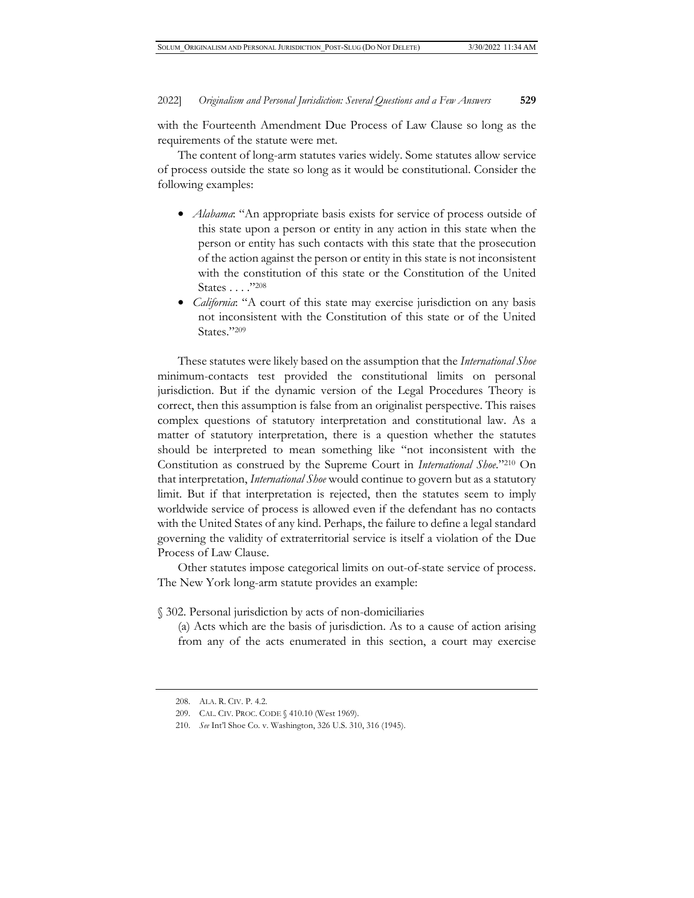with the Fourteenth Amendment Due Process of Law Clause so long as the requirements of the statute were met.

The content of long-arm statutes varies widely. Some statutes allow service of process outside the state so long as it would be constitutional. Consider the following examples:

- *Alabama*: "An appropriate basis exists for service of process outside of this state upon a person or entity in any action in this state when the person or entity has such contacts with this state that the prosecution of the action against the person or entity in this state is not inconsistent with the constitution of this state or the Constitution of the United States . . . . "208
- *California*: "A court of this state may exercise jurisdiction on any basis not inconsistent with the Constitution of this state or of the United States."209

These statutes were likely based on the assumption that the *International Shoe* minimum-contacts test provided the constitutional limits on personal jurisdiction. But if the dynamic version of the Legal Procedures Theory is correct, then this assumption is false from an originalist perspective. This raises complex questions of statutory interpretation and constitutional law. As a matter of statutory interpretation, there is a question whether the statutes should be interpreted to mean something like "not inconsistent with the Constitution as construed by the Supreme Court in *International Shoe*."210 On that interpretation, *International Shoe* would continue to govern but as a statutory limit. But if that interpretation is rejected, then the statutes seem to imply worldwide service of process is allowed even if the defendant has no contacts with the United States of any kind. Perhaps, the failure to define a legal standard governing the validity of extraterritorial service is itself a violation of the Due Process of Law Clause.

Other statutes impose categorical limits on out-of-state service of process. The New York long-arm statute provides an example:

§ 302. Personal jurisdiction by acts of non-domiciliaries

(a) Acts which are the basis of jurisdiction. As to a cause of action arising from any of the acts enumerated in this section, a court may exercise

<sup>208.</sup> ALA. R. CIV. P. 4.2.

<sup>209.</sup> CAL. CIV. PROC. CODE § 410.10 (West 1969).

<sup>210.</sup> *See* Int'l Shoe Co. v. Washington, 326 U.S. 310, 316 (1945).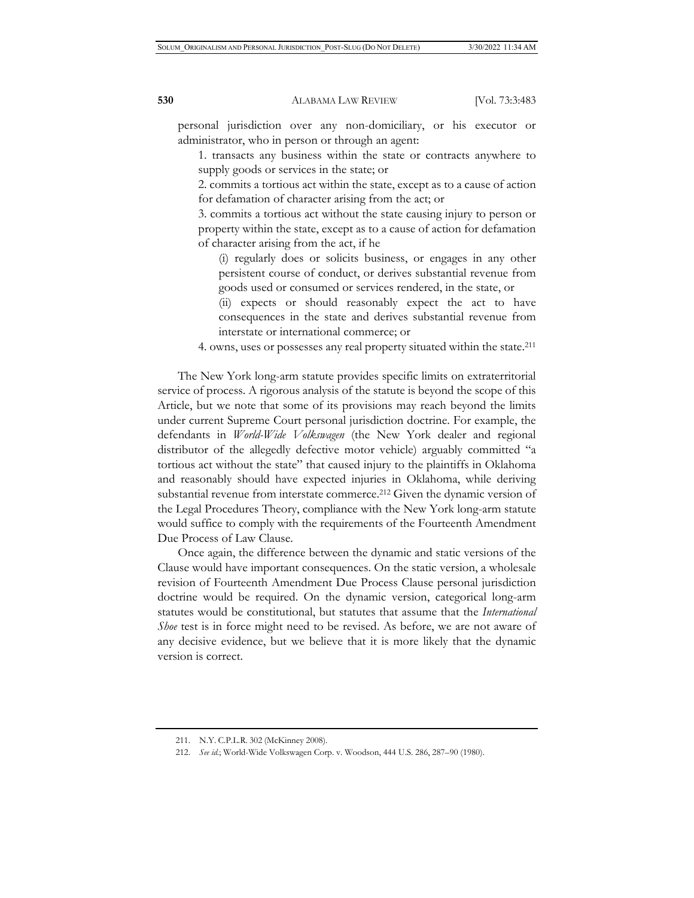personal jurisdiction over any non-domiciliary, or his executor or administrator, who in person or through an agent:

1. transacts any business within the state or contracts anywhere to supply goods or services in the state; or

2. commits a tortious act within the state, except as to a cause of action for defamation of character arising from the act; or

3. commits a tortious act without the state causing injury to person or property within the state, except as to a cause of action for defamation of character arising from the act, if he

(i) regularly does or solicits business, or engages in any other persistent course of conduct, or derives substantial revenue from goods used or consumed or services rendered, in the state, or

(ii) expects or should reasonably expect the act to have consequences in the state and derives substantial revenue from interstate or international commerce; or

4. owns, uses or possesses any real property situated within the state.211

The New York long-arm statute provides specific limits on extraterritorial service of process. A rigorous analysis of the statute is beyond the scope of this Article, but we note that some of its provisions may reach beyond the limits under current Supreme Court personal jurisdiction doctrine. For example, the defendants in *World-Wide Volkswagen* (the New York dealer and regional distributor of the allegedly defective motor vehicle) arguably committed "a tortious act without the state" that caused injury to the plaintiffs in Oklahoma and reasonably should have expected injuries in Oklahoma, while deriving substantial revenue from interstate commerce.212 Given the dynamic version of the Legal Procedures Theory, compliance with the New York long-arm statute would suffice to comply with the requirements of the Fourteenth Amendment Due Process of Law Clause.

Once again, the difference between the dynamic and static versions of the Clause would have important consequences. On the static version, a wholesale revision of Fourteenth Amendment Due Process Clause personal jurisdiction doctrine would be required. On the dynamic version, categorical long-arm statutes would be constitutional, but statutes that assume that the *International Shoe* test is in force might need to be revised. As before, we are not aware of any decisive evidence, but we believe that it is more likely that the dynamic version is correct.

<sup>211.</sup> N.Y. C.P.L.R. 302 (McKinney 2008).

<sup>212.</sup> *See id*.; World-Wide Volkswagen Corp. v. Woodson, 444 U.S. 286, 287–90 (1980).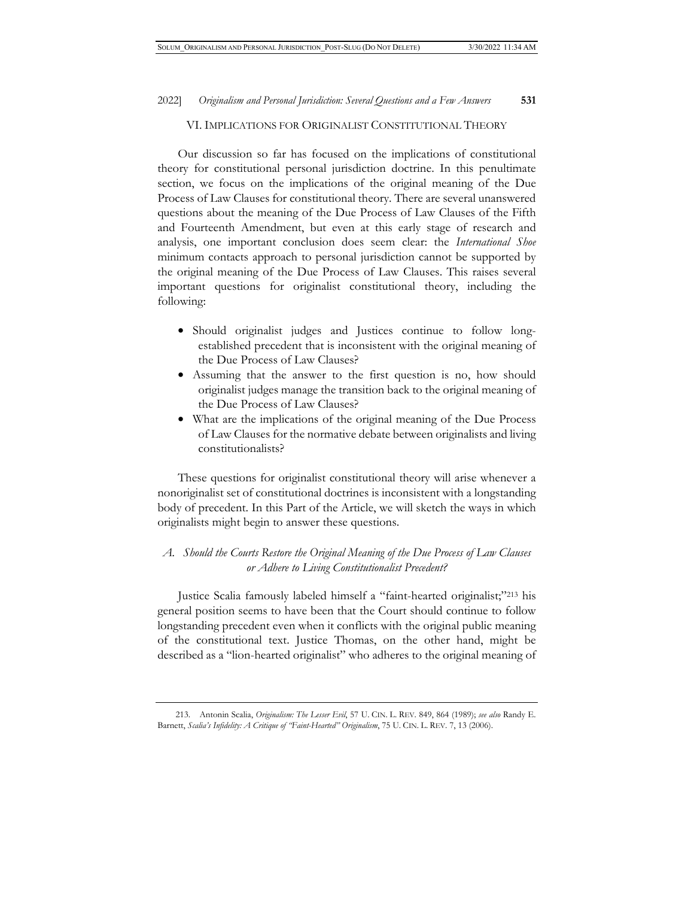#### VI. IMPLICATIONS FOR ORIGINALIST CONSTITUTIONAL THEORY

Our discussion so far has focused on the implications of constitutional theory for constitutional personal jurisdiction doctrine. In this penultimate section, we focus on the implications of the original meaning of the Due Process of Law Clauses for constitutional theory. There are several unanswered questions about the meaning of the Due Process of Law Clauses of the Fifth and Fourteenth Amendment, but even at this early stage of research and analysis, one important conclusion does seem clear: the *International Shoe* minimum contacts approach to personal jurisdiction cannot be supported by the original meaning of the Due Process of Law Clauses. This raises several important questions for originalist constitutional theory, including the following:

- Should originalist judges and Justices continue to follow longestablished precedent that is inconsistent with the original meaning of the Due Process of Law Clauses?
- Assuming that the answer to the first question is no, how should originalist judges manage the transition back to the original meaning of the Due Process of Law Clauses?
- What are the implications of the original meaning of the Due Process of Law Clauses for the normative debate between originalists and living constitutionalists?

These questions for originalist constitutional theory will arise whenever a nonoriginalist set of constitutional doctrines is inconsistent with a longstanding body of precedent. In this Part of the Article, we will sketch the ways in which originalists might begin to answer these questions.

## *A. Should the Courts Restore the Original Meaning of the Due Process of Law Clauses or Adhere to Living Constitutionalist Precedent?*

Justice Scalia famously labeled himself a "faint-hearted originalist;"213 his general position seems to have been that the Court should continue to follow longstanding precedent even when it conflicts with the original public meaning of the constitutional text. Justice Thomas, on the other hand, might be described as a "lion-hearted originalist" who adheres to the original meaning of

<sup>213.</sup> Antonin Scalia, *Originalism: The Lesser Evil*, 57 U. CIN. L. REV. 849, 864 (1989); *see also* Randy E. Barnett, *Scalia's Infidelity: A Critique of "Faint-Hearted" Originalism*, 75 U. CIN. L. REV. 7, 13 (2006).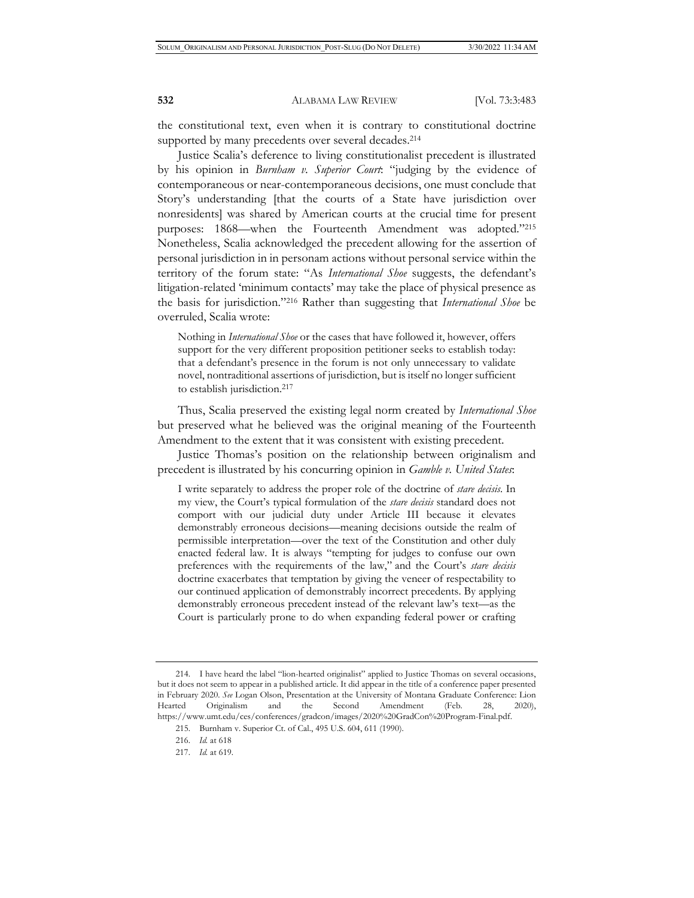the constitutional text, even when it is contrary to constitutional doctrine supported by many precedents over several decades.<sup>214</sup>

Justice Scalia's deference to living constitutionalist precedent is illustrated by his opinion in *Burnham v. Superior Court*: "judging by the evidence of contemporaneous or near-contemporaneous decisions, one must conclude that Story's understanding [that the courts of a State have jurisdiction over nonresidents] was shared by American courts at the crucial time for present purposes: 1868—when the Fourteenth Amendment was adopted."215 Nonetheless, Scalia acknowledged the precedent allowing for the assertion of personal jurisdiction in in personam actions without personal service within the territory of the forum state: "As *International Shoe* suggests, the defendant's litigation-related 'minimum contacts' may take the place of physical presence as the basis for jurisdiction."216 Rather than suggesting that *International Shoe* be overruled, Scalia wrote:

Nothing in *International Shoe* or the cases that have followed it, however, offers support for the very different proposition petitioner seeks to establish today: that a defendant's presence in the forum is not only unnecessary to validate novel, nontraditional assertions of jurisdiction, but is itself no longer sufficient to establish jurisdiction.217

Thus, Scalia preserved the existing legal norm created by *International Shoe* but preserved what he believed was the original meaning of the Fourteenth Amendment to the extent that it was consistent with existing precedent.

Justice Thomas's position on the relationship between originalism and precedent is illustrated by his concurring opinion in *Gamble v. United States*:

I write separately to address the proper role of the doctrine of *stare decisis*. In my view, the Court's typical formulation of the *stare decisis* standard does not comport with our judicial duty under Article III because it elevates demonstrably erroneous decisions—meaning decisions outside the realm of permissible interpretation—over the text of the Constitution and other duly enacted federal law. It is always "tempting for judges to confuse our own preferences with the requirements of the law," and the Court's *stare decisis* doctrine exacerbates that temptation by giving the veneer of respectability to our continued application of demonstrably incorrect precedents. By applying demonstrably erroneous precedent instead of the relevant law's text—as the Court is particularly prone to do when expanding federal power or crafting

<sup>214.</sup> I have heard the label "lion-hearted originalist" applied to Justice Thomas on several occasions, but it does not seem to appear in a published article. It did appear in the title of a conference paper presented in February 2020. *See* Logan Olson, Presentation at the University of Montana Graduate Conference: Lion Hearted Originalism and the Second Amendment (Feb. 28, 2020), https://www.umt.edu/ces/conferences/gradcon/images/2020%20GradCon%20Program-Final.pdf.

<sup>215.</sup> Burnham v. Superior Ct. of Cal., 495 U.S. 604, 611 (1990).

<sup>216.</sup> *Id.* at 618

<sup>217.</sup> *Id.* at 619.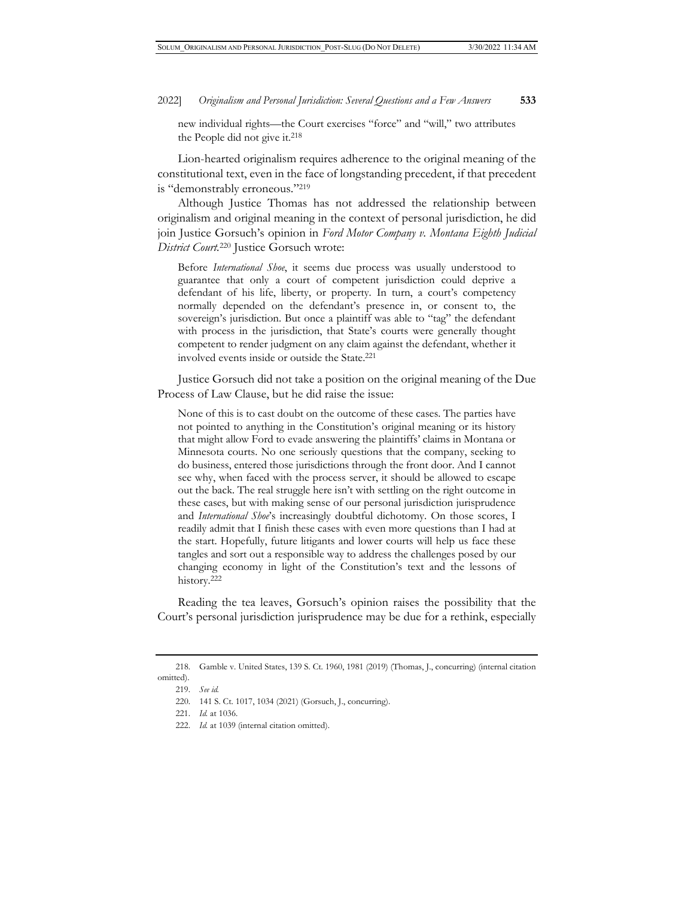new individual rights—the Court exercises "force" and "will," two attributes the People did not give it.218

Lion-hearted originalism requires adherence to the original meaning of the constitutional text, even in the face of longstanding precedent, if that precedent is "demonstrably erroneous."219

Although Justice Thomas has not addressed the relationship between originalism and original meaning in the context of personal jurisdiction, he did join Justice Gorsuch's opinion in *Ford Motor Company v. Montana Eighth Judicial District Court.*<sup>220</sup> Justice Gorsuch wrote:

Before *International Shoe*, it seems due process was usually understood to guarantee that only a court of competent jurisdiction could deprive a defendant of his life, liberty, or property. In turn, a court's competency normally depended on the defendant's presence in, or consent to, the sovereign's jurisdiction. But once a plaintiff was able to "tag" the defendant with process in the jurisdiction, that State's courts were generally thought competent to render judgment on any claim against the defendant, whether it involved events inside or outside the State.221

Justice Gorsuch did not take a position on the original meaning of the Due Process of Law Clause, but he did raise the issue:

None of this is to cast doubt on the outcome of these cases. The parties have not pointed to anything in the Constitution's original meaning or its history that might allow Ford to evade answering the plaintiffs' claims in Montana or Minnesota courts. No one seriously questions that the company, seeking to do business, entered those jurisdictions through the front door. And I cannot see why, when faced with the process server, it should be allowed to escape out the back. The real struggle here isn't with settling on the right outcome in these cases, but with making sense of our personal jurisdiction jurisprudence and *International Shoe*'s increasingly doubtful dichotomy. On those scores, I readily admit that I finish these cases with even more questions than I had at the start. Hopefully, future litigants and lower courts will help us face these tangles and sort out a responsible way to address the challenges posed by our changing economy in light of the Constitution's text and the lessons of history.222

Reading the tea leaves, Gorsuch's opinion raises the possibility that the Court's personal jurisdiction jurisprudence may be due for a rethink, especially

<sup>218.</sup> Gamble v. United States, 139 S. Ct. 1960, 1981 (2019) (Thomas, J., concurring) (internal citation omitted).

<sup>219.</sup> *See id.* 

<sup>220. 141</sup> S. Ct. 1017, 1034 (2021) (Gorsuch, J., concurring).

<sup>221.</sup> *Id.* at 1036.

<sup>222.</sup> *Id.* at 1039 (internal citation omitted).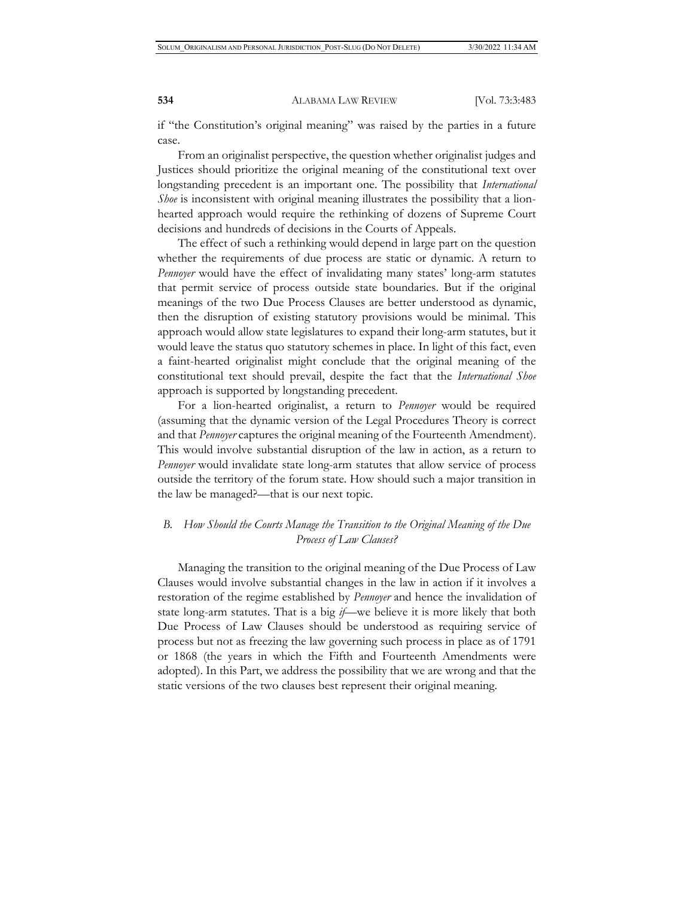if "the Constitution's original meaning" was raised by the parties in a future case.

From an originalist perspective, the question whether originalist judges and Justices should prioritize the original meaning of the constitutional text over longstanding precedent is an important one. The possibility that *International Shoe* is inconsistent with original meaning illustrates the possibility that a lionhearted approach would require the rethinking of dozens of Supreme Court decisions and hundreds of decisions in the Courts of Appeals.

The effect of such a rethinking would depend in large part on the question whether the requirements of due process are static or dynamic. A return to *Pennoyer* would have the effect of invalidating many states' long-arm statutes that permit service of process outside state boundaries. But if the original meanings of the two Due Process Clauses are better understood as dynamic, then the disruption of existing statutory provisions would be minimal. This approach would allow state legislatures to expand their long-arm statutes, but it would leave the status quo statutory schemes in place. In light of this fact, even a faint-hearted originalist might conclude that the original meaning of the constitutional text should prevail, despite the fact that the *International Shoe* approach is supported by longstanding precedent.

For a lion-hearted originalist, a return to *Pennoyer* would be required (assuming that the dynamic version of the Legal Procedures Theory is correct and that *Pennoyer* captures the original meaning of the Fourteenth Amendment). This would involve substantial disruption of the law in action, as a return to *Pennoyer* would invalidate state long-arm statutes that allow service of process outside the territory of the forum state. How should such a major transition in the law be managed?—that is our next topic.

# *B. How Should the Courts Manage the Transition to the Original Meaning of the Due Process of Law Clauses?*

Managing the transition to the original meaning of the Due Process of Law Clauses would involve substantial changes in the law in action if it involves a restoration of the regime established by *Pennoyer* and hence the invalidation of state long-arm statutes. That is a big *if*—we believe it is more likely that both Due Process of Law Clauses should be understood as requiring service of process but not as freezing the law governing such process in place as of 1791 or 1868 (the years in which the Fifth and Fourteenth Amendments were adopted). In this Part, we address the possibility that we are wrong and that the static versions of the two clauses best represent their original meaning.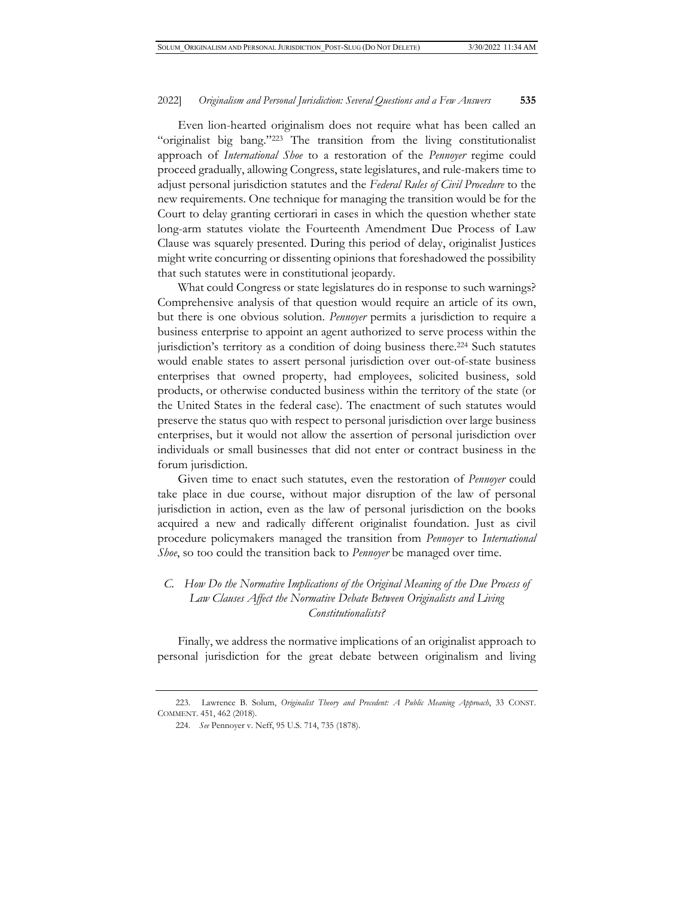Even lion-hearted originalism does not require what has been called an "originalist big bang."223 The transition from the living constitutionalist approach of *International Shoe* to a restoration of the *Pennoyer* regime could proceed gradually, allowing Congress, state legislatures, and rule-makers time to adjust personal jurisdiction statutes and the *Federal Rules of Civil Procedure* to the new requirements. One technique for managing the transition would be for the Court to delay granting certiorari in cases in which the question whether state long-arm statutes violate the Fourteenth Amendment Due Process of Law Clause was squarely presented. During this period of delay, originalist Justices might write concurring or dissenting opinions that foreshadowed the possibility that such statutes were in constitutional jeopardy.

What could Congress or state legislatures do in response to such warnings? Comprehensive analysis of that question would require an article of its own, but there is one obvious solution. *Pennoyer* permits a jurisdiction to require a business enterprise to appoint an agent authorized to serve process within the jurisdiction's territory as a condition of doing business there.224 Such statutes would enable states to assert personal jurisdiction over out-of-state business enterprises that owned property, had employees, solicited business, sold products, or otherwise conducted business within the territory of the state (or the United States in the federal case). The enactment of such statutes would preserve the status quo with respect to personal jurisdiction over large business enterprises, but it would not allow the assertion of personal jurisdiction over individuals or small businesses that did not enter or contract business in the forum jurisdiction.

Given time to enact such statutes, even the restoration of *Pennoyer* could take place in due course, without major disruption of the law of personal jurisdiction in action, even as the law of personal jurisdiction on the books acquired a new and radically different originalist foundation. Just as civil procedure policymakers managed the transition from *Pennoyer* to *International Shoe*, so too could the transition back to *Pennoyer* be managed over time.

# *C. How Do the Normative Implications of the Original Meaning of the Due Process of Law Clauses Affect the Normative Debate Between Originalists and Living Constitutionalists?*

Finally, we address the normative implications of an originalist approach to personal jurisdiction for the great debate between originalism and living

<sup>223.</sup> Lawrence B. Solum, *Originalist Theory and Precedent: A Public Meaning Approach*, 33 CONST. COMMENT. 451, 462 (2018).

<sup>224.</sup> *See* Pennoyer v. Neff, 95 U.S. 714, 735 (1878).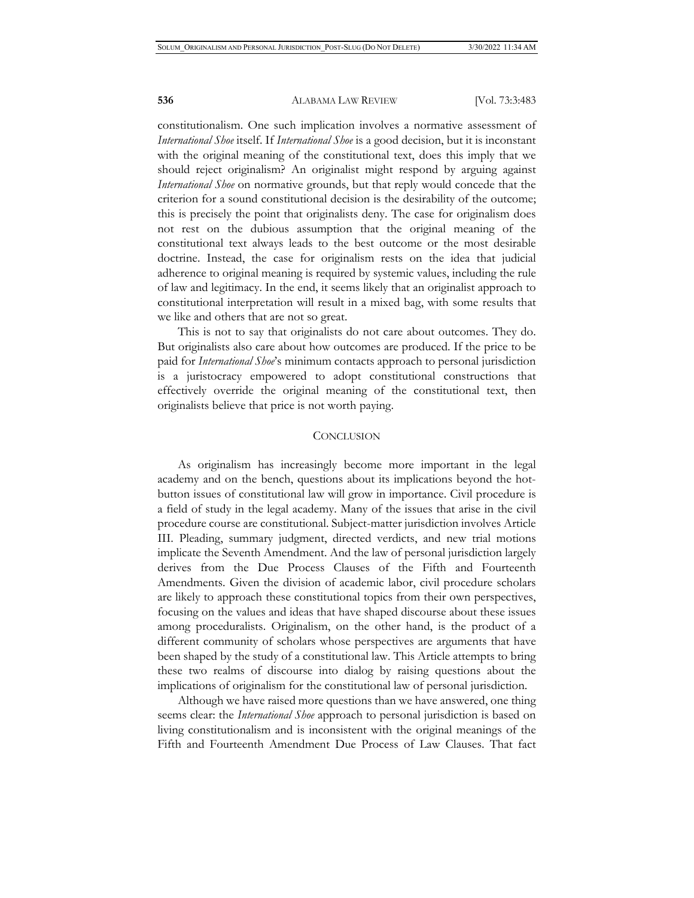constitutionalism. One such implication involves a normative assessment of *International Shoe* itself. If *International Shoe* is a good decision, but it is inconstant with the original meaning of the constitutional text, does this imply that we should reject originalism? An originalist might respond by arguing against *International Shoe* on normative grounds, but that reply would concede that the criterion for a sound constitutional decision is the desirability of the outcome; this is precisely the point that originalists deny. The case for originalism does not rest on the dubious assumption that the original meaning of the constitutional text always leads to the best outcome or the most desirable doctrine. Instead, the case for originalism rests on the idea that judicial adherence to original meaning is required by systemic values, including the rule of law and legitimacy. In the end, it seems likely that an originalist approach to constitutional interpretation will result in a mixed bag, with some results that we like and others that are not so great.

This is not to say that originalists do not care about outcomes. They do. But originalists also care about how outcomes are produced. If the price to be paid for *International Shoe*'s minimum contacts approach to personal jurisdiction is a juristocracy empowered to adopt constitutional constructions that effectively override the original meaning of the constitutional text, then originalists believe that price is not worth paying.

#### **CONCLUSION**

As originalism has increasingly become more important in the legal academy and on the bench, questions about its implications beyond the hotbutton issues of constitutional law will grow in importance. Civil procedure is a field of study in the legal academy. Many of the issues that arise in the civil procedure course are constitutional. Subject-matter jurisdiction involves Article III. Pleading, summary judgment, directed verdicts, and new trial motions implicate the Seventh Amendment. And the law of personal jurisdiction largely derives from the Due Process Clauses of the Fifth and Fourteenth Amendments. Given the division of academic labor, civil procedure scholars are likely to approach these constitutional topics from their own perspectives, focusing on the values and ideas that have shaped discourse about these issues among proceduralists. Originalism, on the other hand, is the product of a different community of scholars whose perspectives are arguments that have been shaped by the study of a constitutional law. This Article attempts to bring these two realms of discourse into dialog by raising questions about the implications of originalism for the constitutional law of personal jurisdiction.

Although we have raised more questions than we have answered, one thing seems clear: the *International Shoe* approach to personal jurisdiction is based on living constitutionalism and is inconsistent with the original meanings of the Fifth and Fourteenth Amendment Due Process of Law Clauses. That fact